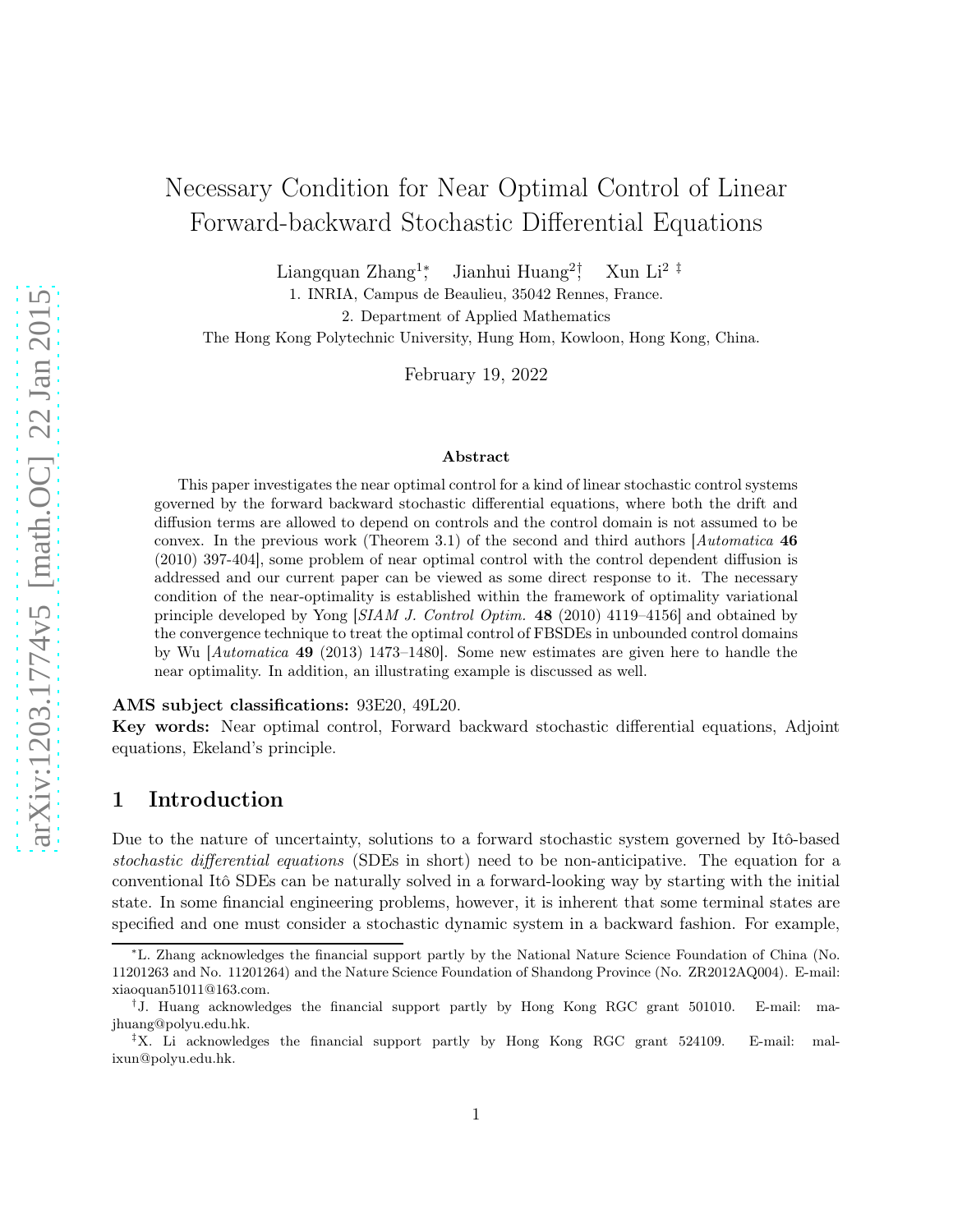# Necessary Condition for Near Optimal Control of Linear Forward-backward Stochastic Differential Equations

Liangquan Zhang<sup>1</sup><sup>∗</sup> Jianhui Huang<sup>2†</sup> Xun Li<sup>2 $\pm$ </sup>

1. INRIA, Campus de Beaulieu, 35042 Rennes, France.

2. Department of Applied Mathematics

The Hong Kong Polytechnic University, Hung Hom, Kowloon, Hong Kong, China.

February 19, 2022

#### Abstract

This paper investigates the near optimal control for a kind of linear stochastic control systems governed by the forward backward stochastic differential equations, where both the drift and diffusion terms are allowed to depend on controls and the control domain is not assumed to be convex. In the previous work (Theorem 3.1) of the second and third authors  $[Automatica 46]$ (2010) 397-404], some problem of near optimal control with the control dependent diffusion is addressed and our current paper can be viewed as some direct response to it. The necessary condition of the near-optimality is established within the framework of optimality variational principle developed by Yong [SIAM J. Control Optim. 48 (2010) 4119–4156] and obtained by the convergence technique to treat the optimal control of FBSDEs in unbounded control domains by Wu [Automatica 49 (2013) 1473–1480]. Some new estimates are given here to handle the near optimality. In addition, an illustrating example is discussed as well.

#### AMS subject classifications: 93E20, 49L20.

Key words: Near optimal control, Forward backward stochastic differential equations, Adjoint equations, Ekeland's principle.

### 1 Introduction

Due to the nature of uncertainty, solutions to a forward stochastic system governed by Itô-based stochastic differential equations (SDEs in short) need to be non-anticipative. The equation for a conventional Itô SDEs can be naturally solved in a forward-looking way by starting with the initial state. In some financial engineering problems, however, it is inherent that some terminal states are specified and one must consider a stochastic dynamic system in a backward fashion. For example,

<sup>∗</sup>L. Zhang acknowledges the financial support partly by the National Nature Science Foundation of China (No. 11201263 and No. 11201264) and the Nature Science Foundation of Shandong Province (No. ZR2012AQ004). E-mail: xiaoquan51011@163.com.

<sup>&</sup>lt;sup>†</sup>J. Huang acknowledges the financial support partly by Hong Kong RGC grant 501010. E-mail: majhuang@polyu.edu.hk.

<sup>&</sup>lt;sup> $\ddagger$ </sup>X. Li acknowledges the financial support partly by Hong Kong RGC grant 524109. E-mail: malixun@polyu.edu.hk.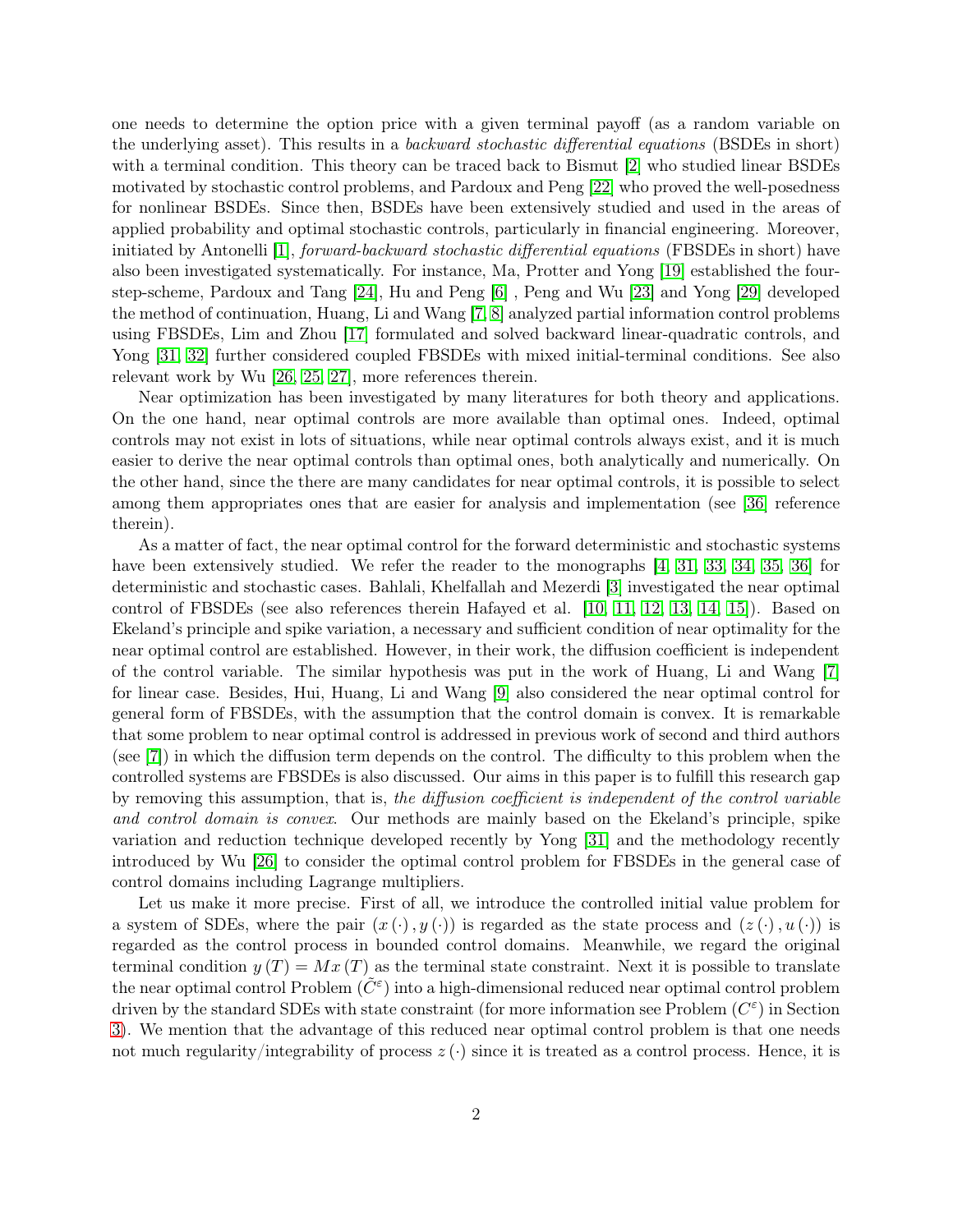one needs to determine the option price with a given terminal payoff (as a random variable on the underlying asset). This results in a backward stochastic differential equations (BSDEs in short) with a terminal condition. This theory can be traced back to Bismut [\[2\]](#page-25-0) who studied linear BSDEs motivated by stochastic control problems, and Pardoux and Peng [\[22\]](#page-27-0) who proved the well-posedness for nonlinear BSDEs. Since then, BSDEs have been extensively studied and used in the areas of applied probability and optimal stochastic controls, particularly in financial engineering. Moreover, initiated by Antonelli [\[1\]](#page-25-1), forward-backward stochastic differential equations (FBSDEs in short) have also been investigated systematically. For instance, Ma, Protter and Yong [\[19\]](#page-27-1) established the fourstep-scheme, Pardoux and Tang [\[24\]](#page-27-2), Hu and Peng [\[6\]](#page-26-0) , Peng and Wu [\[23\]](#page-27-3) and Yong [\[29\]](#page-27-4) developed the method of continuation, Huang, Li and Wang [\[7,](#page-26-1) [8\]](#page-26-2) analyzed partial information control problems using FBSDEs, Lim and Zhou [\[17\]](#page-26-3) formulated and solved backward linear-quadratic controls, and Yong [\[31,](#page-27-5) [32\]](#page-27-6) further considered coupled FBSDEs with mixed initial-terminal conditions. See also relevant work by Wu [\[26,](#page-27-7) [25,](#page-27-8) [27\]](#page-27-9), more references therein.

Near optimization has been investigated by many literatures for both theory and applications. On the one hand, near optimal controls are more available than optimal ones. Indeed, optimal controls may not exist in lots of situations, while near optimal controls always exist, and it is much easier to derive the near optimal controls than optimal ones, both analytically and numerically. On the other hand, since the there are many candidates for near optimal controls, it is possible to select among them appropriates ones that are easier for analysis and implementation (see [\[36\]](#page-28-0) reference therein).

As a matter of fact, the near optimal control for the forward deterministic and stochastic systems have been extensively studied. We refer the reader to the monographs [\[4,](#page-26-4) [31,](#page-27-5) [33,](#page-27-10) [34,](#page-27-11) [35,](#page-27-12) [36\]](#page-28-0) for deterministic and stochastic cases. Bahlali, Khelfallah and Mezerdi [\[3\]](#page-26-5) investigated the near optimal control of FBSDEs (see also references therein Hafayed et al. [\[10,](#page-26-6) [11,](#page-26-7) [12,](#page-26-8) [13,](#page-26-9) [14,](#page-26-10) [15\]](#page-26-11)). Based on Ekeland's principle and spike variation, a necessary and sufficient condition of near optimality for the near optimal control are established. However, in their work, the diffusion coefficient is independent of the control variable. The similar hypothesis was put in the work of Huang, Li and Wang [\[7\]](#page-26-1) for linear case. Besides, Hui, Huang, Li and Wang [\[9\]](#page-26-12) also considered the near optimal control for general form of FBSDEs, with the assumption that the control domain is convex. It is remarkable that some problem to near optimal control is addressed in previous work of second and third authors (see [\[7\]](#page-26-1)) in which the diffusion term depends on the control. The difficulty to this problem when the controlled systems are FBSDEs is also discussed. Our aims in this paper is to fulfill this research gap by removing this assumption, that is, the diffusion coefficient is independent of the control variable and control domain is convex. Our methods are mainly based on the Ekeland's principle, spike variation and reduction technique developed recently by Yong [\[31\]](#page-27-5) and the methodology recently introduced by Wu [\[26\]](#page-27-7) to consider the optimal control problem for FBSDEs in the general case of control domains including Lagrange multipliers.

Let us make it more precise. First of all, we introduce the controlled initial value problem for a system of SDEs, where the pair  $(x \cdot), y \cdot)$  is regarded as the state process and  $(z \cdot), u \cdot)$  is regarded as the control process in bounded control domains. Meanwhile, we regard the original terminal condition  $y(T) = Mx(T)$  as the terminal state constraint. Next it is possible to translate the near optimal control Problem  $(\tilde{C}^{\varepsilon})$  into a high-dimensional reduced near optimal control problem driven by the standard SDEs with state constraint (for more information see Problem  $(C^{\varepsilon})$  in Section [3\)](#page-4-0). We mention that the advantage of this reduced near optimal control problem is that one needs not much regularity/integrability of process  $z(\cdot)$  since it is treated as a control process. Hence, it is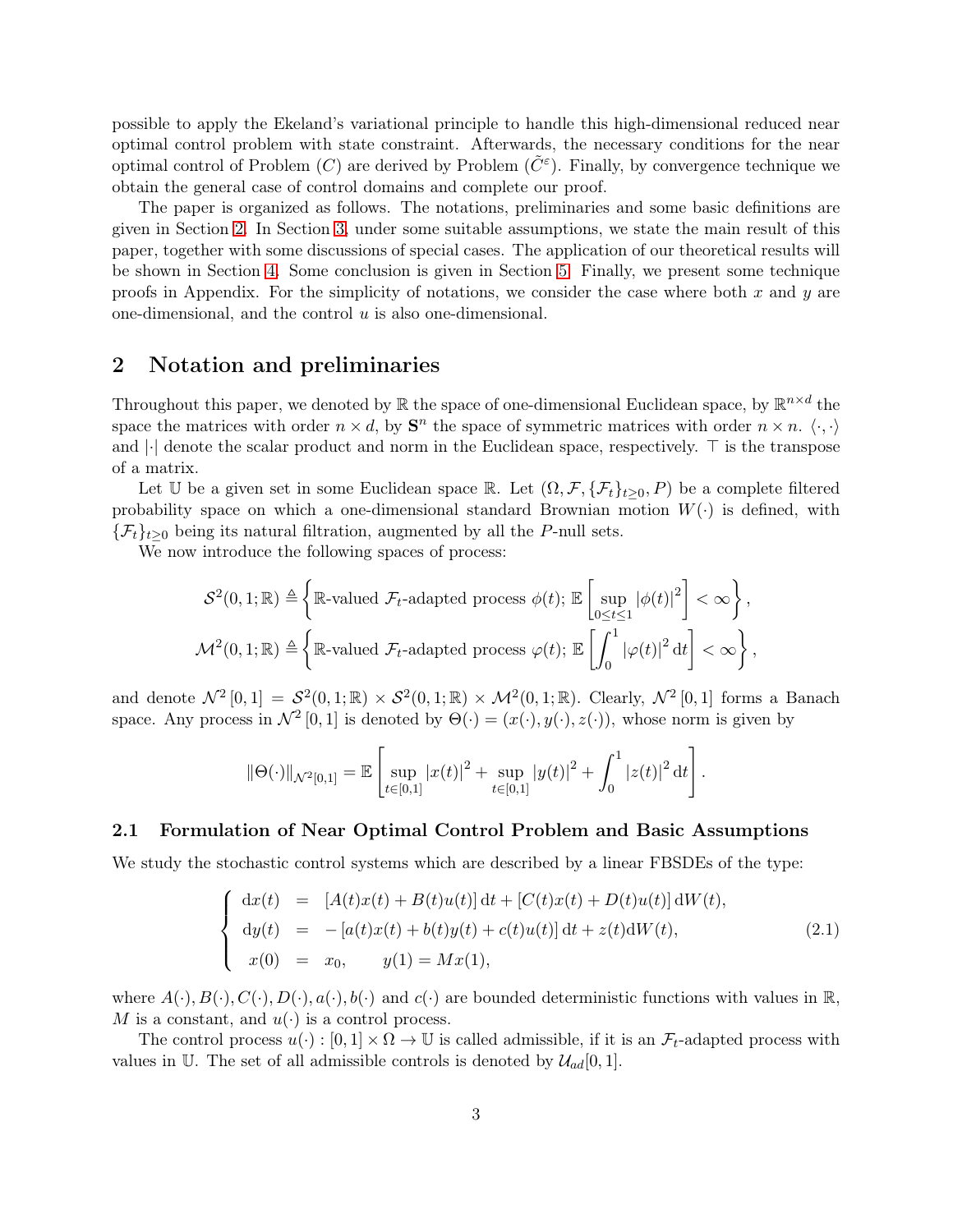possible to apply the Ekeland's variational principle to handle this high-dimensional reduced near optimal control problem with state constraint. Afterwards, the necessary conditions for the near optimal control of Problem  $(C)$  are derived by Problem  $(\tilde{C}^{\varepsilon})$ . Finally, by convergence technique we obtain the general case of control domains and complete our proof.

The paper is organized as follows. The notations, preliminaries and some basic definitions are given in Section [2.](#page-2-0) In Section [3,](#page-4-0) under some suitable assumptions, we state the main result of this paper, together with some discussions of special cases. The application of our theoretical results will be shown in Section [4.](#page-6-0) Some conclusion is given in Section [5.](#page-7-0) Finally, we present some technique proofs in Appendix. For the simplicity of notations, we consider the case where both  $x$  and  $y$  are one-dimensional, and the control  $u$  is also one-dimensional.

## <span id="page-2-0"></span>2 Notation and preliminaries

Throughout this paper, we denoted by  $\mathbb R$  the space of one-dimensional Euclidean space, by  $\mathbb R^{n \times d}$  the space the matrices with order  $n \times d$ , by  $S<sup>n</sup>$  the space of symmetric matrices with order  $n \times n$ .  $\langle \cdot, \cdot \rangle$ and |·| denote the scalar product and norm in the Euclidean space, respectively. ⊤ is the transpose of a matrix.

Let U be a given set in some Euclidean space R. Let  $(\Omega, \mathcal{F}, \{\mathcal{F}_t\}_{t>0}, P)$  be a complete filtered probability space on which a one-dimensional standard Brownian motion  $W(\cdot)$  is defined, with  $\{\mathcal{F}_t\}_{t>0}$  being its natural filtration, augmented by all the P-null sets.

We now introduce the following spaces of process:

$$
\mathcal{S}^{2}(0,1;\mathbb{R}) \triangleq \left\{ \mathbb{R}\text{-valued }\mathcal{F}_{t}\text{-adapted process }\phi(t); \mathbb{E}\left[\sup_{0\leq t\leq 1}|\phi(t)|^{2}\right] < \infty \right\},\
$$
  

$$
\mathcal{M}^{2}(0,1;\mathbb{R}) \triangleq \left\{ \mathbb{R}\text{-valued }\mathcal{F}_{t}\text{-adapted process }\varphi(t); \mathbb{E}\left[\int_{0}^{1}|\varphi(t)|^{2}\,\mathrm{d}t\right] < \infty \right\},
$$

and denote  $\mathcal{N}^2[0,1] = \mathcal{S}^2(0,1;\mathbb{R}) \times \mathcal{S}^2(0,1;\mathbb{R}) \times \mathcal{M}^2(0,1;\mathbb{R})$ . Clearly,  $\mathcal{N}^2[0,1]$  forms a Banach space. Any process in  $\mathcal{N}^2[0,1]$  is denoted by  $\Theta(\cdot)=(x(\cdot), y(\cdot), z(\cdot))$ , whose norm is given by

$$
\|\Theta(\cdot)\|_{\mathcal{N}^{2}[0,1]} = \mathbb{E}\left[\sup_{t\in[0,1]}|x(t)|^{2} + \sup_{t\in[0,1]}|y(t)|^{2} + \int_{0}^{1}|z(t)|^{2} dt\right].
$$

### 2.1 Formulation of Near Optimal Control Problem and Basic Assumptions

We study the stochastic control systems which are described by a linear FBSDEs of the type:

<span id="page-2-1"></span>
$$
\begin{cases}\n\mathrm{d}x(t) = [A(t)x(t) + B(t)u(t)] \, \mathrm{d}t + [C(t)x(t) + D(t)u(t)] \, \mathrm{d}W(t), \\
\mathrm{d}y(t) = -[a(t)x(t) + b(t)y(t) + c(t)u(t)] \, \mathrm{d}t + z(t) \, \mathrm{d}W(t), \\
x(0) = x_0, \qquad y(1) = Mx(1),\n\end{cases} \tag{2.1}
$$

where  $A(\cdot), B(\cdot), C(\cdot), D(\cdot), a(\cdot), b(\cdot)$  and  $c(\cdot)$  are bounded deterministic functions with values in  $\mathbb{R}$ , M is a constant, and  $u(\cdot)$  is a control process.

The control process  $u(\cdot): [0,1] \times \Omega \to \mathbb{U}$  is called admissible, if it is an  $\mathcal{F}_t$ -adapted process with values in U. The set of all admissible controls is denoted by  $\mathcal{U}_{ad}[0,1]$ .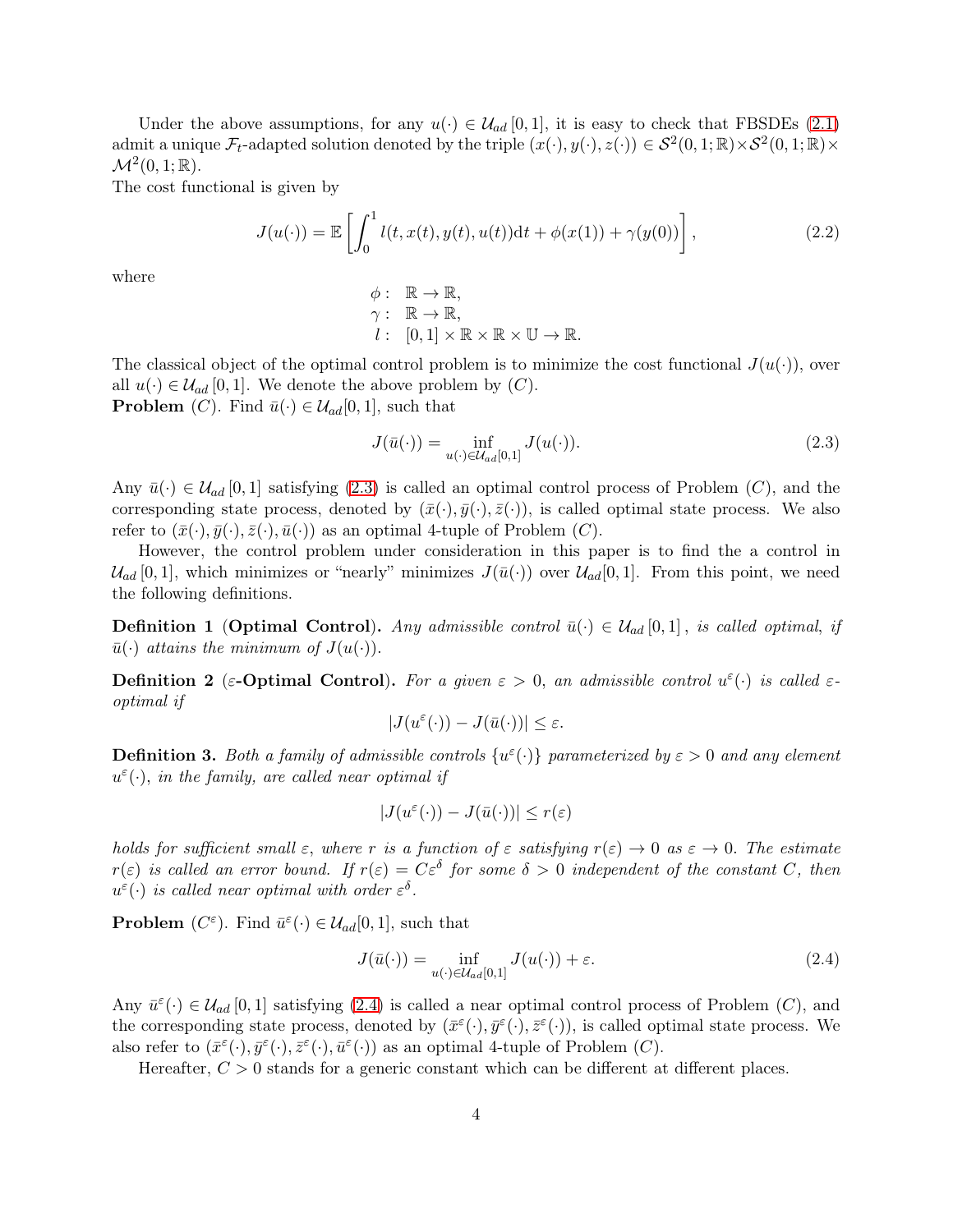Under the above assumptions, for any  $u(\cdot) \in \mathcal{U}_{ad}[0,1]$ , it is easy to check that FBSDEs [\(2.1\)](#page-2-1) admit a unique  $\mathcal{F}_t$ -adapted solution denoted by the triple  $(x(\cdot), y(\cdot), z(\cdot)) \in \mathcal{S}^2(0, 1; \mathbb{R}) \times \mathcal{S}^2(0, 1; \mathbb{R}) \times$  $\mathcal{M}^2(0,1;\mathbb{R})$ .

The cost functional is given by

$$
J(u(\cdot)) = \mathbb{E}\left[\int_0^1 l(t, x(t), y(t), u(t))dt + \phi(x(1)) + \gamma(y(0))\right],
$$
\n(2.2)

where

$$
\begin{array}{ll}\n\phi: & \mathbb{R} \to \mathbb{R}, \\
\gamma: & \mathbb{R} \to \mathbb{R}, \\
l: & [0,1] \times \mathbb{R} \times \mathbb{R} \times \mathbb{U} \to \mathbb{R}.\n\end{array}
$$

The classical object of the optimal control problem is to minimize the cost functional  $J(u(\cdot))$ , over all  $u(\cdot) \in \mathcal{U}_{ad}$  [0, 1]. We denote the above problem by  $(C)$ . **Problem** (C). Find  $\bar{u}(\cdot) \in \mathcal{U}_{ad}[0,1]$ , such that

<span id="page-3-0"></span>
$$
J(\bar{u}(\cdot)) = \inf_{u(\cdot) \in \mathcal{U}_{ad}[0,1]} J(u(\cdot)).
$$
\n(2.3)

Any  $\bar{u}(\cdot) \in \mathcal{U}_{ad}$  [0, 1] satisfying [\(2.3\)](#page-3-0) is called an optimal control process of Problem (C), and the corresponding state process, denoted by  $(\bar{x}(\cdot), \bar{y}(\cdot), \bar{z}(\cdot))$ , is called optimal state process. We also refer to  $(\bar{x}(\cdot), \bar{y}(\cdot), \bar{z}(\cdot), \bar{u}(\cdot))$  as an optimal 4-tuple of Problem (C).

However, the control problem under consideration in this paper is to find the a control in  $\mathcal{U}_{ad}$  [0, 1], which minimizes or "nearly" minimizes  $J(\bar{u}(\cdot))$  over  $\mathcal{U}_{ad}[0,1]$ . From this point, we need the following definitions.

**Definition 1 (Optimal Control).** Any admissible control  $\bar{u}(\cdot) \in \mathcal{U}_{ad}[0,1]$ , is called optimal, if  $\bar{u}(\cdot)$  attains the minimum of  $J(u(\cdot))$ .

**Definition 2** ( $\varepsilon$ -**Optimal Control**). For a given  $\varepsilon > 0$ , an admissible control  $u^{\varepsilon}(\cdot)$  is called  $\varepsilon$ optimal if

$$
|J(u^{\varepsilon}(\cdot))-J(\bar{u}(\cdot))|\leq \varepsilon.
$$

**Definition 3.** Both a family of admissible controls  $\{u^{\varepsilon}(\cdot)\}\$  parameterized by  $\varepsilon > 0$  and any element  $u^{\varepsilon}(\cdot)$ , in the family, are called near optimal if

$$
|J(u^{\varepsilon}(\cdot))-J(\bar{u}(\cdot))|\leq r(\varepsilon)
$$

holds for sufficient small  $\varepsilon$ , where r is a function of  $\varepsilon$  satisfying  $r(\varepsilon) \to 0$  as  $\varepsilon \to 0$ . The estimate  $r(\varepsilon)$  is called an error bound. If  $r(\varepsilon) = C\varepsilon^{\delta}$  for some  $\delta > 0$  independent of the constant C, then  $u^{\varepsilon}(\cdot)$  is called near optimal with order  $\varepsilon^{\delta}$ .

**Problem**  $(C^{\varepsilon})$ . Find  $\bar{u}^{\varepsilon}(\cdot) \in \mathcal{U}_{ad}[0,1]$ , such that

<span id="page-3-1"></span>
$$
J(\bar{u}(\cdot)) = \inf_{u(\cdot) \in \mathcal{U}_{ad}[0,1]} J(u(\cdot)) + \varepsilon. \tag{2.4}
$$

Any  $\bar{u}^{\varepsilon}(\cdot) \in \mathcal{U}_{ad}[0,1]$  satisfying [\(2.4\)](#page-3-1) is called a near optimal control process of Problem (C), and the corresponding state process, denoted by  $(\bar{x}^{\varepsilon}(\cdot), \bar{y}^{\varepsilon}(\cdot), \bar{z}^{\varepsilon}(\cdot))$ , is called optimal state process. We also refer to  $(\bar{x}^{\varepsilon}(\cdot), \bar{y}^{\varepsilon}(\cdot), \bar{z}^{\varepsilon}(\cdot), \bar{u}^{\varepsilon}(\cdot))$  as an optimal 4-tuple of Problem  $(C)$ .

Hereafter,  $C > 0$  stands for a generic constant which can be different at different places.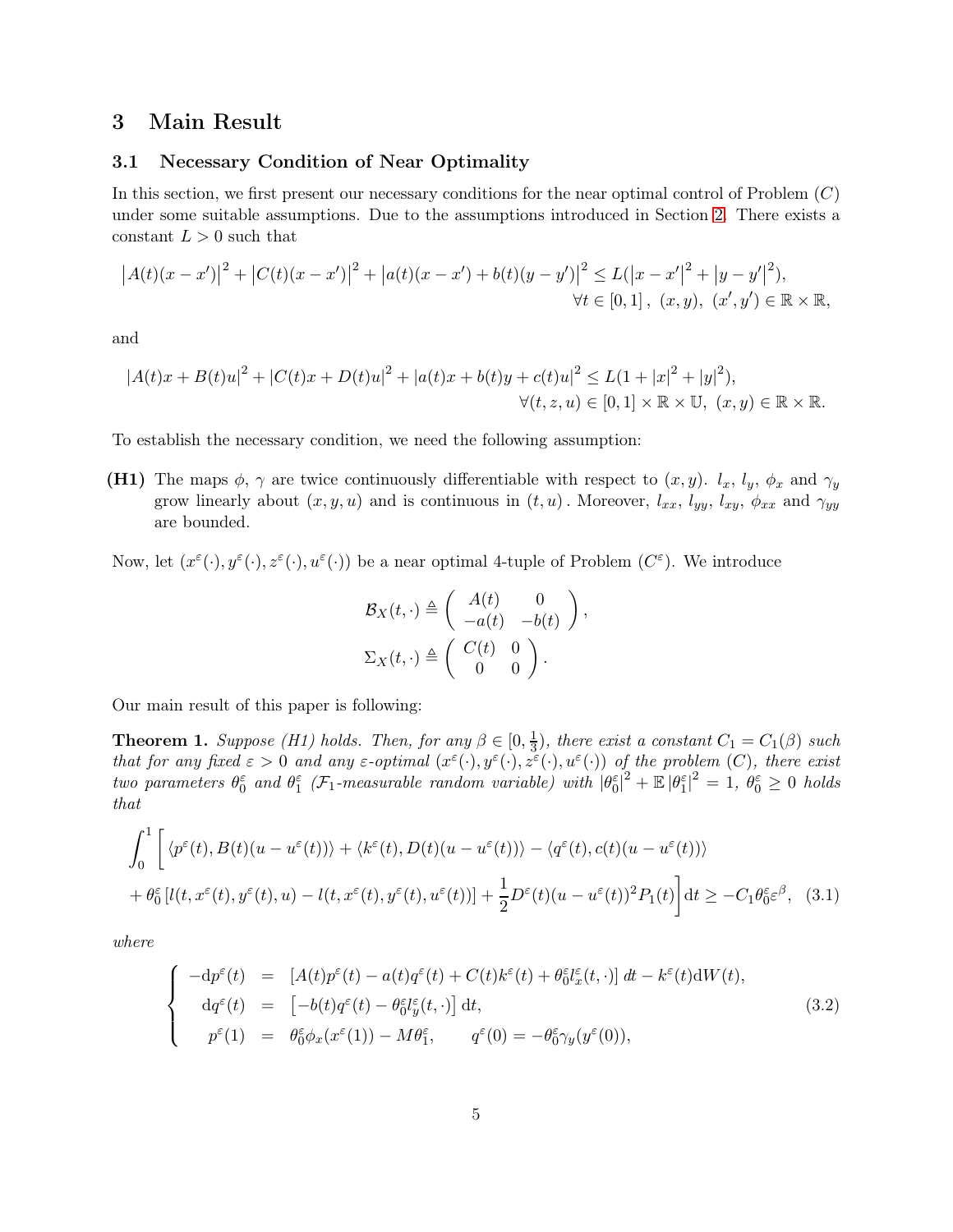# <span id="page-4-0"></span>3 Main Result

### 3.1 Necessary Condition of Near Optimality

In this section, we first present our necessary conditions for the near optimal control of Problem  $(C)$ under some suitable assumptions. Due to the assumptions introduced in Section [2.](#page-2-0) There exists a constant  $L > 0$  such that

$$
|A(t)(x - x')|^2 + |C(t)(x - x')|^2 + |a(t)(x - x') + b(t)(y - y')|^2 \le L(|x - x'|^2 + |y - y'|^2),
$$
  
\n
$$
\forall t \in [0, 1], (x, y), (x', y') \in \mathbb{R} \times \mathbb{R},
$$

and

$$
|A(t)x + B(t)u|^2 + |C(t)x + D(t)u|^2 + |a(t)x + b(t)y + c(t)u|^2 \le L(1 + |x|^2 + |y|^2),
$$
  

$$
\forall (t, z, u) \in [0, 1] \times \mathbb{R} \times \mathbb{U}, (x, y) \in \mathbb{R} \times \mathbb{R}.
$$

To establish the necessary condition, we need the following assumption:

(H1) The maps  $\phi$ ,  $\gamma$  are twice continuously differentiable with respect to  $(x, y)$ .  $l_x$ ,  $l_y$ ,  $\phi_x$  and  $\gamma_y$ grow linearly about  $(x, y, u)$  and is continuous in  $(t, u)$ . Moreover,  $l_{xx}$ ,  $l_{yy}$ ,  $l_{xy}$ ,  $\phi_{xx}$  and  $\gamma_{yy}$ are bounded.

Now, let  $(x^{\varepsilon}(\cdot), y^{\varepsilon}(\cdot), z^{\varepsilon}(\cdot), u^{\varepsilon}(\cdot))$  be a near optimal 4-tuple of Problem  $(C^{\varepsilon})$ . We introduce

<span id="page-4-2"></span>
$$
\mathcal{B}_X(t, \cdot) \triangleq \left( \begin{array}{cc} A(t) & 0 \\ -a(t) & -b(t) \end{array} \right),
$$
  

$$
\Sigma_X(t, \cdot) \triangleq \left( \begin{array}{cc} C(t) & 0 \\ 0 & 0 \end{array} \right).
$$

Our main result of this paper is following:

<span id="page-4-1"></span>**Theorem 1.** Suppose (H1) holds. Then, for any  $\beta \in [0, \frac{1}{3}]$  $\frac{1}{3}$ , there exist a constant  $C_1 = C_1(\beta)$  such that for any fixed  $\varepsilon > 0$  and any  $\varepsilon$ -optimal  $(x^{\varepsilon}(\cdot), y^{\varepsilon}(\cdot), z^{\varepsilon}(\cdot), u^{\varepsilon}(\cdot))$  of the problem  $(C)$ , there exist two parameters  $\theta_0^{\varepsilon}$  and  $\theta_1^{\varepsilon}$  (F<sub>1</sub>-measurable random variable) with  $|\theta_0^{\varepsilon}|^2 + \mathbb{E} |\theta_1^{\varepsilon}|^2 = 1$ ,  $\theta_0^{\varepsilon} \geq 0$  holds that

$$
\int_0^1 \left[ \langle p^{\varepsilon}(t), B(t)(u - u^{\varepsilon}(t)) \rangle + \langle k^{\varepsilon}(t), D(t)(u - u^{\varepsilon}(t)) \rangle - \langle q^{\varepsilon}(t), c(t)(u - u^{\varepsilon}(t)) \rangle \right]
$$
  
+  $\theta_0^{\varepsilon} [l(t, x^{\varepsilon}(t), y^{\varepsilon}(t), u) - l(t, x^{\varepsilon}(t), y^{\varepsilon}(t), u^{\varepsilon}(t))] + \frac{1}{2} D^{\varepsilon}(t) (u - u^{\varepsilon}(t))^2 P_1(t) \right] dt \ge -C_1 \theta_0^{\varepsilon} \varepsilon^{\beta},$  (3.1)

where

$$
\begin{cases}\n-dp^{\varepsilon}(t) = [A(t)p^{\varepsilon}(t) - a(t)q^{\varepsilon}(t) + C(t)k^{\varepsilon}(t) + \theta_0^{\varepsilon}l_x^{\varepsilon}(t, \cdot)] dt - k^{\varepsilon}(t)dW(t), \\
 dq^{\varepsilon}(t) = [-b(t)q^{\varepsilon}(t) - \theta_0^{\varepsilon}l_y^{\varepsilon}(t, \cdot)] dt, \\
 p^{\varepsilon}(1) = \theta_0^{\varepsilon}\phi_x(x^{\varepsilon}(1)) - M\theta_1^{\varepsilon}, \qquad q^{\varepsilon}(0) = -\theta_0^{\varepsilon}\gamma_y(y^{\varepsilon}(0)),\n\end{cases}
$$
\n(3.2)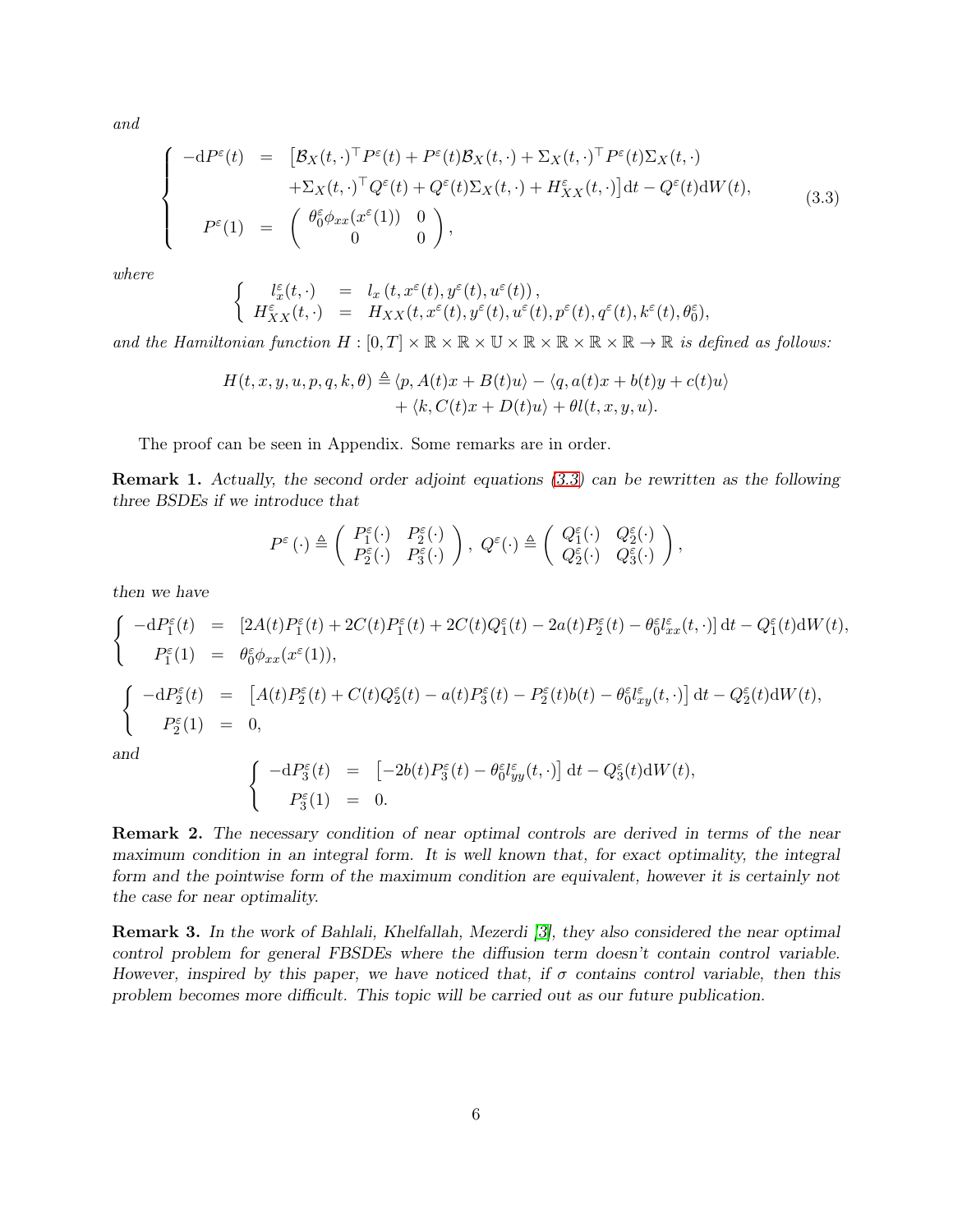and

<span id="page-5-0"></span>
$$
\begin{cases}\n-dP^{\varepsilon}(t) &= \left[\mathcal{B}_X(t,\cdot)^{\top}P^{\varepsilon}(t) + P^{\varepsilon}(t)\mathcal{B}_X(t,\cdot) + \Sigma_X(t,\cdot)^{\top}P^{\varepsilon}(t)\Sigma_X(t,\cdot) \right. \\
&\quad \left. + \Sigma_X(t,\cdot)^{\top}Q^{\varepsilon}(t) + Q^{\varepsilon}(t)\Sigma_X(t,\cdot) + H^{\varepsilon}_{XX}(t,\cdot)\right]dt - Q^{\varepsilon}(t)dW(t), \\
P^{\varepsilon}(1) &= \begin{pmatrix} \theta_0^{\varepsilon}\phi_{xx}(x^{\varepsilon}(1)) & 0 \\ 0 & 0 \end{pmatrix},\n\end{cases}\n\tag{3.3}
$$

where

$$
\left\{\begin{array}{rcl} l_x^\varepsilon(t,\cdot)&=&l_x\left(t,x^\varepsilon(t),y^\varepsilon(t),u^\varepsilon(t)\right),\\ H_{XX}^\varepsilon(t,\cdot)&=&H_{XX}(t,x^\varepsilon(t),y^\varepsilon(t),u^\varepsilon(t),p^\varepsilon(t),q^\varepsilon(t),k^\varepsilon(t),\theta_0^\varepsilon),\end{array}\right.
$$

and the Hamiltonian function  $H : [0, T] \times \mathbb{R} \times \mathbb{R} \times \mathbb{R} \times \mathbb{R} \times \mathbb{R} \times \mathbb{R} \times \mathbb{R} \times \mathbb{R} \to \mathbb{R}$  is defined as follows:

$$
H(t, x, y, u, p, q, k, \theta) \triangleq \langle p, A(t)x + B(t)u \rangle - \langle q, a(t)x + b(t)y + c(t)u \rangle + \langle k, C(t)x + D(t)u \rangle + \theta l(t, x, y, u).
$$

The proof can be seen in Appendix. Some remarks are in order.

Remark 1. Actually, the second order adjoint equations [\(3.3\)](#page-5-0) can be rewritten as the following three BSDEs if we introduce that

$$
P^{\varepsilon}(\cdot) \triangleq \left( \begin{array}{cc} P^{\varepsilon}_1(\cdot) & P^{\varepsilon}_2(\cdot) \\ P^{\varepsilon}_2(\cdot) & P^{\varepsilon}_3(\cdot) \end{array} \right), \ Q^{\varepsilon}(\cdot) \triangleq \left( \begin{array}{cc} Q^{\varepsilon}_1(\cdot) & Q^{\varepsilon}_2(\cdot) \\ Q^{\varepsilon}_2(\cdot) & Q^{\varepsilon}_3(\cdot) \end{array} \right),
$$

then we have

$$
\begin{cases}\n-dP_1^{\varepsilon}(t) &= \left[2A(t)P_1^{\varepsilon}(t) + 2C(t)P_1^{\varepsilon}(t) + 2C(t)Q_1^{\varepsilon}(t) - 2a(t)P_2^{\varepsilon}(t) - \theta_0^{\varepsilon}l_{xx}^{\varepsilon}(t,\cdot)\right]dt - Q_1^{\varepsilon}(t)dW(t), \\
P_1^{\varepsilon}(1) &= \theta_0^{\varepsilon}\phi_{xx}(x^{\varepsilon}(1)), \\
\begin{cases}\n-dP_2^{\varepsilon}(t) &= \left[A(t)P_2^{\varepsilon}(t) + C(t)Q_2^{\varepsilon}(t) - a(t)P_3^{\varepsilon}(t) - P_2^{\varepsilon}(t)b(t) - \theta_0^{\varepsilon}l_{xy}^{\varepsilon}(t,\cdot)\right]dt - Q_2^{\varepsilon}(t)dW(t), \\
P_2^{\varepsilon}(1) &= 0,\n\end{cases} \\
\text{and} \\
\begin{cases}\n-dP_3^{\varepsilon}(t) &= \left[-2b(t)P_3^{\varepsilon}(t) - \theta_0^{\varepsilon}l_{yy}^{\varepsilon}(t,\cdot)\right]dt - Q_3^{\varepsilon}(t)dW(t),\n\end{cases}
$$

$$
\begin{cases}\n-\mathrm{d}P_3^{\varepsilon}(t) = [-2b(t)P_3^{\varepsilon}(t) - \theta_0^{\varepsilon} l_{yy}^{\varepsilon}(t,\cdot)] \, \mathrm{d}t - Q_3^{\varepsilon}(t) \mathrm{d}W(t), \\
P_3^{\varepsilon}(1) = 0.\n\end{cases}
$$

Remark 2. The necessary condition of near optimal controls are derived in terms of the near maximum condition in an integral form. It is well known that, for exact optimality, the integral form and the pointwise form of the maximum condition are equivalent, however it is certainly not the case for near optimality.

Remark 3. In the work of Bahlali, Khelfallah, Mezerdi [\[3\]](#page-26-5), they also considered the near optimal control problem for general FBSDEs where the diffusion term doesn't contain control variable. However, inspired by this paper, we have noticed that, if  $\sigma$  contains control variable, then this problem becomes more difficult. This topic will be carried out as our future publication.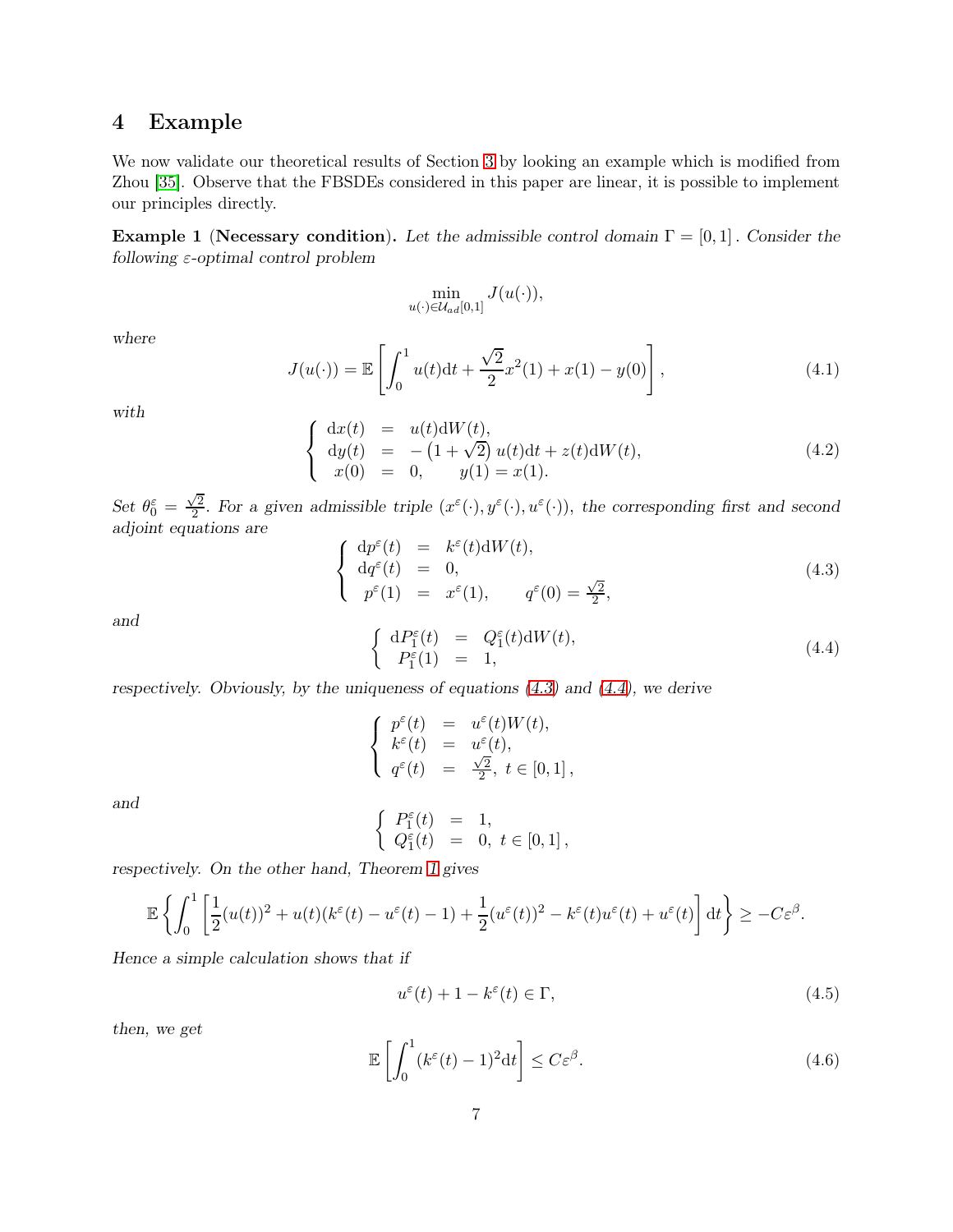# <span id="page-6-0"></span>4 Example

We now validate our theoretical results of Section [3](#page-4-0) by looking an example which is modified from Zhou [\[35\]](#page-27-12). Observe that the FBSDEs considered in this paper are linear, it is possible to implement our principles directly.

**Example 1** (Necessary condition). Let the admissible control domain  $\Gamma = [0, 1]$ . Consider the following  $\varepsilon$ -optimal control problem

$$
\min_{u(\cdot)\in\mathcal{U}_{ad}[0,1]} J(u(\cdot)),
$$

where

$$
J(u(\cdot)) = \mathbb{E}\left[\int_0^1 u(t)dt + \frac{\sqrt{2}}{2}x^2(1) + x(1) - y(0)\right],
$$
\n(4.1)

with

$$
\begin{cases}\n\mathrm{d}x(t) = u(t)\mathrm{d}W(t), \\
\mathrm{d}y(t) = -(1+\sqrt{2})u(t)\mathrm{d}t + z(t)\mathrm{d}W(t), \\
x(0) = 0, \quad y(1) = x(1).\n\end{cases}
$$
\n(4.2)

Set  $\theta_0^{\varepsilon} = \frac{\sqrt{2}}{2}$  $\frac{\sqrt{2}}{2}$ . For a given admissible triple  $(x^{\varepsilon}(\cdot), y^{\varepsilon}(\cdot), u^{\varepsilon}(\cdot))$ , the corresponding first and second adjoint equations are

<span id="page-6-1"></span>
$$
\begin{cases}\n\mathrm{d}p^{\varepsilon}(t) = k^{\varepsilon}(t)\mathrm{d}W(t), \\
\mathrm{d}q^{\varepsilon}(t) = 0, \\
p^{\varepsilon}(1) = x^{\varepsilon}(1), \qquad q^{\varepsilon}(0) = \frac{\sqrt{2}}{2},\n\end{cases} (4.3)
$$

and

<span id="page-6-2"></span>
$$
\begin{cases} dP_1^{\varepsilon}(t) = Q_1^{\varepsilon}(t) dW(t), \\ P_1^{\varepsilon}(1) = 1, \end{cases}
$$
\n(4.4)

respectively. Obviously, by the uniqueness of equations  $(4.3)$  and  $(4.4)$ , we derive

$$
\left\{\begin{array}{rcl} p^{\varepsilon}(t) & = & u^{\varepsilon}(t)W(t), \\ k^{\varepsilon}(t) & = & u^{\varepsilon}(t), \\ q^{\varepsilon}(t) & = & \frac{\sqrt{2}}{2}, \ t \in [0,1]\,, \end{array}\right.
$$

and

$$
\left\{\begin{array}{rcl} P_1^\varepsilon(t) & = & 1, \\ Q_1^\varepsilon(t) & = & 0, \ t \in [0,1] \, , \end{array} \right.
$$

respectively. On the other hand, Theorem [1](#page-4-1) gives

$$
\mathbb{E}\left\{\int_0^1 \left[\frac{1}{2}(u(t))^2 + u(t)(k^{\varepsilon}(t) - u^{\varepsilon}(t) - 1) + \frac{1}{2}(u^{\varepsilon}(t))^2 - k^{\varepsilon}(t)u^{\varepsilon}(t) + u^{\varepsilon}(t)\right]dt\right\} \geq -C\varepsilon^{\beta}.
$$

Hence a simple calculation shows that if

<span id="page-6-3"></span>
$$
u^{\varepsilon}(t) + 1 - k^{\varepsilon}(t) \in \Gamma,
$$
\n(4.5)

then, we get

<span id="page-6-4"></span>
$$
\mathbb{E}\left[\int_0^1 (k^{\varepsilon}(t) - 1)^2 dt\right] \le C\varepsilon^{\beta}.
$$
\n(4.6)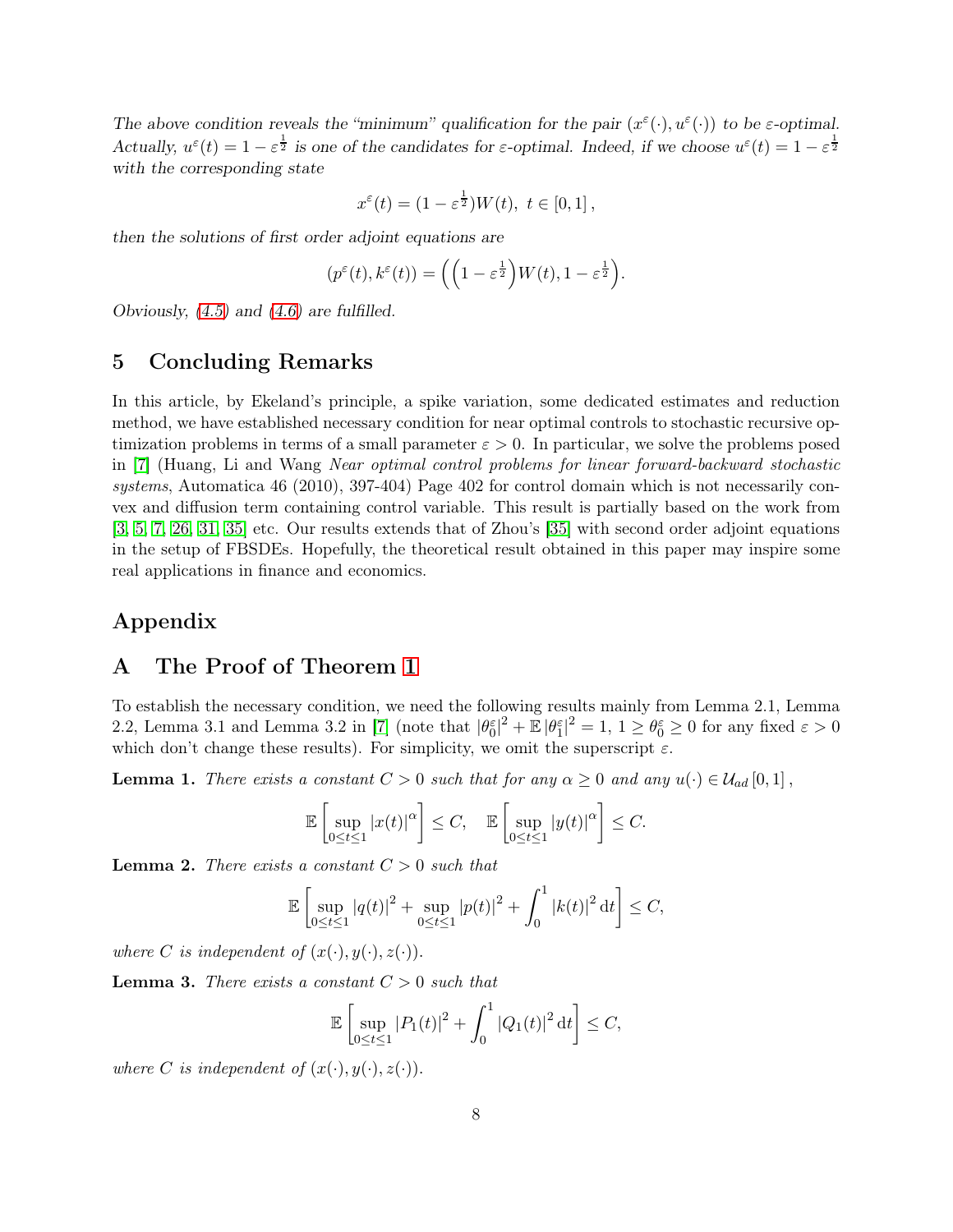The above condition reveals the "minimum" qualification for the pair  $(x^{\varepsilon}(\cdot), u^{\varepsilon}(\cdot))$  to be  $\varepsilon$ -optimal. Actually,  $u^{\varepsilon}(t) = 1 - \varepsilon^{\frac{1}{2}}$  is one of the candidates for  $\varepsilon$ -optimal. Indeed, if we choose  $u^{\varepsilon}(t) = 1 - \varepsilon^{\frac{1}{2}}$ with the corresponding state

$$
x^{\varepsilon}(t)=(1-\varepsilon^{\frac{1}{2}})W(t),\ t\in[0,1]\,,
$$

then the solutions of first order adjoint equations are

$$
(p^{\varepsilon}(t), k^{\varepsilon}(t)) = \left( \left(1 - \varepsilon^{\frac{1}{2}}\right) W(t), 1 - \varepsilon^{\frac{1}{2}} \right).
$$

<span id="page-7-0"></span>Obviously,  $(4.5)$  and  $(4.6)$  are fulfilled.

# 5 Concluding Remarks

In this article, by Ekeland's principle, a spike variation, some dedicated estimates and reduction method, we have established necessary condition for near optimal controls to stochastic recursive optimization problems in terms of a small parameter  $\varepsilon > 0$ . In particular, we solve the problems posed in [\[7\]](#page-26-1) (Huang, Li and Wang Near optimal control problems for linear forward-backward stochastic systems, Automatica 46 (2010), 397-404) Page 402 for control domain which is not necessarily convex and diffusion term containing control variable. This result is partially based on the work from [\[3,](#page-26-5) [5,](#page-26-13) [7,](#page-26-1) [26,](#page-27-7) [31,](#page-27-5) [35\]](#page-27-12) etc. Our results extends that of Zhou's [\[35\]](#page-27-12) with second order adjoint equations in the setup of FBSDEs. Hopefully, the theoretical result obtained in this paper may inspire some real applications in finance and economics.

# Appendix

# A The Proof of Theorem [1](#page-4-1)

To establish the necessary condition, we need the following results mainly from Lemma 2.1, Lemma 2.2, Lemma 3.1 and Lemma 3.2 in [\[7\]](#page-26-1) (note that  $|\theta_0^{\varepsilon}|^2 + \mathbb{E} |\theta_1^{\varepsilon}|^2 = 1$ ,  $1 \ge \theta_0^{\varepsilon} \ge 0$  for any fixed  $\varepsilon > 0$ which don't change these results). For simplicity, we omit the superscript  $\varepsilon$ .

**Lemma 1.** There exists a constant  $C > 0$  such that for any  $\alpha \geq 0$  and any  $u(\cdot) \in \mathcal{U}_{ad}[0,1]$ ,

$$
\mathbb{E}\left[\sup_{0\leq t\leq 1}|x(t)|^{\alpha}\right]\leq C,\quad \mathbb{E}\left[\sup_{0\leq t\leq 1}|y(t)|^{\alpha}\right]\leq C.
$$

**Lemma 2.** There exists a constant  $C > 0$  such that

$$
\mathbb{E}\left[\sup_{0\leq t\leq 1}|q(t)|^2+\sup_{0\leq t\leq 1}|p(t)|^2+\int_0^1|k(t)|^2\,\mathrm{d}t\right]\leq C,
$$

where C is independent of  $(x(\cdot), y(\cdot), z(\cdot))$ .

**Lemma 3.** There exists a constant  $C > 0$  such that

$$
\mathbb{E}\left[\sup_{0\leq t\leq 1}|P_1(t)|^2+\int_0^1|Q_1(t)|^2\,\mathrm{d}t\right]\leq C,
$$

where C is independent of  $(x(\cdot), y(\cdot), z(\cdot))$ .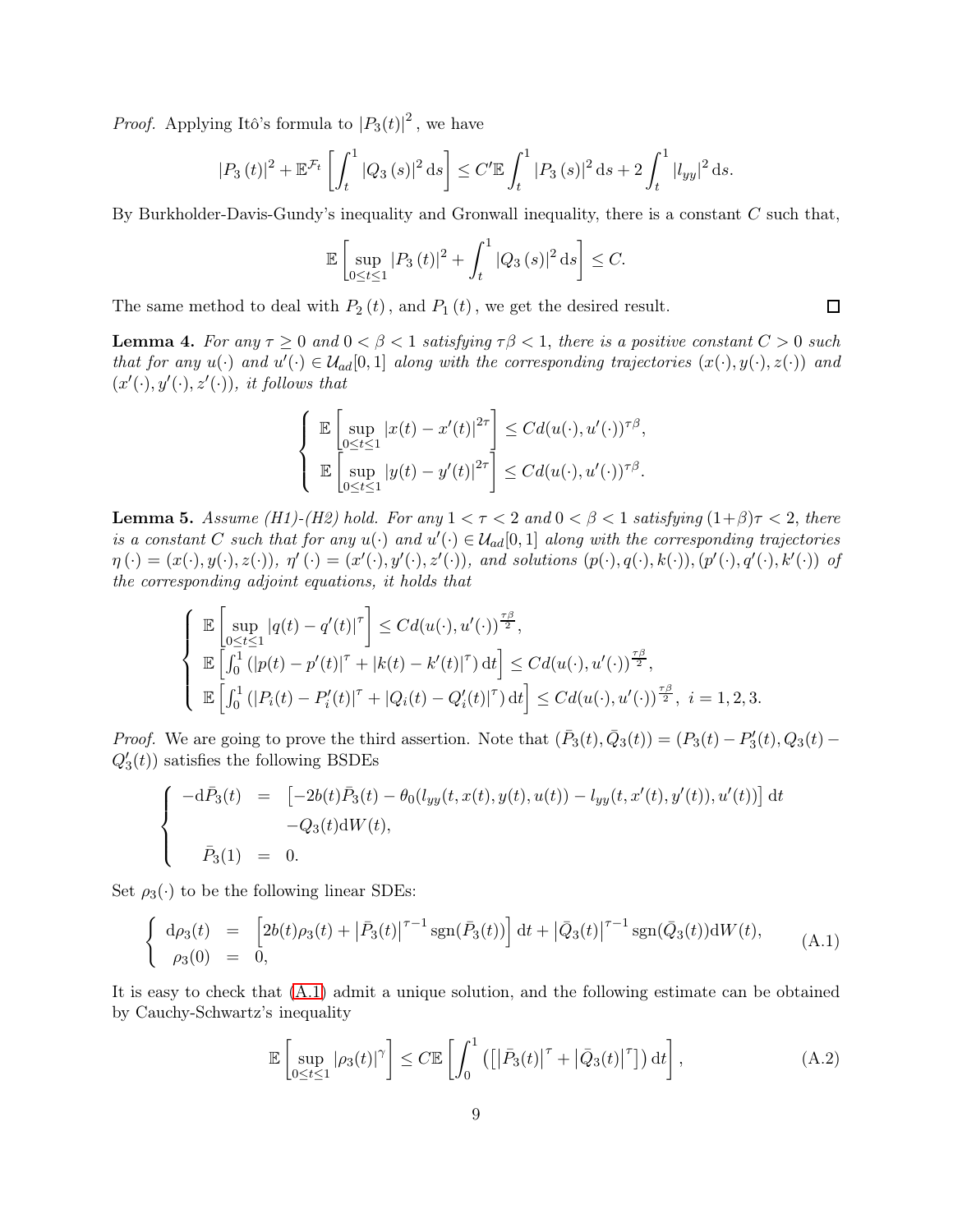*Proof.* Applying Itô's formula to  $|P_3(t)|^2$ , we have

$$
|P_3(t)|^2 + \mathbb{E}^{\mathcal{F}_t} \left[ \int_t^1 |Q_3(s)|^2 \, ds \right] \le C' \mathbb{E} \int_t^1 |P_3(s)|^2 \, ds + 2 \int_t^1 |l_{yy}|^2 \, ds.
$$

By Burkholder-Davis-Gundy's inequality and Gronwall inequality, there is a constant  $C$  such that,

$$
\mathbb{E}\left[\sup_{0\leq t\leq 1}|P_3(t)|^2+\int_t^1|Q_3(s)|^2\,\mathrm{d}s\right]\leq C.
$$

The same method to deal with  $P_2(t)$ , and  $P_1(t)$ , we get the desired result.

**Lemma 4.** For any  $\tau \geq 0$  and  $0 < \beta < 1$  satisfying  $\tau \beta < 1$ , there is a positive constant  $C > 0$  such that for any  $u(\cdot)$  and  $u'(\cdot) \in \mathcal{U}_{ad}[0,1]$  along with the corresponding trajectories  $(x(\cdot), y(\cdot), z(\cdot))$  and  $(x'(\cdot), y'(\cdot), z'(\cdot))$ , it follows that

$$
\left\{\n\begin{array}{l}\n\mathbb{E}\left[\sup_{0\leq t\leq 1}|x(t)-x'(t)|^{2\tau}\right] \leq Cd(u(\cdot),u'(\cdot))^{\tau\beta}, \\
\mathbb{E}\left[\sup_{0\leq t\leq 1}|y(t)-y'(t)|^{2\tau}\right] \leq Cd(u(\cdot),u'(\cdot))^{\tau\beta}.\n\end{array}\n\right.
$$

<span id="page-8-2"></span>**Lemma 5.** Assume (H1)-(H2) hold. For any  $1 < \tau < 2$  and  $0 < \beta < 1$  satisfying  $(1+\beta)\tau < 2$ , there is a constant C such that for any  $u(\cdot)$  and  $u'(\cdot) \in \mathcal{U}_{ad}[0,1]$  along with the corresponding trajectories  $\eta(\cdot)=(x(\cdot),y(\cdot),z(\cdot)),\ \eta'(\cdot)=(x'(\cdot),y'(\cdot),z'(\cdot)),\ and\ solutions\ (\mathbf{p}(\cdot),\mathbf{q}(\cdot),\mathbf{k}(\cdot)),(\mathbf{p}'(\cdot),\mathbf{q}'(\cdot),\mathbf{k}'(\cdot))\ \text{of}\$ the corresponding adjoint equations, it holds that

$$
\left\{\begin{array}{l}\mathbb{E}\left[\displaystyle{\sup_{0\leq t\leq 1}|q(t)-q'(t)|^{\tau}}\right]\leq Cd(u(\cdot),u'(\cdot))^{\frac{\tau\beta}{2}},\\ \mathbb{E}\left[\displaystyle{\int_{0}^{1}(|p(t)-p'(t)|^{\tau}+|k(t)-k'(t)|^{\tau})\,\mathrm{d}t}\right]\leq Cd(u(\cdot),u'(\cdot))^{\frac{\tau\beta}{2}},\\ \mathbb{E}\left[\displaystyle{\int_{0}^{1}(|P_i(t)-P_i'(t)|^{\tau}+|Q_i(t)-Q_i'(t)|^{\tau})\,\mathrm{d}t}\right]\leq Cd(u(\cdot),u'(\cdot))^{\frac{\tau\beta}{2}},\ i=1,2,3.\end{array}\right.
$$

*Proof.* We are going to prove the third assertion. Note that  $(\bar{P}_3(t), \bar{Q}_3(t)) = (P_3(t) - P'_3(t), Q_3(t))$  $Q'_3(t)$  satisfies the following BSDEs

$$
\begin{cases}\n-\mathrm{d}\bar{P}_3(t) &= \left[ -2b(t)\bar{P}_3(t) - \theta_0(l_{yy}(t, x(t), y(t), u(t)) - l_{yy}(t, x'(t), y'(t)), u'(t)) \right] \mathrm{d}t \\
&- Q_3(t) \mathrm{d}W(t), \\
\bar{P}_3(1) &= 0.\n\end{cases}
$$

Set  $\rho_3(\cdot)$  to be the following linear SDEs:

<span id="page-8-0"></span>
$$
\begin{cases} d\rho_3(t) = \left[2b(t)\rho_3(t) + \left|\bar{P}_3(t)\right|^{\tau-1} \text{sgn}(\bar{P}_3(t))\right] dt + \left|\bar{Q}_3(t)\right|^{\tau-1} \text{sgn}(\bar{Q}_3(t)) dW(t), \\ \rho_3(0) = 0, \end{cases} (A.1)
$$

It is easy to check that [\(A.1\)](#page-8-0) admit a unique solution, and the following estimate can be obtained by Cauchy-Schwartz's inequality

<span id="page-8-1"></span>
$$
\mathbb{E}\left[\sup_{0\leq t\leq 1}|\rho_3(t)|^{\gamma}\right] \leq C \mathbb{E}\left[\int_0^1 \left(\left[\left|\bar{P}_3(t)\right|^{\tau} + \left|\bar{Q}_3(t)\right|^{\tau}\right]\right) \mathrm{d}t\right],\tag{A.2}
$$

 $\Box$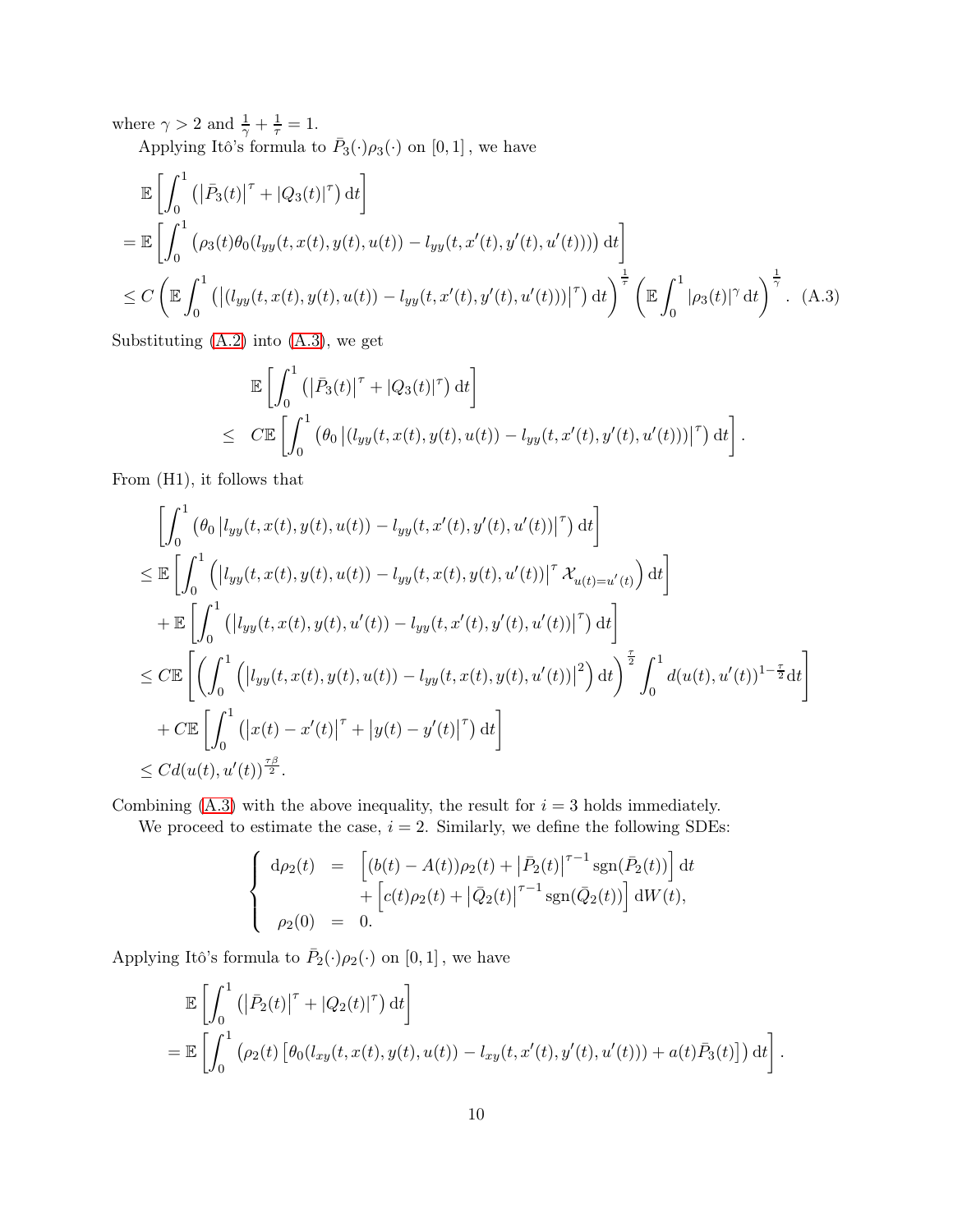where  $\gamma > 2$  and  $\frac{1}{\gamma} + \frac{1}{\tau} = 1$ .

Applying Itô's formula to  $\bar{P}_3(\cdot)\rho_3(\cdot)$  on  $[0,1]$ , we have

$$
\mathbb{E}\left[\int_0^1 \left(\left|\bar{P}_3(t)\right|^{\tau} + \left|Q_3(t)\right|^{\tau}\right) dt\right]
$$
\n
$$
= \mathbb{E}\left[\int_0^1 \left(\rho_3(t)\theta_0(l_{yy}(t, x(t), y(t), u(t)) - l_{yy}(t, x'(t), y'(t), u'(t)))\right) dt\right]
$$
\n
$$
\leq C \left(\mathbb{E}\int_0^1 \left(\left|\left(l_{yy}(t, x(t), y(t), u(t)) - l_{yy}(t, x'(t), y'(t), u'(t))\right|^{\tau}\right) dt\right)^{\frac{1}{\tau}} \left(\mathbb{E}\int_0^1 \left|\rho_3(t)\right|^{\gamma} dt\right)^{\frac{1}{\gamma}} .
$$
\n(A.3)

Substituting [\(A.2\)](#page-8-1) into [\(A.3\)](#page-9-0), we get

<span id="page-9-0"></span>
$$
\mathbb{E}\left[\int_0^1 \left(|\bar{P}_3(t)|^\tau + |Q_3(t)|^\tau\right) dt\right]
$$
  
\n
$$
\leq C \mathbb{E}\left[\int_0^1 \left(\theta_0 \left| (l_{yy}(t, x(t), y(t), u(t)) - l_{yy}(t, x'(t), y'(t), u'(t)))\right|^\tau\right) dt\right].
$$

From (H1), it follows that

$$
\left[\int_{0}^{1} (\theta_{0} |l_{yy}(t, x(t), y(t), u(t)) - l_{yy}(t, x'(t), y'(t), u'(t))|^{T}) dt\right]
$$
\n
$$
\leq \mathbb{E}\left[\int_{0}^{1} (|l_{yy}(t, x(t), y(t), u(t)) - l_{yy}(t, x(t), y(t), u'(t))|^{T} \mathcal{X}_{u(t) = u'(t)}) dt\right]
$$
\n
$$
+ \mathbb{E}\left[\int_{0}^{1} (|l_{yy}(t, x(t), y(t), u'(t)) - l_{yy}(t, x'(t), y'(t), u'(t))|^{T}) dt\right]
$$
\n
$$
\leq C \mathbb{E}\left[\left(\int_{0}^{1} (|l_{yy}(t, x(t), y(t), u(t)) - l_{yy}(t, x(t), y(t), u'(t))|^{2}) dt\right)^{\frac{\tau}{2}} \int_{0}^{1} d(u(t), u'(t))^{1-\frac{\tau}{2}} dt\right]
$$
\n
$$
+ C \mathbb{E}\left[\int_{0}^{1} (|x(t) - x'(t)|^{T} + |y(t) - y'(t)|^{T}) dt\right]
$$
\n
$$
\leq C d(u(t), u'(t))^{\frac{\tau\beta}{2}}.
$$

Combining  $(A.3)$  with the above inequality, the result for  $i = 3$  holds immediately.

We proceed to estimate the case,  $i = 2$ . Similarly, we define the following SDEs:

$$
\begin{cases}\n\mathrm{d}\rho_2(t) = \left[ (b(t) - A(t))\rho_2(t) + \left| \bar{P}_2(t) \right|^{\tau - 1} \mathrm{sgn}(\bar{P}_2(t)) \right] \mathrm{d}t \\
+ \left[ c(t)\rho_2(t) + \left| \bar{Q}_2(t) \right|^{\tau - 1} \mathrm{sgn}(\bar{Q}_2(t)) \right] \mathrm{d}W(t), \\
\rho_2(0) = 0.\n\end{cases}
$$

Applying Itô's formula to  $\bar{P}_2(\cdot)\rho_2(\cdot)$  on  $[0,1]$ , we have

$$
\mathbb{E}\left[\int_0^1 \left(\left|\bar{P}_2(t)\right|^{\tau} + \left|Q_2(t)\right|^{\tau}\right) dt\right]
$$
\n
$$
= \mathbb{E}\left[\int_0^1 \left(\rho_2(t) \left[\theta_0(l_{xy}(t, x(t), y(t), u(t)) - l_{xy}(t, x'(t), y'(t), u'(t))\right) + a(t)\bar{P}_3(t)\right]\right) dt\right].
$$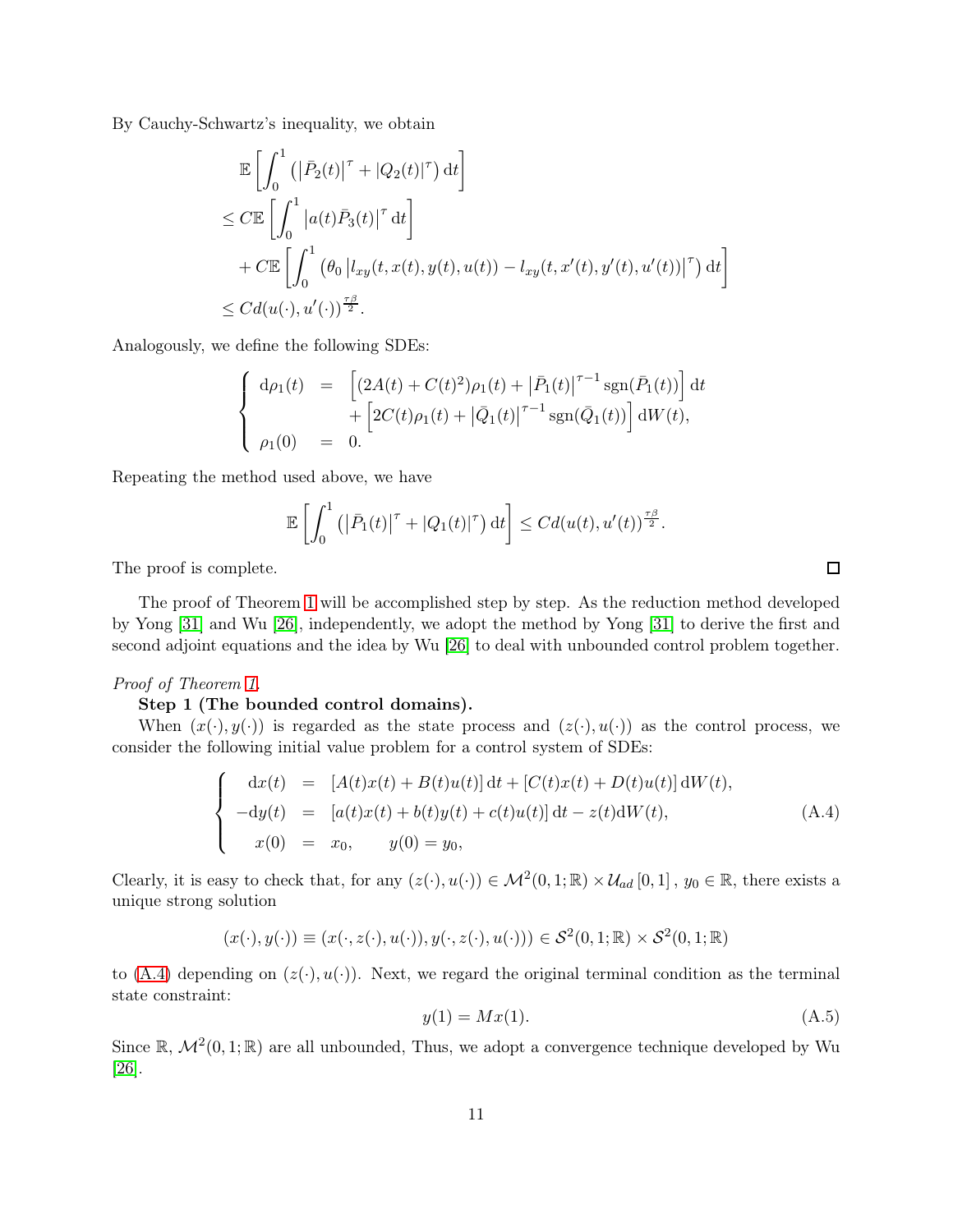By Cauchy-Schwartz's inequality, we obtain

$$
\mathbb{E}\left[\int_0^1 \left(\left|\bar{P}_2(t)\right|^{\tau} + |Q_2(t)|^{\tau}\right) dt\right]
$$
\n
$$
\leq C \mathbb{E}\left[\int_0^1 \left|a(t)\bar{P}_3(t)\right|^{\tau} dt\right]
$$
\n
$$
+ C \mathbb{E}\left[\int_0^1 \left(\theta_0 \left|l_{xy}(t, x(t), y(t), u(t)) - l_{xy}(t, x'(t), y'(t), u'(t))\right|^{\tau}\right) dt\right]
$$
\n
$$
\leq C d(u(\cdot), u'(\cdot))^{\frac{\tau \beta}{2}}.
$$

Analogously, we define the following SDEs:

$$
\begin{cases}\n\mathrm{d}\rho_1(t) &= \left[ (2A(t) + C(t)^2)\rho_1(t) + \left| \bar{P}_1(t) \right|^{\tau-1} \mathrm{sgn}(\bar{P}_1(t)) \right] \mathrm{d}t \\
&+ \left[ 2C(t)\rho_1(t) + \left| \bar{Q}_1(t) \right|^{\tau-1} \mathrm{sgn}(\bar{Q}_1(t)) \right] \mathrm{d}W(t), \\
\rho_1(0) &= 0.\n\end{cases}
$$

Repeating the method used above, we have

$$
\mathbb{E}\left[\int_0^1\left(\left|\bar{P}_1(t)\right|^{\tau}+\left|Q_1(t)\right|^{\tau}\right)\mathrm{d}t\right]\leq C d(u(t),u'(t))^{\frac{\tau\beta}{2}}.
$$

The proof is complete.

The proof of Theorem [1](#page-4-1) will be accomplished step by step. As the reduction method developed by Yong [\[31\]](#page-27-5) and Wu [\[26\]](#page-27-7), independently, we adopt the method by Yong [\[31\]](#page-27-5) to derive the first and second adjoint equations and the idea by Wu [\[26\]](#page-27-7) to deal with unbounded control problem together.

#### Proof of Theorem [1.](#page-4-1)

### Step 1 (The bounded control domains).

When  $(x(\cdot), y(\cdot))$  is regarded as the state process and  $(z(\cdot), u(\cdot))$  as the control process, we consider the following initial value problem for a control system of SDEs:

<span id="page-10-0"></span>
$$
\begin{cases}\n\mathrm{d}x(t) = [A(t)x(t) + B(t)u(t)] \, \mathrm{d}t + [C(t)x(t) + D(t)u(t)] \, \mathrm{d}W(t), \\
-\mathrm{d}y(t) = [a(t)x(t) + b(t)y(t) + c(t)u(t)] \, \mathrm{d}t - z(t) \, \mathrm{d}W(t), \\
x(0) = x_0, \qquad y(0) = y_0,\n\end{cases} (A.4)
$$

Clearly, it is easy to check that, for any  $(z(\cdot), u(\cdot)) \in \mathcal{M}^2(0, 1; \mathbb{R}) \times \mathcal{U}_{ad}[0, 1], y_0 \in \mathbb{R}$ , there exists a unique strong solution

$$
(x(\cdot), y(\cdot)) \equiv (x(\cdot, z(\cdot), u(\cdot)), y(\cdot, z(\cdot), u(\cdot))) \in \mathcal{S}^2(0, 1; \mathbb{R}) \times \mathcal{S}^2(0, 1; \mathbb{R})
$$

to [\(A.4\)](#page-10-0) depending on  $(z(\cdot), u(\cdot))$ . Next, we regard the original terminal condition as the terminal state constraint:

<span id="page-10-1"></span>
$$
y(1) = Mx(1). \tag{A.5}
$$

Since  $\mathbb{R}, \mathcal{M}^2(0,1;\mathbb{R})$  are all unbounded, Thus, we adopt a convergence technique developed by Wu [\[26\]](#page-27-7).

 $\Box$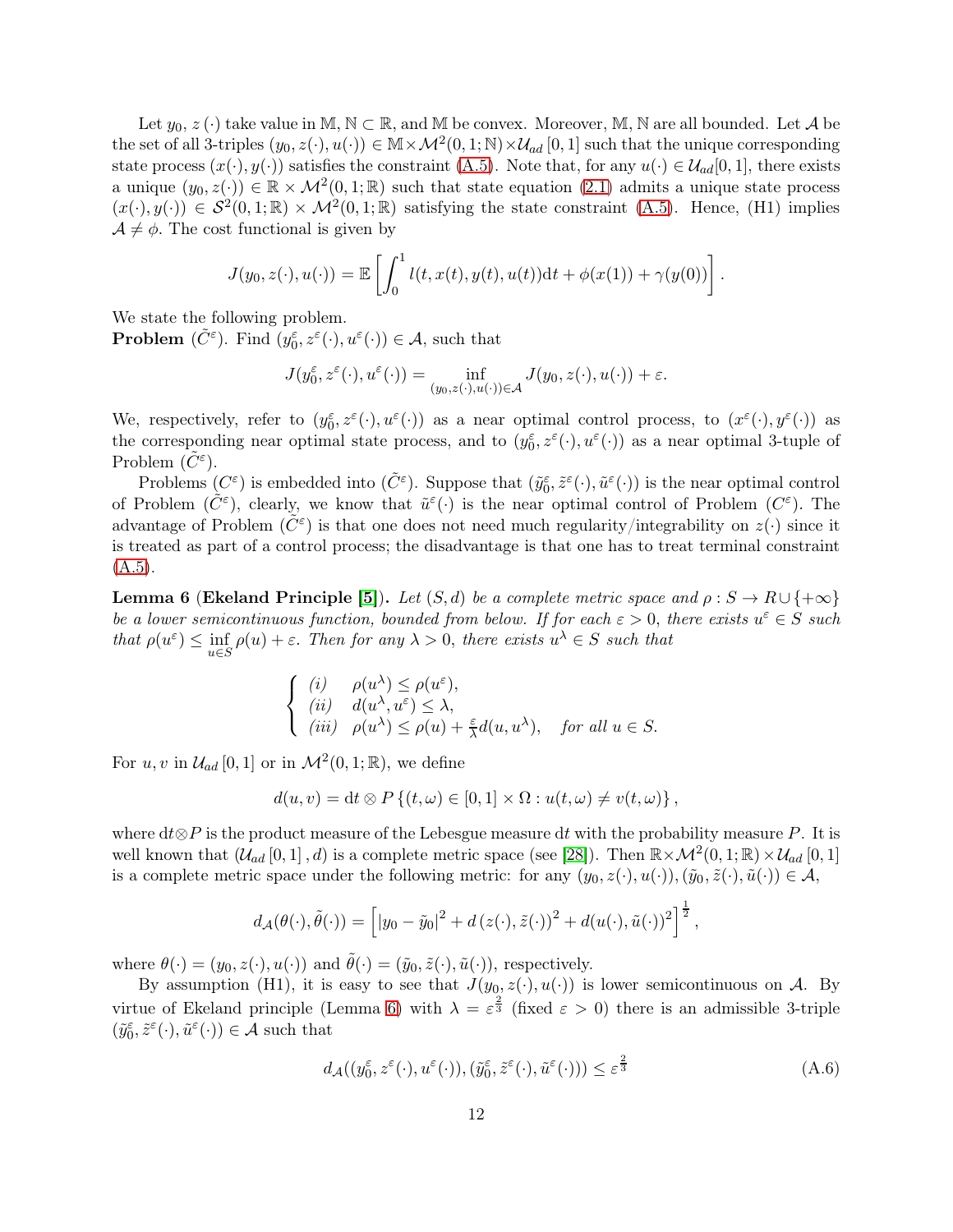Let  $y_0, z$  ( $\cdot$ ) take value in M,  $\mathbb{N} \subset \mathbb{R}$ , and M be convex. Moreover, M, N are all bounded. Let A be the set of all 3-triples  $(y_0, z(\cdot), u(\cdot)) \in \mathbb{M} \times \mathcal{M}^2(0, 1; \mathbb{N}) \times \mathcal{U}_{ad}[0, 1]$  such that the unique corresponding state process  $(x(\cdot), y(\cdot))$  satisfies the constraint [\(A.5\)](#page-10-1). Note that, for any  $u(\cdot) \in \mathcal{U}_{ad}[0,1]$ , there exists a unique  $(y_0, z(\cdot)) \in \mathbb{R} \times \mathcal{M}^2(0, 1; \mathbb{R})$  such that state equation  $(2.1)$  admits a unique state process  $(x(\cdot), y(\cdot)) \in S^2(0,1;\mathbb{R}) \times \mathcal{M}^2(0,1;\mathbb{R})$  satisfying the state constraint [\(A.5\)](#page-10-1). Hence, (H1) implies  $\mathcal{A} \neq \phi$ . The cost functional is given by

$$
J(y_0, z(\cdot), u(\cdot)) = \mathbb{E}\left[\int_0^1 l(t, x(t), y(t), u(t))dt + \phi(x(1)) + \gamma(y(0))\right].
$$

We state the following problem.

**Problem**  $(\tilde{C}^{\varepsilon})$ . Find  $(y_0^{\varepsilon}, z^{\varepsilon}(\cdot), u^{\varepsilon}(\cdot)) \in \mathcal{A}$ , such that

$$
J(y_0^\varepsilon,z^\varepsilon(\cdot),u^\varepsilon(\cdot))=\inf_{(y_0,z(\cdot),u(\cdot))\in\mathcal{A}}J(y_0,z(\cdot),u(\cdot))+\varepsilon.
$$

We, respectively, refer to  $(y_0^{\varepsilon}, z^{\varepsilon}(\cdot), u^{\varepsilon}(\cdot))$  as a near optimal control process, to  $(x^{\varepsilon}(\cdot), y^{\varepsilon}(\cdot))$  as the corresponding near optimal state process, and to  $(y_0^{\varepsilon}, z^{\varepsilon}(\cdot), u^{\varepsilon}(\cdot))$  as a near optimal 3-tuple of Problem  $(\tilde{C}^{\varepsilon})$ .

Problems  $(C^{\varepsilon})$  is embedded into  $(\tilde{C}^{\varepsilon})$ . Suppose that  $(\tilde{y}_{0}^{\varepsilon}, \tilde{z}^{\varepsilon}(\cdot), \tilde{u}^{\varepsilon}(\cdot))$  is the near optimal control of Problem  $(\tilde{C}^{\varepsilon})$ , clearly, we know that  $\tilde{u}^{\varepsilon}(\cdot)$  is the near optimal control of Problem  $(C^{\varepsilon})$ . The advantage of Problem  $(\tilde{C}^{\varepsilon})$  is that one does not need much regularity/integrability on  $z(\cdot)$  since it is treated as part of a control process; the disadvantage is that one has to treat terminal constraint  $(A.5).$  $(A.5).$ 

<span id="page-11-0"></span>**Lemma 6 (Ekeland Principle [\[5\]](#page-26-13)).** Let  $(S, d)$  be a complete metric space and  $\rho : S \to R \cup \{+\infty\}$ be a lower semicontinuous function, bounded from below. If for each  $\varepsilon > 0$ , there exists  $u^{\varepsilon} \in S$  such that  $\rho(u^{\varepsilon}) \leq \inf_{u \in S}$  $\rho(u) + \varepsilon$ . Then for any  $\lambda > 0$ , there exists  $u^{\lambda} \in S$  such that

$$
\begin{cases}\n(i) & \rho(u^{\lambda}) \leq \rho(u^{\varepsilon}), \\
(ii) & d(u^{\lambda}, u^{\varepsilon}) \leq \lambda, \\
(iii) & \rho(u^{\lambda}) \leq \rho(u) + \frac{\varepsilon}{\lambda} d(u, u^{\lambda}), \quad \text{for all } u \in S.\n\end{cases}
$$

For  $u, v$  in  $\mathcal{U}_{ad} [0, 1]$  or in  $\mathcal{M}^2(0, 1; \mathbb{R})$ , we define

$$
d(u, v) = dt \otimes P\left\{(t, \omega) \in [0, 1] \times \Omega : u(t, \omega) \neq v(t, \omega)\right\},\
$$

where  $d\mathcal{t}\otimes P$  is the product measure of the Lebesgue measure dt with the probability measure P. It is well known that  $(\mathcal{U}_{ad} [0,1], d)$  is a complete metric space (see [\[28\]](#page-27-13)). Then  $\mathbb{R} \times \mathcal{M}^2(0,1;\mathbb{R}) \times \mathcal{U}_{ad} [0,1]$ is a complete metric space under the following metric: for any  $(y_0, z(\cdot), u(\cdot)),(\tilde{y}_0, \tilde{z}(\cdot), \tilde{u}(\cdot)) \in \mathcal{A}$ ,

$$
d_{\mathcal{A}}(\theta(\cdot),\tilde{\theta}(\cdot)) = \left[ |y_0 - \tilde{y}_0|^2 + d(z(\cdot),\tilde{z}(\cdot))^2 + d(u(\cdot),\tilde{u}(\cdot))^2 \right]^{\frac{1}{2}},
$$

where  $\theta(\cdot) = (y_0, z(\cdot), u(\cdot))$  and  $\tilde{\theta}(\cdot) = (\tilde{y}_0, \tilde{z}(\cdot), \tilde{u}(\cdot)),$  respectively.

By assumption (H1), it is easy to see that  $J(y_0, z(\cdot), u(\cdot))$  is lower semicontinuous on A. By virtue of Ekeland principle (Lemma [6\)](#page-11-0) with  $\lambda = \varepsilon^{\frac{2}{3}}$  (fixed  $\varepsilon > 0$ ) there is an admissible 3-triple  $(\tilde{y}_0^{\varepsilon}, \tilde{z}^{\varepsilon}(\cdot), \tilde{u}^{\varepsilon}(\cdot)) \in \mathcal{A}$  such that

<span id="page-11-1"></span>
$$
d_{\mathcal{A}}((y_0^{\varepsilon}, z^{\varepsilon}(\cdot), u^{\varepsilon}(\cdot)), (\tilde{y}_0^{\varepsilon}, \tilde{z}^{\varepsilon}(\cdot), \tilde{u}^{\varepsilon}(\cdot))) \leq \varepsilon^{\frac{2}{3}} \tag{A.6}
$$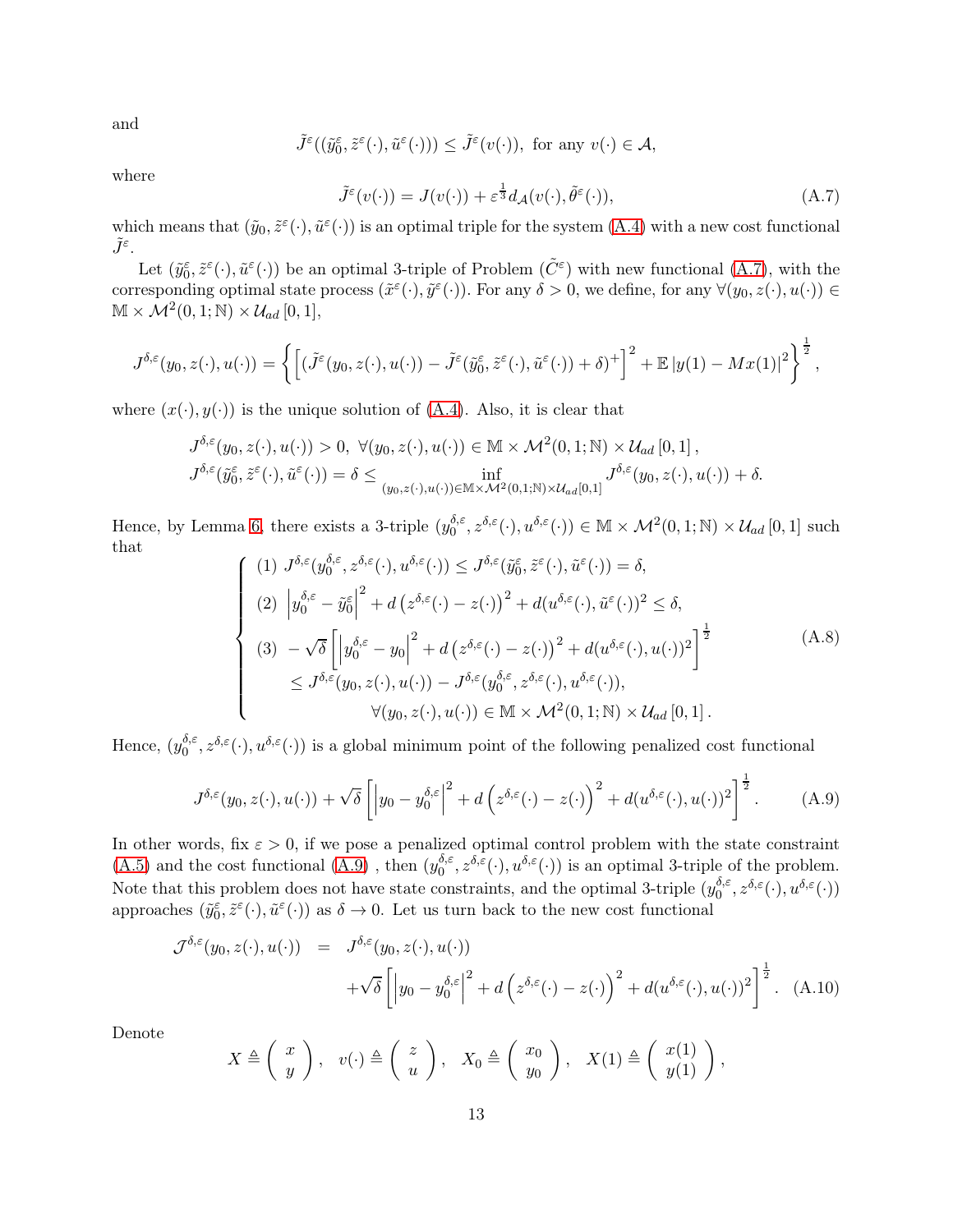and

$$
\tilde{J}^{\varepsilon}((\tilde{y}_{0}^{\varepsilon},\tilde{z}^{\varepsilon}(\cdot),\tilde{u}^{\varepsilon}(\cdot)))\leq\tilde{J}^{\varepsilon}(v(\cdot)),\,\,\text{for any}\,\,v(\cdot)\in\mathcal{A},
$$

where

<span id="page-12-0"></span>
$$
\tilde{J}^{\varepsilon}(v(\cdot)) = J(v(\cdot)) + \varepsilon^{\frac{1}{3}} d_{\mathcal{A}}(v(\cdot), \tilde{\theta}^{\varepsilon}(\cdot)),\tag{A.7}
$$

which means that  $(\tilde{y}_0, \tilde{z}^{\varepsilon}(\cdot), \tilde{u}^{\varepsilon}(\cdot))$  is an optimal triple for the system  $(A.4)$  with a new cost functional  $\tilde{J}^{\varepsilon}$ .

Let  $(\tilde{y}_0^{\varepsilon}, \tilde{z}^{\varepsilon}(\cdot), \tilde{u}^{\varepsilon}(\cdot))$  be an optimal 3-triple of Problem  $(\tilde{C}^{\varepsilon})$  with new functional [\(A.7\)](#page-12-0), with the corresponding optimal state process  $(\tilde{x}^{\varepsilon}(\cdot), \tilde{y}^{\varepsilon}(\cdot))$ . For any  $\delta > 0$ , we define, for any  $\forall (y_0, z(\cdot), u(\cdot)) \in$  $\mathbb{M} \times \mathcal{M}^2(0,1;\mathbb{N}) \times \mathcal{U}_{ad} [0,1],$ 

$$
J^{\delta,\varepsilon}(y_0,z(\cdot),u(\cdot))=\left\{\left[\left(\tilde{J}^{\varepsilon}(y_0,z(\cdot),u(\cdot))-\tilde{J}^{\varepsilon}(\tilde{y}_0^{\varepsilon},\tilde{z}^{\varepsilon}(\cdot),\tilde{u}^{\varepsilon}(\cdot))+\delta\right)^{+}\right]^2+\mathbb{E}\left|y(1)-Mx(1)\right|^2\right\}^{\frac{1}{2}},
$$

where  $(x(\cdot), y(\cdot))$  is the unique solution of [\(A.4\)](#page-10-0). Also, it is clear that

$$
J^{\delta,\varepsilon}(y_0, z(\cdot), u(\cdot)) > 0, \ \forall (y_0, z(\cdot), u(\cdot)) \in \mathbb{M} \times \mathcal{M}^2(0, 1; \mathbb{N}) \times \mathcal{U}_{ad}[0, 1],
$$
  

$$
J^{\delta,\varepsilon}(\tilde{y}_0^{\varepsilon}, \tilde{z}^{\varepsilon}(\cdot), \tilde{u}^{\varepsilon}(\cdot)) = \delta \le \inf_{(y_0, z(\cdot), u(\cdot)) \in \mathbb{M} \times \mathcal{M}^2(0, 1; \mathbb{N}) \times \mathcal{U}_{ad}[0, 1]} J^{\delta,\varepsilon}(y_0, z(\cdot), u(\cdot)) + \delta.
$$

Hence, by Lemma [6,](#page-11-0) there exists a 3-triple  $(y_0^{\delta,\varepsilon})$  $\delta_0^{\delta,\varepsilon}$ ,  $z^{\delta,\varepsilon}(\cdot), u^{\delta,\varepsilon}(\cdot) \in \mathbb{M} \times \mathcal{M}^2(0,1;\mathbb{N}) \times \mathcal{U}_{ad}[0,1]$  such that

<span id="page-12-2"></span>
$$
\begin{cases}\n(1) \ J^{\delta,\varepsilon}(y_0^{\delta,\varepsilon}, z^{\delta,\varepsilon}(\cdot), u^{\delta,\varepsilon}(\cdot)) \leq J^{\delta,\varepsilon}(\tilde{y}_0^{\varepsilon}, \tilde{z}^{\varepsilon}(\cdot), \tilde{u}^{\varepsilon}(\cdot)) = \delta, \\
(2) \ \left|y_0^{\delta,\varepsilon} - \tilde{y}_0^{\varepsilon}\right|^2 + d\left(z^{\delta,\varepsilon}(\cdot) - z(\cdot)\right)^2 + d(u^{\delta,\varepsilon}(\cdot), \tilde{u}^{\varepsilon}(\cdot))^2 \leq \delta, \\
(3) \ -\sqrt{\delta}\left[\left|y_0^{\delta,\varepsilon} - y_0\right|^2 + d\left(z^{\delta,\varepsilon}(\cdot) - z(\cdot)\right)^2 + d(u^{\delta,\varepsilon}(\cdot), u(\cdot))^2\right]^{\frac{1}{2}} \\
\leq J^{\delta,\varepsilon}(y_0, z(\cdot), u(\cdot)) - J^{\delta,\varepsilon}(y_0^{\delta,\varepsilon}, z^{\delta,\varepsilon}(\cdot), u^{\delta,\varepsilon}(\cdot)), \\
\forall (y_0, z(\cdot), u(\cdot)) \in \mathbb{M} \times \mathcal{M}^2(0, 1; \mathbb{N}) \times \mathcal{U}_{ad}[0, 1].\n\end{cases} \tag{A.8}
$$

Hence,  $(y_0^{\delta,\varepsilon})$  $\delta_0^{\delta,\varepsilon}(\cdot), u^{\delta,\varepsilon}(\cdot)$  is a global minimum point of the following penalized cost functional

<span id="page-12-1"></span>
$$
J^{\delta,\varepsilon}(y_0, z(\cdot), u(\cdot)) + \sqrt{\delta} \left[ \left| y_0 - y_0^{\delta,\varepsilon} \right|^2 + d \left( z^{\delta,\varepsilon}(\cdot) - z(\cdot) \right)^2 + d(u^{\delta,\varepsilon}(\cdot), u(\cdot))^2 \right]^{\frac{1}{2}}.
$$
 (A.9)

In other words, fix  $\varepsilon > 0$ , if we pose a penalized optimal control problem with the state constraint  $(A.5)$  and the cost functional  $(A.9)$ , then  $(y_0^{\delta,\epsilon})$  $\delta_0^{\delta,\varepsilon}$ ,  $z^{\delta,\varepsilon}(\cdot), u^{\delta,\varepsilon}(\cdot)$  is an optimal 3-triple of the problem. Note that this problem does not have state constraints, and the optimal 3-triple  $(y_0^{\delta,\varepsilon})$  $\stackrel{\delta,\varepsilon}{0},z^{\delta,\varepsilon}(\cdot),u^{\delta,\varepsilon}(\cdot))$ approaches  $(\tilde{y}_0^{\varepsilon}, \tilde{z}^{\varepsilon}(\cdot), \tilde{u}^{\varepsilon}(\cdot))$  as  $\delta \to 0$ . Let us turn back to the new cost functional

$$
\mathcal{J}^{\delta,\varepsilon}(y_0, z(\cdot), u(\cdot)) = J^{\delta,\varepsilon}(y_0, z(\cdot), u(\cdot)) \n+ \sqrt{\delta} \left[ \left| y_0 - y_0^{\delta,\varepsilon} \right|^2 + d \left( z^{\delta,\varepsilon}(\cdot) - z(\cdot) \right)^2 + d(u^{\delta,\varepsilon}(\cdot), u(\cdot))^2 \right]^{\frac{1}{2}}.
$$
 (A.10)

Denote

$$
X \triangleq \left(\begin{array}{c} x \\ y \end{array}\right), \quad v(\cdot) \triangleq \left(\begin{array}{c} z \\ u \end{array}\right), \quad X_0 \triangleq \left(\begin{array}{c} x_0 \\ y_0 \end{array}\right), \quad X(1) \triangleq \left(\begin{array}{c} x(1) \\ y(1) \end{array}\right),
$$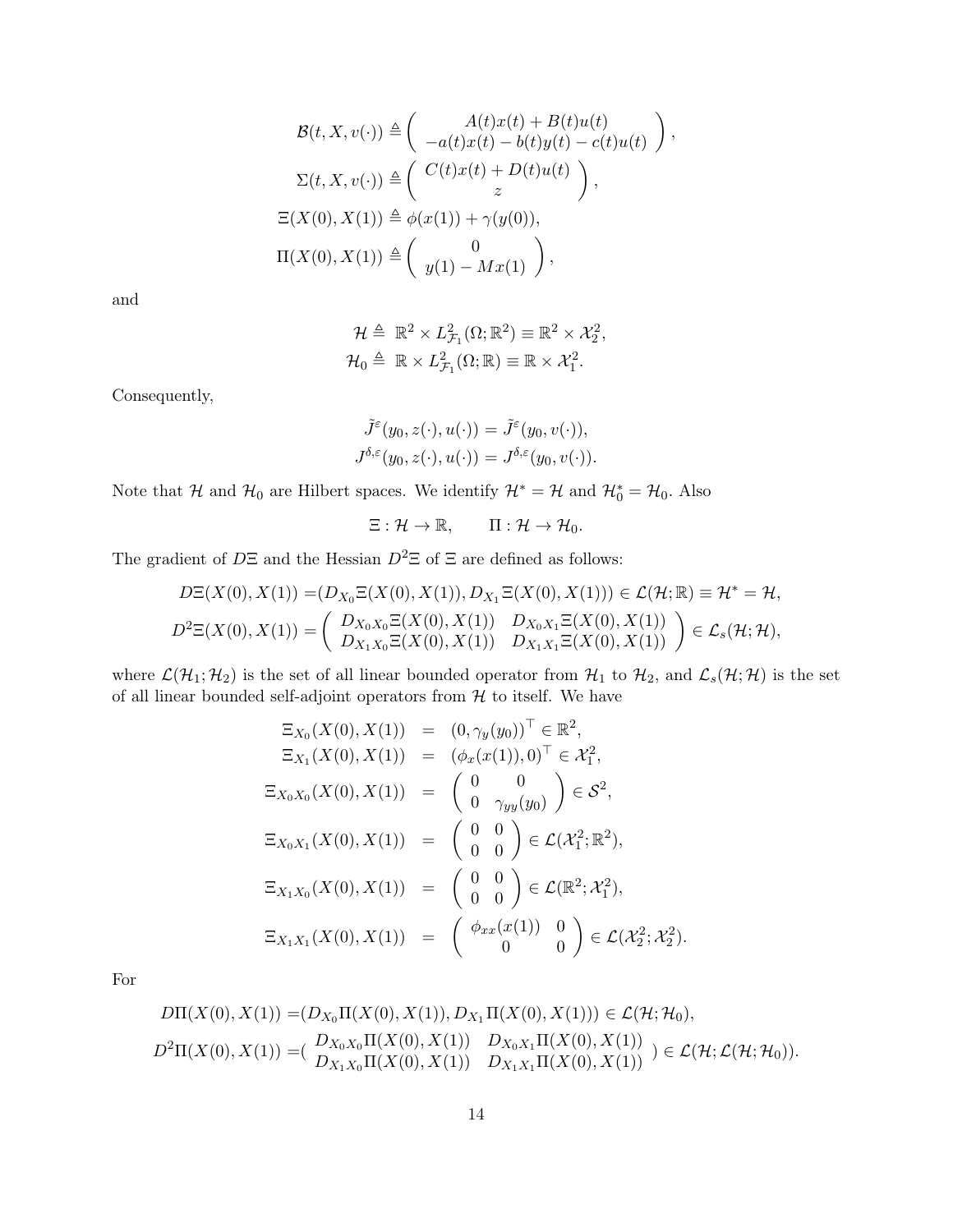$$
\mathcal{B}(t, X, v(\cdot)) \triangleq \begin{pmatrix} A(t)x(t) + B(t)u(t) \\ -a(t)x(t) - b(t)y(t) - c(t)u(t) \end{pmatrix},
$$
  
\n
$$
\Sigma(t, X, v(\cdot)) \triangleq \begin{pmatrix} C(t)x(t) + D(t)u(t) \\ z \end{pmatrix},
$$
  
\n
$$
\Xi(X(0), X(1)) \triangleq \phi(x(1)) + \gamma(y(0)),
$$
  
\n
$$
\Pi(X(0), X(1)) \triangleq \begin{pmatrix} 0 \\ y(1) - Mx(1) \end{pmatrix},
$$

and

$$
\mathcal{H} \triangleq \mathbb{R}^2 \times L_{\mathcal{F}_1}^2(\Omega; \mathbb{R}^2) \equiv \mathbb{R}^2 \times \mathcal{X}_2^2,
$$
  

$$
\mathcal{H}_0 \triangleq \mathbb{R} \times L_{\mathcal{F}_1}^2(\Omega; \mathbb{R}) \equiv \mathbb{R} \times \mathcal{X}_1^2.
$$

Consequently,

$$
\tilde{J}^{\varepsilon}(y_0, z(\cdot), u(\cdot)) = \tilde{J}^{\varepsilon}(y_0, v(\cdot)),
$$
  

$$
J^{\delta, \varepsilon}(y_0, z(\cdot), u(\cdot)) = J^{\delta, \varepsilon}(y_0, v(\cdot)).
$$

Note that  $\mathcal{H}$  and  $\mathcal{H}_0$  are Hilbert spaces. We identify  $\mathcal{H}^* = \mathcal{H}$  and  $\mathcal{H}_0^* = \mathcal{H}_0$ . Also

$$
\Xi: \mathcal{H} \to \mathbb{R}, \qquad \Pi: \mathcal{H} \to \mathcal{H}_0.
$$

The gradient of  $D\Xi$  and the Hessian  $D^2\Xi$  of  $\Xi$  are defined as follows:

$$
D\Xi(X(0), X(1)) = (D_{X_0}\Xi(X(0), X(1)), D_{X_1}\Xi(X(0), X(1))) \in \mathcal{L}(\mathcal{H}; \mathbb{R}) \equiv \mathcal{H}^* = \mathcal{H},
$$
  

$$
D^2\Xi(X(0), X(1)) = \begin{pmatrix} D_{X_0X_0}\Xi(X(0), X(1)) & D_{X_0X_1}\Xi(X(0), X(1)) \\ D_{X_1X_0}\Xi(X(0), X(1)) & D_{X_1X_1}\Xi(X(0), X(1)) \end{pmatrix} \in \mathcal{L}_s(\mathcal{H}; \mathcal{H}),
$$

where  $\mathcal{L}(\mathcal{H}_1; \mathcal{H}_2)$  is the set of all linear bounded operator from  $\mathcal{H}_1$  to  $\mathcal{H}_2$ , and  $\mathcal{L}_s(\mathcal{H}; \mathcal{H})$  is the set of all linear bounded self-adjoint operators from  $H$  to itself. We have

$$
\begin{aligned}\n\Xi_{X_0}(X(0), X(1)) &= (0, \gamma_y(y_0))^{\top} \in \mathbb{R}^2, \\
\Xi_{X_1}(X(0), X(1)) &= (\phi_x(x(1)), 0)^{\top} \in \mathcal{X}_1^2, \\
\Xi_{X_0 X_0}(X(0), X(1)) &= \begin{pmatrix} 0 & 0 \\ 0 & \gamma_{yy}(y_0) \end{pmatrix} \in \mathcal{S}^2, \\
\Xi_{X_0 X_1}(X(0), X(1)) &= \begin{pmatrix} 0 & 0 \\ 0 & 0 \end{pmatrix} \in \mathcal{L}(\mathcal{X}_1^2; \mathbb{R}^2), \\
\Xi_{X_1 X_0}(X(0), X(1)) &= \begin{pmatrix} 0 & 0 \\ 0 & 0 \end{pmatrix} \in \mathcal{L}(\mathbb{R}^2; \mathcal{X}_1^2), \\
\Xi_{X_1 X_1}(X(0), X(1)) &= \begin{pmatrix} \phi_{xx}(x(1)) & 0 \\ 0 & 0 \end{pmatrix} \in \mathcal{L}(\mathcal{X}_2^2; \mathcal{X}_2^2).\n\end{aligned}
$$

For

$$
D\Pi(X(0), X(1)) = (D_{X_0} \Pi(X(0), X(1)), D_{X_1} \Pi(X(0), X(1))) \in \mathcal{L}(\mathcal{H}; \mathcal{H}_0),
$$
  
\n
$$
D^2 \Pi(X(0), X(1)) = (\frac{D_{X_0 X_0} \Pi(X(0), X(1))}{D_{X_1 X_0} \Pi(X(0), X(1))} \frac{D_{X_0 X_1} \Pi(X(0), X(1))}{D_{X_1 X_1} \Pi(X(0), X(1))}) \in \mathcal{L}(\mathcal{H}; \mathcal{L}(\mathcal{H}; \mathcal{H}_0)).
$$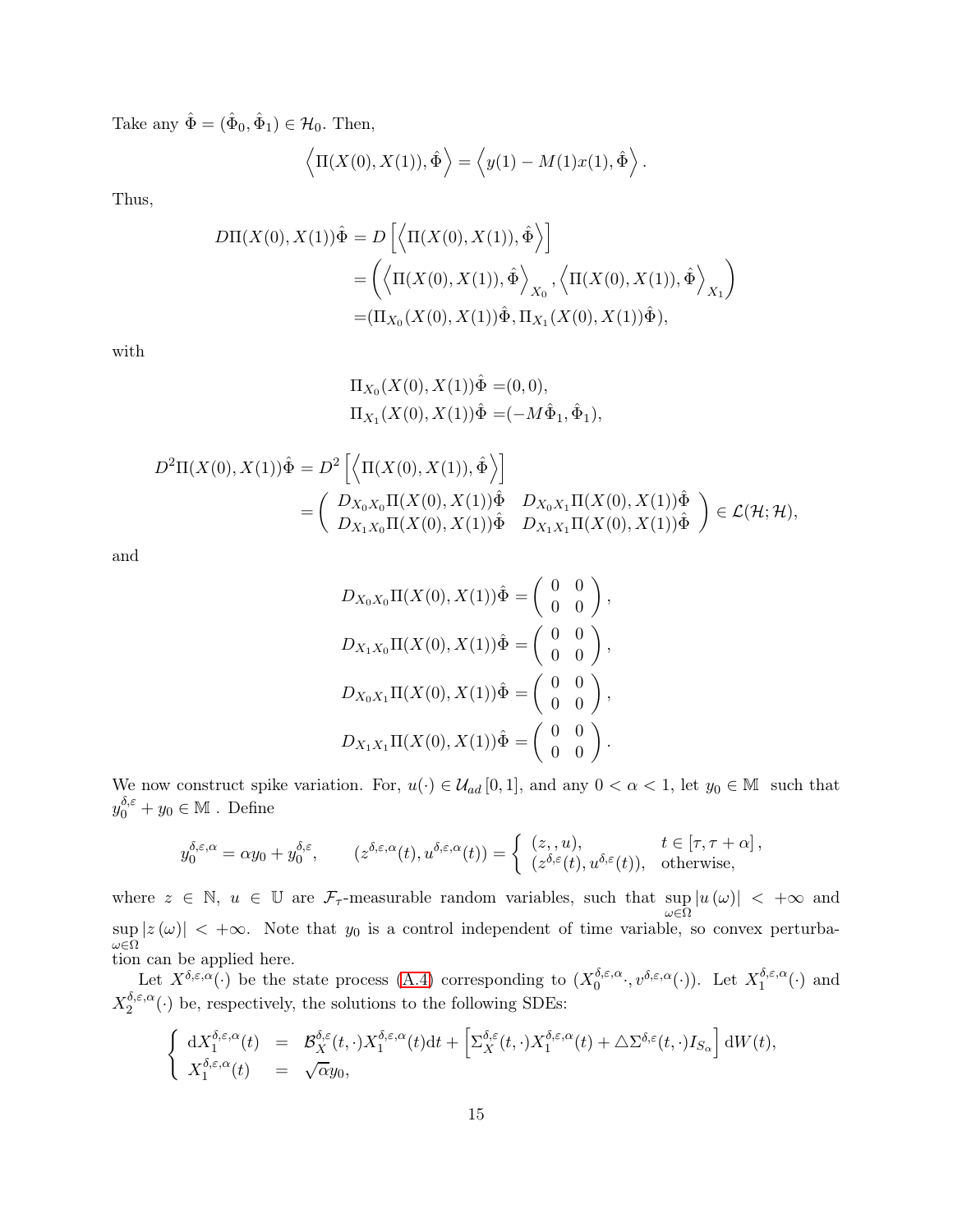Take any  $\hat{\Phi} = (\hat{\Phi}_0, \hat{\Phi}_1) \in \mathcal{H}_0$ . Then,

$$
\langle \Pi(X(0), X(1)), \hat{\Phi} \rangle = \langle y(1) - M(1)x(1), \hat{\Phi} \rangle.
$$

Thus,

$$
D\Pi(X(0), X(1))\hat{\Phi} = D\left[\left\langle \Pi(X(0), X(1)), \hat{\Phi}\right\rangle\right] \\
= \left(\left\langle \Pi(X(0), X(1)), \hat{\Phi}\right\rangle_{X_0}, \left\langle \Pi(X(0), X(1)), \hat{\Phi}\right\rangle_{X_1}\right) \\
= (\Pi_{X_0}(X(0), X(1))\hat{\Phi}, \Pi_{X_1}(X(0), X(1))\hat{\Phi}),
$$

with

$$
\Pi_{X_0}(X(0), X(1))\hat{\Phi} = (0,0),
$$
  
\n
$$
\Pi_{X_1}(X(0), X(1))\hat{\Phi} = (-M\hat{\Phi}_1, \hat{\Phi}_1),
$$

$$
D^{2}\Pi(X(0), X(1))\hat{\Phi} = D^{2}\left[\left\langle \Pi(X(0), X(1)), \hat{\Phi}\right\rangle\right] = \left(\begin{array}{cc} D_{X_{0}X_{0}}\Pi(X(0), X(1))\hat{\Phi} & D_{X_{0}X_{1}}\Pi(X(0), X(1))\hat{\Phi} \\ D_{X_{1}X_{0}}\Pi(X(0), X(1))\hat{\Phi} & D_{X_{1}X_{1}}\Pi(X(0), X(1))\hat{\Phi} \end{array}\right) \in \mathcal{L}(\mathcal{H}; \mathcal{H}),
$$

and

$$
D_{X_0X_0}\Pi(X(0), X(1))\hat{\Phi} = \begin{pmatrix} 0 & 0 \\ 0 & 0 \end{pmatrix},
$$
  
\n
$$
D_{X_1X_0}\Pi(X(0), X(1))\hat{\Phi} = \begin{pmatrix} 0 & 0 \\ 0 & 0 \end{pmatrix},
$$
  
\n
$$
D_{X_0X_1}\Pi(X(0), X(1))\hat{\Phi} = \begin{pmatrix} 0 & 0 \\ 0 & 0 \end{pmatrix},
$$
  
\n
$$
D_{X_1X_1}\Pi(X(0), X(1))\hat{\Phi} = \begin{pmatrix} 0 & 0 \\ 0 & 0 \end{pmatrix}.
$$

We now construct spike variation. For,  $u(\cdot) \in \mathcal{U}_{ad} [0,1]$ , and any  $0 < \alpha < 1$ , let  $y_0 \in \mathbb{M}$  such that  $y_0^{\delta,\varepsilon} + y_0 \in \mathbb{M}$ . Define

$$
y_0^{\delta,\varepsilon,\alpha} = \alpha y_0 + y_0^{\delta,\varepsilon}, \qquad (z^{\delta,\varepsilon,\alpha}(t), u^{\delta,\varepsilon,\alpha}(t)) = \begin{cases} (z, u), & t \in [\tau, \tau + \alpha], \\ (z^{\delta,\varepsilon}(t), u^{\delta,\varepsilon}(t)), & \text{otherwise,} \end{cases}
$$

where  $z \in \mathbb{N}$ ,  $u \in \mathbb{U}$  are  $\mathcal{F}_{\tau}$ -measurable random variables, such that  $\sup_{\epsilon \in \mathbb{N}} |u(\omega)| < +\infty$  and ω∈Ω sup  $|\sup_{\omega \in \Omega} |z(\omega)| < +\infty$ . Note that  $y_0$  is a control independent of time variable, so convex perturbation can be applied here.

Let  $X^{\delta,\varepsilon,\alpha}(\cdot)$  be the state process [\(A.4\)](#page-10-0) corresponding to  $(X_0^{\delta,\varepsilon,\alpha})$  $\delta, \varepsilon, \alpha, v^{\delta, \varepsilon, \alpha}(\cdot)$ . Let  $X_1^{\delta, \varepsilon, \alpha}$  $l_1^{\sigma,\varepsilon,\alpha}(\cdot)$  and  $X^{\delta,\varepsilon,\alpha}_2$  $2^{0,\varepsilon,\alpha}(\cdot)$  be, respectively, the solutions to the following SDEs:

$$
\begin{cases}\n\mathrm{d}X_1^{\delta,\varepsilon,\alpha}(t) = \mathcal{B}_X^{\delta,\varepsilon}(t,\cdot)X_1^{\delta,\varepsilon,\alpha}(t)\mathrm{d}t + \left[\Sigma_X^{\delta,\varepsilon}(t,\cdot)X_1^{\delta,\varepsilon,\alpha}(t) + \Delta\Sigma^{\delta,\varepsilon}(t,\cdot)I_{S_\alpha}\right] \mathrm{d}W(t), \\
X_1^{\delta,\varepsilon,\alpha}(t) = \sqrt{\alpha}y_0,\n\end{cases}
$$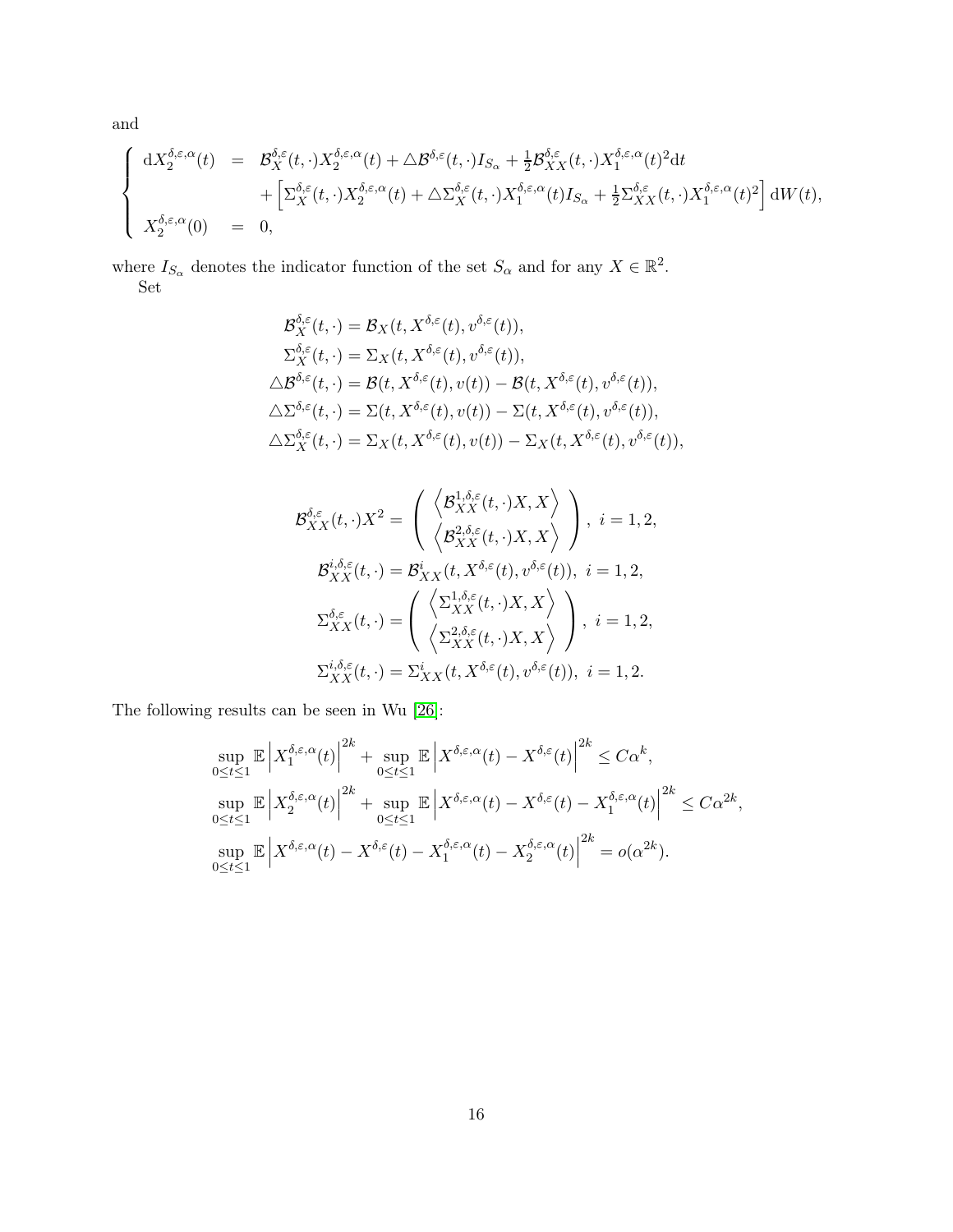and

$$
\label{eq:system} \left\{ \begin{array}{rcl} \mathrm{d} X_2^{\delta,\varepsilon,\alpha}(t) & = & \mathcal{B}_X^{\delta,\varepsilon}(t,\cdot) X_2^{\delta,\varepsilon,\alpha}(t) + \triangle \mathcal{B}^{\delta,\varepsilon}(t,\cdot) I_{S_\alpha} + \tfrac{1}{2} \mathcal{B}_{XX}^{\delta,\varepsilon}(t,\cdot) X_1^{\delta,\varepsilon,\alpha}(t)^2 \mathrm{d} t \\ & & \hspace{10mm} + \left[ \Sigma_X^{\delta,\varepsilon}(t,\cdot) X_2^{\delta,\varepsilon,\alpha}(t) + \triangle \Sigma_X^{\delta,\varepsilon}(t,\cdot) X_1^{\delta,\varepsilon,\alpha}(t) I_{S_\alpha} + \tfrac{1}{2} \Sigma_{XX}^{\delta,\varepsilon}(t,\cdot) X_1^{\delta,\varepsilon,\alpha}(t)^2 \right] \mathrm{d} W(t), \vspace{3mm} \\ X_2^{\delta,\varepsilon,\alpha}(0) & = & 0, \end{array} \right.
$$

where  $I_{S_\alpha}$  denotes the indicator function of the set  $S_\alpha$  and for any  $X \in \mathbb{R}^2$ . Set

$$
\mathcal{B}_{X}^{\delta,\varepsilon}(t,\cdot) = \mathcal{B}_{X}(t,X^{\delta,\varepsilon}(t),v^{\delta,\varepsilon}(t)),
$$
\n
$$
\Sigma_{X}^{\delta,\varepsilon}(t,\cdot) = \Sigma_{X}(t,X^{\delta,\varepsilon}(t),v^{\delta,\varepsilon}(t)),
$$
\n
$$
\Delta \mathcal{B}^{\delta,\varepsilon}(t,\cdot) = \mathcal{B}(t,X^{\delta,\varepsilon}(t),v(t)) - \mathcal{B}(t,X^{\delta,\varepsilon}(t),v^{\delta,\varepsilon}(t)),
$$
\n
$$
\Delta \Sigma^{\delta,\varepsilon}(t,\cdot) = \Sigma(t,X^{\delta,\varepsilon}(t),v(t)) - \Sigma(t,X^{\delta,\varepsilon}(t),v^{\delta,\varepsilon}(t)),
$$
\n
$$
\Delta \Sigma_{X}^{\delta,\varepsilon}(t,\cdot) = \Sigma_{X}(t,X^{\delta,\varepsilon}(t),v(t)) - \Sigma_{X}(t,X^{\delta,\varepsilon}(t),v^{\delta,\varepsilon}(t)),
$$

$$
\mathcal{B}_{XX}^{\delta,\varepsilon}(t,\cdot)X^2 = \begin{pmatrix} \left\langle \mathcal{B}_{XX}^{1,\delta,\varepsilon}(t,\cdot)X,X\right\rangle \\ \left\langle \mathcal{B}_{XX}^{2,\delta,\varepsilon}(t,\cdot)X,X\right\rangle \end{pmatrix}, i = 1,2,
$$
  

$$
\mathcal{B}_{XX}^{i,\delta,\varepsilon}(t,\cdot) = \mathcal{B}_{XX}^{i}(t,X^{\delta,\varepsilon}(t),v^{\delta,\varepsilon}(t)), i = 1,2,
$$
  

$$
\Sigma_{XX}^{\delta,\varepsilon}(t,\cdot) = \begin{pmatrix} \left\langle \Sigma_{XX}^{1,\delta,\varepsilon}(t,\cdot)X,X\right\rangle \\ \left\langle \Sigma_{XX}^{2,\delta,\varepsilon}(t,\cdot)X,X\right\rangle \end{pmatrix}, i = 1,2,
$$
  

$$
\Sigma_{XX}^{i,\delta,\varepsilon}(t,\cdot) = \Sigma_{XX}^{i}(t,X^{\delta,\varepsilon}(t),v^{\delta,\varepsilon}(t)), i = 1,2.
$$

The following results can be seen in Wu [\[26\]](#page-27-7):

$$
\sup_{0 \le t \le 1} \mathbb{E} \left| X_1^{\delta, \varepsilon, \alpha}(t) \right|^{2k} + \sup_{0 \le t \le 1} \mathbb{E} \left| X^{\delta, \varepsilon, \alpha}(t) - X^{\delta, \varepsilon}(t) \right|^{2k} \le C\alpha^k,
$$
  
\n
$$
\sup_{0 \le t \le 1} \mathbb{E} \left| X_2^{\delta, \varepsilon, \alpha}(t) \right|^{2k} + \sup_{0 \le t \le 1} \mathbb{E} \left| X^{\delta, \varepsilon, \alpha}(t) - X^{\delta, \varepsilon}(t) - X_1^{\delta, \varepsilon, \alpha}(t) \right|^{2k} \le C\alpha^{2k},
$$
  
\n
$$
\sup_{0 \le t \le 1} \mathbb{E} \left| X^{\delta, \varepsilon, \alpha}(t) - X^{\delta, \varepsilon}(t) - X_1^{\delta, \varepsilon, \alpha}(t) - X_2^{\delta, \varepsilon, \alpha}(t) \right|^{2k} = o(\alpha^{2k}).
$$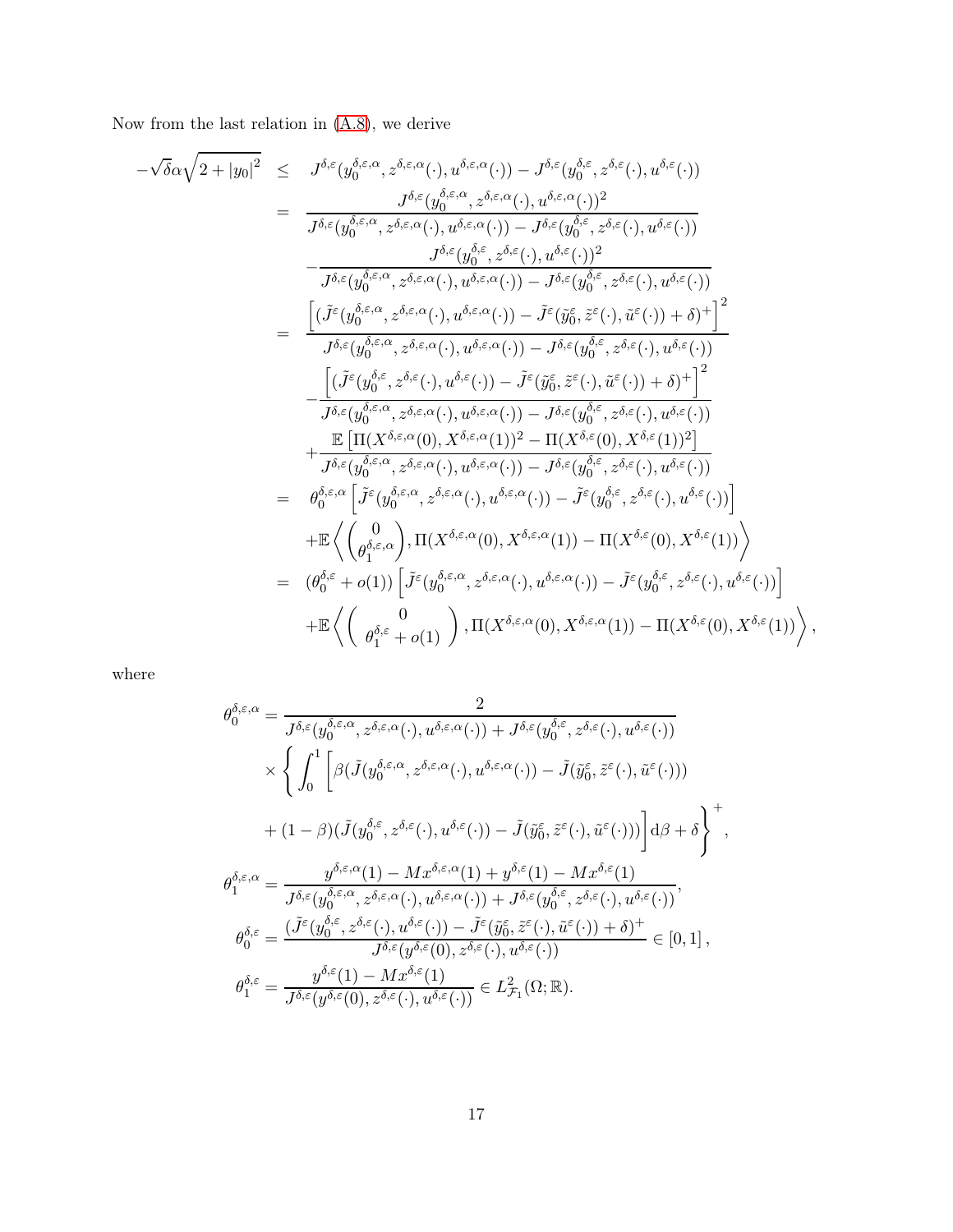Now from the last relation in [\(A.8\)](#page-12-2), we derive

$$
-\sqrt{\delta}\alpha\sqrt{2+|y_{0}|^{2}} \leq J^{\delta,\varepsilon}(y_{0}^{\delta,\varepsilon,\alpha},z^{\delta,\varepsilon,\alpha}(\cdot),u^{\delta,\varepsilon,\alpha}(\cdot))-J^{\delta,\varepsilon}(y_{0}^{\delta,\varepsilon},z^{\delta,\varepsilon}(\cdot),u^{\delta,\varepsilon})
$$
\n
$$
= \frac{J^{\delta,\varepsilon}(y_{0}^{\delta,\varepsilon,\alpha},z^{\delta,\varepsilon,\alpha}(\cdot),u^{\delta,\varepsilon,\alpha}(\cdot))-J^{\delta,\varepsilon}(y_{0}^{\delta,\varepsilon},z^{\delta,\varepsilon}(\cdot),u^{\delta,\varepsilon}(\cdot))}{J^{\delta,\varepsilon}(y_{0}^{\delta,\varepsilon,\alpha},z^{\delta,\varepsilon,\alpha}(\cdot),u^{\delta,\varepsilon,\alpha}(\cdot))-J^{\delta,\varepsilon}(y_{0}^{\delta,\varepsilon},z^{\delta,\varepsilon}(\cdot),u^{\delta,\varepsilon}(\cdot))}
$$
\n
$$
-\frac{J^{\delta,\varepsilon}(y_{0}^{\delta,\varepsilon,\alpha},z^{\delta,\varepsilon,\alpha}(\cdot),u^{\delta,\varepsilon,\alpha}(\cdot))-J^{\delta,\varepsilon}(y_{0}^{\delta,\varepsilon},z^{\delta,\varepsilon}(\cdot),u^{\delta,\varepsilon}(\cdot))}{J^{\delta,\varepsilon}(y_{0}^{\delta,\varepsilon,\alpha},z^{\delta,\varepsilon,\alpha}(\cdot),u^{\delta,\varepsilon,\alpha}(\cdot))-J^{\delta,\varepsilon}(y_{0}^{\delta,\varepsilon},z^{\delta,\varepsilon}(\cdot),u^{\delta,\varepsilon}(\cdot))}
$$
\n
$$
=\frac{\left[\left(\tilde{J}^{\varepsilon}(y_{0}^{\delta,\varepsilon,\alpha},z^{\delta,\varepsilon,\alpha}(\cdot),u^{\delta,\varepsilon,\alpha}(\cdot))-J^{\delta,\varepsilon}(y_{0}^{\delta,\varepsilon},z^{\delta,\varepsilon}(\cdot),u^{\delta,\varepsilon}(\cdot))\right)+\frac{1}{J^{\delta,\varepsilon}(y_{0}^{\delta,\varepsilon},z^{\delta,\varepsilon}(\cdot),u^{\delta,\varepsilon}(\cdot))}-J^{\delta,\varepsilon}(y_{0}^{\delta,\varepsilon},z^{\delta,\varepsilon}(\cdot),u^{\delta,\varepsilon}(\cdot))\right]^{2}}{J^{\delta,\varepsilon}(y
$$

where

$$
\theta_0^{\delta,\varepsilon,\alpha} = \frac{2}{J^{\delta,\varepsilon}(y_0^{\delta,\varepsilon,\alpha},z^{\delta,\varepsilon,\alpha}(\cdot),u^{\delta,\varepsilon,\alpha}(\cdot)) + J^{\delta,\varepsilon}(y_0^{\delta,\varepsilon},z^{\delta,\varepsilon}(\cdot),u^{\delta,\varepsilon}(\cdot))}
$$
\n
$$
\times \left\{ \int_0^1 \left[ \beta(\tilde{J}(y_0^{\delta,\varepsilon,\alpha},z^{\delta,\varepsilon,\alpha}(\cdot),u^{\delta,\varepsilon,\alpha}(\cdot)) - \tilde{J}(\tilde{y}_0^{\varepsilon},\tilde{z}^{\varepsilon}(\cdot),\tilde{u}^{\varepsilon}(\cdot))) \right. \\ \left. + (1-\beta)(\tilde{J}(y_0^{\delta,\varepsilon},z^{\delta,\varepsilon}(\cdot),u^{\delta,\varepsilon}(\cdot)) - \tilde{J}(\tilde{y}_0^{\varepsilon},\tilde{z}^{\varepsilon}(\cdot),\tilde{u}^{\varepsilon}(\cdot))) \right] d\beta + \delta \right\}^+
$$
\n
$$
\theta_1^{\delta,\varepsilon,\alpha} = \frac{y^{\delta,\varepsilon,\alpha}(1) - Mx^{\delta,\varepsilon,\alpha}(1) + y^{\delta,\varepsilon}(1) - Mx^{\delta,\varepsilon}(1)}{J^{\delta,\varepsilon}(y_0^{\delta,\varepsilon,\alpha},z^{\delta,\varepsilon,\alpha}(\cdot),u^{\delta,\varepsilon,\alpha}(\cdot)) + J^{\delta,\varepsilon}(y_0^{\delta,\varepsilon},z^{\delta,\varepsilon}(\cdot),u^{\delta,\varepsilon}(\cdot))},
$$
\n
$$
\theta_0^{\delta,\varepsilon} = \frac{(\tilde{J}^{\varepsilon}(y_0^{\delta,\varepsilon},z^{\delta,\varepsilon}(\cdot),u^{\delta,\varepsilon}(\cdot)) - \tilde{J}^{\varepsilon}(\tilde{y}_0^{\varepsilon},\tilde{z}^{\varepsilon}(\cdot),\tilde{u}^{\varepsilon}(\cdot)) + \delta)^+}{J^{\delta,\varepsilon}(y^{\delta,\varepsilon}(0),z^{\delta,\varepsilon}(\cdot),u^{\delta,\varepsilon}(\cdot))} \in L^2_{\mathcal{F}_1}(\Omega;\mathbb{R}).
$$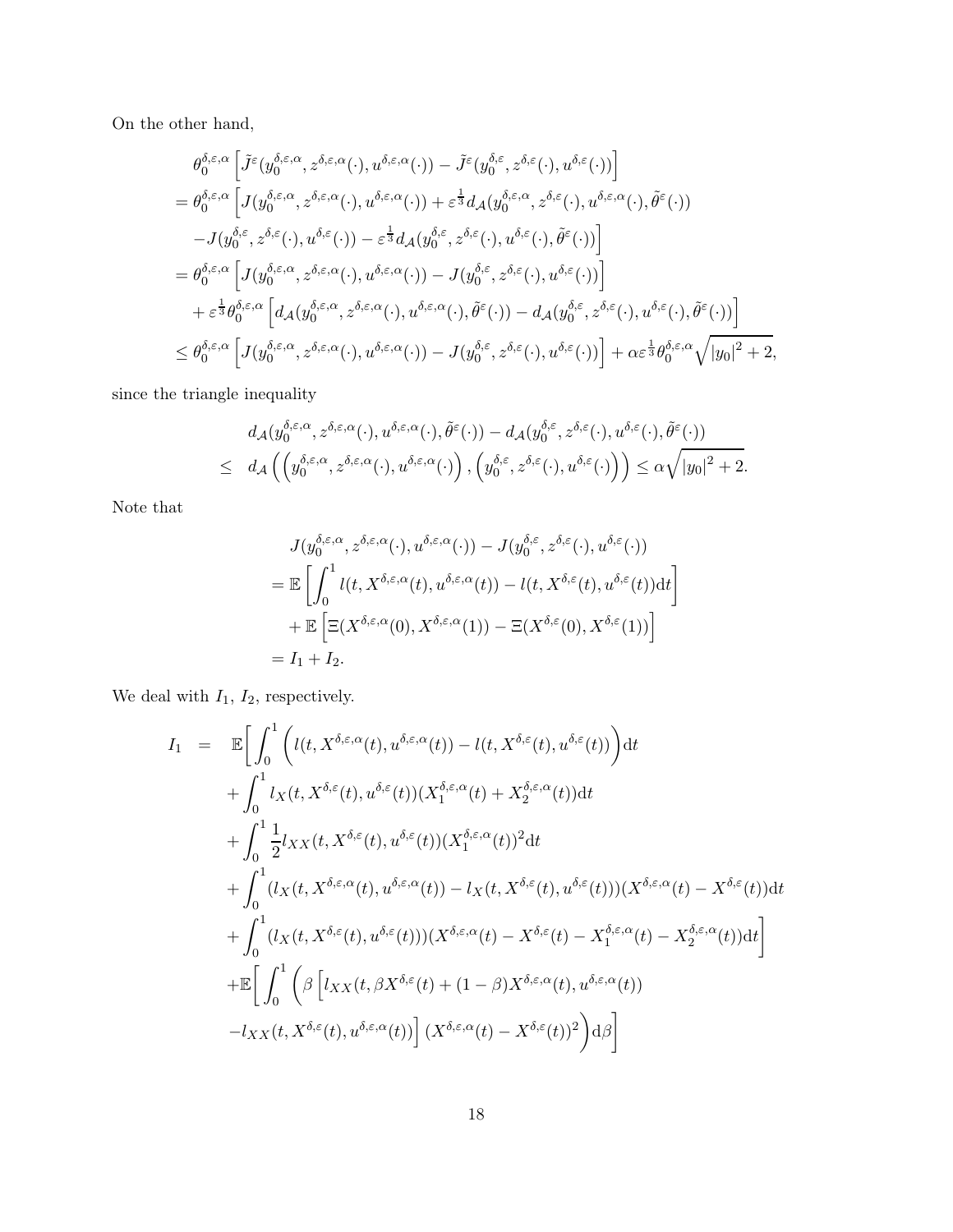On the other hand,

$$
\theta_0^{\delta,\varepsilon,\alpha} \left[ \tilde{J}^{\varepsilon}(y_0^{\delta,\varepsilon,\alpha}, z^{\delta,\varepsilon,\alpha}(\cdot), u^{\delta,\varepsilon,\alpha}(\cdot)) - \tilde{J}^{\varepsilon}(y_0^{\delta,\varepsilon}, z^{\delta,\varepsilon}(\cdot), u^{\delta,\varepsilon}(\cdot)) \right]
$$
\n
$$
= \theta_0^{\delta,\varepsilon,\alpha} \left[ J(y_0^{\delta,\varepsilon,\alpha}, z^{\delta,\varepsilon,\alpha}(\cdot), u^{\delta,\varepsilon,\alpha}(\cdot)) + \varepsilon^{\frac{1}{3}} d_{\mathcal{A}}(y_0^{\delta,\varepsilon,\alpha}, z^{\delta,\varepsilon}(\cdot), u^{\delta,\varepsilon,\alpha}(\cdot), \tilde{\theta}^{\varepsilon}(\cdot)) - J(y_0^{\delta,\varepsilon}, z^{\delta,\varepsilon}(\cdot), u^{\delta,\varepsilon}(\cdot)) - \varepsilon^{\frac{1}{3}} d_{\mathcal{A}}(y_0^{\delta,\varepsilon}, z^{\delta,\varepsilon}(\cdot), u^{\delta,\varepsilon}(\cdot), \tilde{\theta}^{\varepsilon}(\cdot)) \right]
$$
\n
$$
= \theta_0^{\delta,\varepsilon,\alpha} \left[ J(y_0^{\delta,\varepsilon,\alpha}, z^{\delta,\varepsilon,\alpha}(\cdot), u^{\delta,\varepsilon,\alpha}(\cdot)) - J(y_0^{\delta,\varepsilon}, z^{\delta,\varepsilon}(\cdot), u^{\delta,\varepsilon}(\cdot)) \right]
$$
\n
$$
+ \varepsilon^{\frac{1}{3}} \theta_0^{\delta,\varepsilon,\alpha} \left[ d_{\mathcal{A}}(y_0^{\delta,\varepsilon,\alpha}, z^{\delta,\varepsilon,\alpha}(\cdot), u^{\delta,\varepsilon,\alpha}(\cdot), \tilde{\theta}^{\varepsilon}(\cdot)) - d_{\mathcal{A}}(y_0^{\delta,\varepsilon}, z^{\delta,\varepsilon}(\cdot), u^{\delta,\varepsilon}(\cdot), \tilde{\theta}^{\varepsilon}(\cdot)) \right]
$$
\n
$$
\leq \theta_0^{\delta,\varepsilon,\alpha} \left[ J(y_0^{\delta,\varepsilon,\alpha}, z^{\delta,\varepsilon,\alpha}(\cdot), u^{\delta,\varepsilon,\alpha}(\cdot)) - J(y_0^{\delta,\varepsilon}, z^{\delta,\varepsilon}(\cdot), u^{\delta,\varepsilon}(\cdot
$$

since the triangle inequality

$$
\begin{array}{ll} & d_{\mathcal{A}}(y^{\delta,\varepsilon,\alpha}_0,z^{\delta,\varepsilon,\alpha}(\cdot),u^{\delta,\varepsilon,\alpha}(\cdot),\tilde{\theta}^\varepsilon(\cdot))-d_{\mathcal{A}}(y^{\delta,\varepsilon}_0,z^{\delta,\varepsilon}(\cdot),u^{\delta,\varepsilon}(\cdot),\tilde{\theta}^\varepsilon(\cdot)) \\ \leq & d_{\mathcal{A}}\left(\left(y^{\delta,\varepsilon,\alpha}_0,z^{\delta,\varepsilon,\alpha}(\cdot),u^{\delta,\varepsilon,\alpha}(\cdot)\right),\left(y^{\delta,\varepsilon}_0,z^{\delta,\varepsilon}(\cdot),u^{\delta,\varepsilon}(\cdot)\right)\right)\leq \alpha\sqrt{|y_0|^2+2}.\end{array}
$$

Note that

$$
J(y_0^{\delta,\varepsilon,\alpha}, z^{\delta,\varepsilon,\alpha}(\cdot), u^{\delta,\varepsilon,\alpha}(\cdot)) - J(y_0^{\delta,\varepsilon}, z^{\delta,\varepsilon}(\cdot), u^{\delta,\varepsilon}(\cdot))
$$
  
= 
$$
\mathbb{E}\left[\int_0^1 l(t, X^{\delta,\varepsilon,\alpha}(t), u^{\delta,\varepsilon,\alpha}(t)) - l(t, X^{\delta,\varepsilon}(t), u^{\delta,\varepsilon}(t))dt\right]
$$
  
+ 
$$
\mathbb{E}\left[\Xi(X^{\delta,\varepsilon,\alpha}(0), X^{\delta,\varepsilon,\alpha}(1)) - \Xi(X^{\delta,\varepsilon}(0), X^{\delta,\varepsilon}(1))\right]
$$
  
=  $I_1 + I_2$ .

We deal with  ${\cal I}_1,\, {\cal I}_2,$  respectively.

$$
I_{1} = \mathbb{E}\Bigg[\int_{0}^{1} \Big( l(t, X^{\delta,\varepsilon,\alpha}(t), u^{\delta,\varepsilon,\alpha}(t)) - l(t, X^{\delta,\varepsilon}(t), u^{\delta,\varepsilon}(t)) \Big) dt + \int_{0}^{1} l_{X}(t, X^{\delta,\varepsilon}(t), u^{\delta,\varepsilon}(t)) (X_{1}^{\delta,\varepsilon,\alpha}(t) + X_{2}^{\delta,\varepsilon,\alpha}(t)) dt + \int_{0}^{1} \frac{1}{2} l_{XX}(t, X^{\delta,\varepsilon}(t), u^{\delta,\varepsilon}(t)) (X_{1}^{\delta,\varepsilon,\alpha}(t))^{2} dt + \int_{0}^{1} (l_{X}(t, X^{\delta,\varepsilon,\alpha}(t), u^{\delta,\varepsilon,\alpha}(t)) - l_{X}(t, X^{\delta,\varepsilon}(t), u^{\delta,\varepsilon}(t))) (X^{\delta,\varepsilon,\alpha}(t) - X^{\delta,\varepsilon}(t)) dt + \int_{0}^{1} (l_{X}(t, X^{\delta,\varepsilon}(t), u^{\delta,\varepsilon}(t))) (X^{\delta,\varepsilon,\alpha}(t) - X^{\delta,\varepsilon,\alpha}(t) - X_{2}^{\delta,\varepsilon,\alpha}(t)) dt \Bigg] + \mathbb{E}\Bigg[\int_{0}^{1} \Big( \beta \Big[ l_{XX}(t, \beta X^{\delta,\varepsilon}(t) + (1-\beta) X^{\delta,\varepsilon,\alpha}(t), u^{\delta,\varepsilon,\alpha}(t)) \Big] -l_{XX}(t, X^{\delta,\varepsilon}(t), u^{\delta,\varepsilon,\alpha}(t)) \Big] (X^{\delta,\varepsilon,\alpha}(t) - X^{\delta,\varepsilon}(t))^{2} \Big) d\beta \Bigg]
$$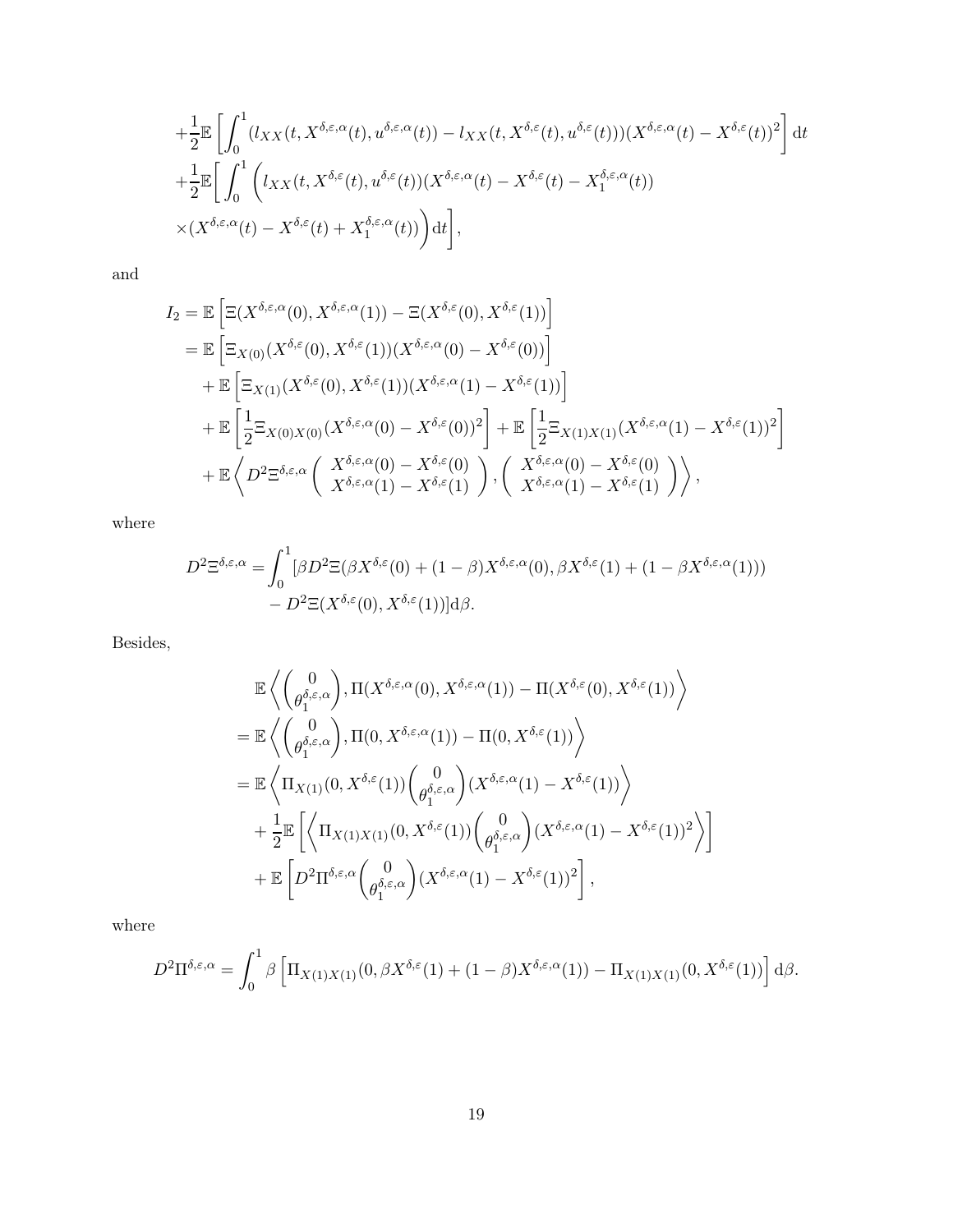$$
+\frac{1}{2}\mathbb{E}\left[\int_0^1(l_{XX}(t,X^{\delta,\varepsilon,\alpha}(t),u^{\delta,\varepsilon,\alpha}(t))-l_{XX}(t,X^{\delta,\varepsilon}(t),u^{\delta,\varepsilon}(t)))(X^{\delta,\varepsilon,\alpha}(t)-X^{\delta,\varepsilon}(t))^2\right]dt
$$
  
 
$$
+\frac{1}{2}\mathbb{E}\left[\int_0^1\left(l_{XX}(t,X^{\delta,\varepsilon}(t),u^{\delta,\varepsilon}(t))(X^{\delta,\varepsilon,\alpha}(t)-X^{\delta,\varepsilon}(t)-X^{\delta,\varepsilon,\alpha}_1(t))\right.\\ \times(X^{\delta,\varepsilon,\alpha}(t)-X^{\delta,\varepsilon}(t)+X^{\delta,\varepsilon,\alpha}_1(t))\right)dt\right],
$$

and

$$
I_2 = \mathbb{E} \left[ \Xi(X^{\delta,\varepsilon,\alpha}(0), X^{\delta,\varepsilon,\alpha}(1)) - \Xi(X^{\delta,\varepsilon}(0), X^{\delta,\varepsilon}(1)) \right]
$$
  
\n
$$
= \mathbb{E} \left[ \Xi_{X(0)}(X^{\delta,\varepsilon}(0), X^{\delta,\varepsilon}(1))(X^{\delta,\varepsilon,\alpha}(0) - X^{\delta,\varepsilon}(0)) \right]
$$
  
\n
$$
+ \mathbb{E} \left[ \Xi_{X(1)}(X^{\delta,\varepsilon}(0), X^{\delta,\varepsilon}(1))(X^{\delta,\varepsilon,\alpha}(1) - X^{\delta,\varepsilon}(1)) \right]
$$
  
\n
$$
+ \mathbb{E} \left[ \frac{1}{2} \Xi_{X(0)X(0)}(X^{\delta,\varepsilon,\alpha}(0) - X^{\delta,\varepsilon}(0))^2 \right] + \mathbb{E} \left[ \frac{1}{2} \Xi_{X(1)X(1)}(X^{\delta,\varepsilon,\alpha}(1) - X^{\delta,\varepsilon}(1))^2 \right]
$$
  
\n
$$
+ \mathbb{E} \left\langle D^2 \Xi^{\delta,\varepsilon,\alpha} \left( \begin{array}{c} X^{\delta,\varepsilon,\alpha}(0) - X^{\delta,\varepsilon}(0) \\ X^{\delta,\varepsilon,\alpha}(1) - X^{\delta,\varepsilon}(1) \end{array} \right), \left( \begin{array}{c} X^{\delta,\varepsilon,\alpha}(0) - X^{\delta,\varepsilon}(0) \\ X^{\delta,\varepsilon,\alpha}(1) - X^{\delta,\varepsilon}(1) \end{array} \right) \right\rangle,
$$

where

$$
D^{2} \Xi^{\delta,\varepsilon,\alpha} = \int_{0}^{1} [\beta D^{2} \Xi(\beta X^{\delta,\varepsilon}(0) + (1-\beta)X^{\delta,\varepsilon,\alpha}(0), \beta X^{\delta,\varepsilon}(1) + (1-\beta X^{\delta,\varepsilon,\alpha}(1))) - D^{2} \Xi(X^{\delta,\varepsilon}(0), X^{\delta,\varepsilon}(1))]d\beta.
$$

Besides,

$$
\mathbb{E}\left\langle \begin{pmatrix} 0\\ \theta_1^{\delta,\varepsilon,\alpha} \end{pmatrix}, \Pi(X^{\delta,\varepsilon,\alpha}(0), X^{\delta,\varepsilon,\alpha}(1)) - \Pi(X^{\delta,\varepsilon}(0), X^{\delta,\varepsilon}(1)) \right\rangle \n= \mathbb{E}\left\langle \begin{pmatrix} 0\\ \theta_1^{\delta,\varepsilon,\alpha} \end{pmatrix}, \Pi(0, X^{\delta,\varepsilon,\alpha}(1)) - \Pi(0, X^{\delta,\varepsilon}(1)) \right\rangle \n= \mathbb{E}\left\langle \Pi_{X(1)}(0, X^{\delta,\varepsilon}(1)) \begin{pmatrix} 0\\ \theta_1^{\delta,\varepsilon,\alpha} \end{pmatrix}(X^{\delta,\varepsilon,\alpha}(1) - X^{\delta,\varepsilon}(1)) \right\rangle \n+ \frac{1}{2} \mathbb{E}\left[ \left\langle \Pi_{X(1)X(1)}(0, X^{\delta,\varepsilon}(1)) \begin{pmatrix} 0\\ \theta_1^{\delta,\varepsilon,\alpha} \end{pmatrix}(X^{\delta,\varepsilon,\alpha}(1) - X^{\delta,\varepsilon}(1))^2 \right\rangle \right] \n+ \mathbb{E}\left[D^2\Pi^{\delta,\varepsilon,\alpha}\begin{pmatrix} 0\\ \theta_1^{\delta,\varepsilon,\alpha}(1) - X^{\delta,\varepsilon}(1))^2 \end{pmatrix},
$$

where

$$
D^{2}\Pi^{\delta,\varepsilon,\alpha} = \int_{0}^{1} \beta \left[ \Pi_{X(1)X(1)}(0,\beta X^{\delta,\varepsilon}(1) + (1-\beta)X^{\delta,\varepsilon,\alpha}(1)) - \Pi_{X(1)X(1)}(0,X^{\delta,\varepsilon}(1)) \right] d\beta.
$$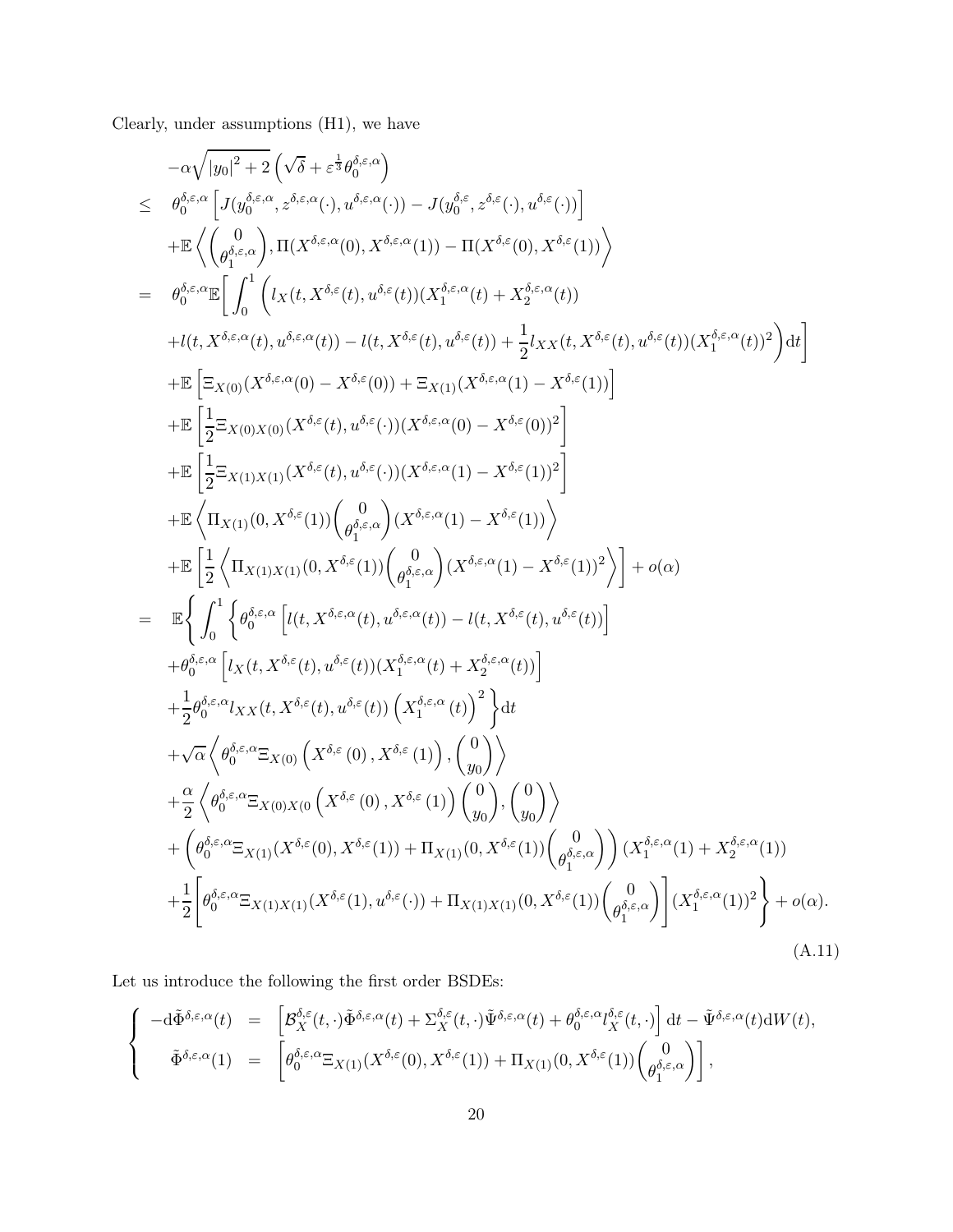Clearly, under assumptions (H1), we have

$$
\begin{array}{lcl} &-\alpha\sqrt{|y_0|^2+2}\left(\sqrt{\delta}+\varepsilon^{\frac{1}{3}}\theta_0^{\delta,\varepsilon,\alpha}(\cdot),u^{\delta,\varepsilon,\alpha}(\cdot))-J(y_0^{\delta,\varepsilon},z^{\delta,\varepsilon}(\cdot),u^{\delta,\varepsilon}(\cdot))\right]\\&+&\mathbb{E}\left\langle \left(\frac{0}{\theta_1^{\delta,\varepsilon,\alpha}}\left[ J(u_0^{\delta,\varepsilon,\alpha}(0),X^{\delta,\varepsilon,\alpha}(1))-\Pi(X^{\delta,\varepsilon}(0),X^{\delta,\varepsilon}(1))\right.\right.\\&\left. &+\mathbb{E}\left\langle \left(\frac{0}{\theta_1^{\delta,\varepsilon,\alpha}}\left[ \int_0^1\left(l_X(t,X^{\delta,\varepsilon}(t),u^{\delta,\varepsilon}(t))(X_1^{\delta,\varepsilon,\alpha}(t)+X_2^{\delta,\varepsilon,\alpha}(t))\right.\right.\right.\\&\left.\left.+u(t,X^{\delta,\varepsilon,\alpha}(t),u^{\delta,\varepsilon,\alpha}(t))-u(t,X^{\delta,\varepsilon}(t),u^{\delta,\varepsilon}(t))+\frac{1}{2}l_{XX}(t,X^{\delta,\varepsilon}(t),u^{\delta,\varepsilon}(t))(X_1^{\delta,\varepsilon,\alpha}(t))\right.\right.\right.\\&\left. &+\mathbb{E}\left[\frac{1}{2}\Xi_{X(0)}(X^{\delta,\varepsilon,\alpha}(0)-X^{\delta,\varepsilon}(0))\right.\\&\left.\left. +\mathbb{E}\left[\frac{1}{2}\Xi_{X(0)}(x_0)(X^{\delta,\varepsilon}(t),u^{\delta,\varepsilon}(\cdot))(X^{\delta,\varepsilon,\alpha}(1)-X^{\delta,\varepsilon}(1))\right]\right.\right.\\&\left.\left. &+\mathbb{E}\left[\frac{1}{2}\Xi_{X(1)X(1)}(X^{\delta,\varepsilon}(t),u^{\delta,\varepsilon}(\cdot))(X^{\delta,\varepsilon,\alpha}(1)-X^{\delta,\varepsilon}(1))\right.\right.\right.\\&\left.\left. &+\mathbb{E}\left[\frac{1}{2}\left\langle \Pi_{X(1)X(1)}(0,X^{\delta,\varepsilon}(1))\left(\frac{0}{\theta_1^{\delta,\varepsilon,\alpha}}(1)-X^{\delta,\varepsilon}(1))\right.\right.\right.\right)\right.\\&\left.\left. &+\
$$

Let us introduce the following the first order BSDEs:

<span id="page-19-0"></span>
$$
\begin{cases}\n-\mathrm{d}\tilde{\Phi}^{\delta,\varepsilon,\alpha}(t) = \left[ \mathcal{B}_X^{\delta,\varepsilon}(t,\cdot)\tilde{\Phi}^{\delta,\varepsilon,\alpha}(t) + \Sigma_X^{\delta,\varepsilon}(t,\cdot)\tilde{\Psi}^{\delta,\varepsilon,\alpha}(t) + \theta_0^{\delta,\varepsilon,\alpha} \mathcal{U}_X^{\delta,\varepsilon}(t,\cdot) \right] \mathrm{d}t - \tilde{\Psi}^{\delta,\varepsilon,\alpha}(t) \mathrm{d}W(t), \\
\tilde{\Phi}^{\delta,\varepsilon,\alpha}(1) = \left[ \theta_0^{\delta,\varepsilon,\alpha} \Xi_{X(1)}(X^{\delta,\varepsilon}(0), X^{\delta,\varepsilon}(1)) + \Pi_{X(1)}(0, X^{\delta,\varepsilon}(1)) \begin{pmatrix} 0 \\ \theta_1^{\delta,\varepsilon,\alpha} \end{pmatrix} \right],\n\end{cases}
$$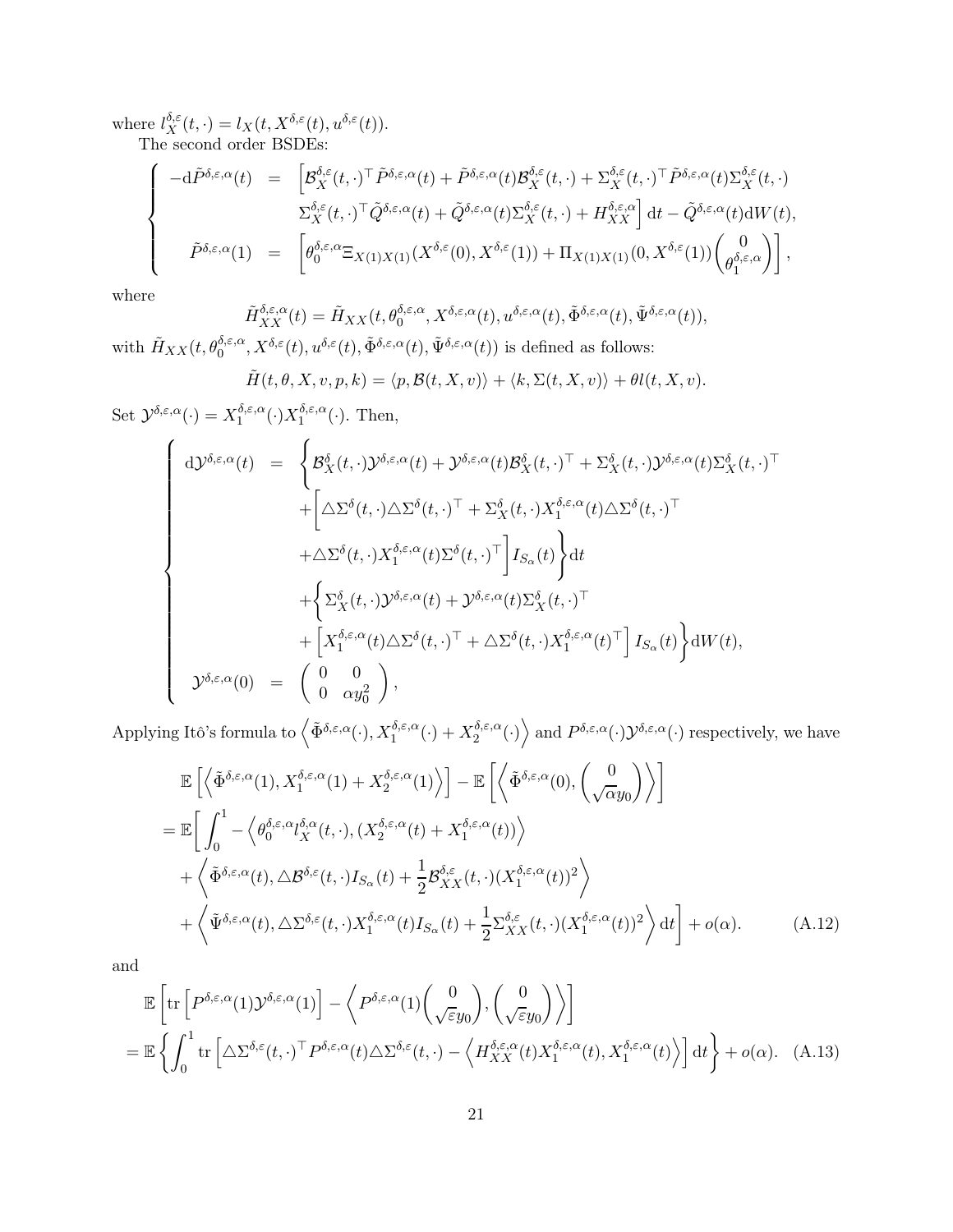where  $l_X^{\delta,\varepsilon}$  $X^{\delta,\varepsilon}(t,\cdot)=l_X(t,X^{\delta,\varepsilon}(t),u^{\delta,\varepsilon}(t)).$ 

The second order BSDEs:

$$
\begin{cases}\n-\mathrm{d}\tilde{P}^{\delta,\varepsilon,\alpha}(t) = \left[ \mathcal{B}_X^{\delta,\varepsilon}(t,\cdot)^{\top} \tilde{P}^{\delta,\varepsilon,\alpha}(t) + \tilde{P}^{\delta,\varepsilon,\alpha}(t) \mathcal{B}_X^{\delta,\varepsilon}(t,\cdot) + \Sigma_X^{\delta,\varepsilon}(t,\cdot)^{\top} \tilde{P}^{\delta,\varepsilon,\alpha}(t) \Sigma_X^{\delta,\varepsilon}(t,\cdot) \right] \\
\sum_{X}^{\delta,\varepsilon}(t,\cdot)^{\top} \tilde{Q}^{\delta,\varepsilon,\alpha}(t) + \tilde{Q}^{\delta,\varepsilon,\alpha}(t) \Sigma_X^{\delta,\varepsilon}(t,\cdot) + H_{XX}^{\delta,\varepsilon,\alpha} \right] \mathrm{d}t - \tilde{Q}^{\delta,\varepsilon,\alpha}(t) \mathrm{d}W(t), \\
\tilde{P}^{\delta,\varepsilon,\alpha}(1) = \left[ \theta_0^{\delta,\varepsilon,\alpha} \Xi_{X(1)X(1)}(X^{\delta,\varepsilon}(0), X^{\delta,\varepsilon}(1)) + \Pi_{X(1)X(1)}(0, X^{\delta,\varepsilon}(1)) \begin{pmatrix} 0 \\ \theta_1^{\delta,\varepsilon,\alpha} \end{pmatrix} \right],\n\end{cases}
$$

where

$$
\tilde{H}_{XX}^{\delta,\varepsilon,\alpha}(t) = \tilde{H}_{XX}(t,\theta_0^{\delta,\varepsilon,\alpha},X^{\delta,\varepsilon,\alpha}(t),u^{\delta,\varepsilon,\alpha}(t),\tilde{\Phi}^{\delta,\varepsilon,\alpha}(t),\tilde{\Psi}^{\delta,\varepsilon,\alpha}(t)),
$$
\n
$$
\mathbf{V}_{XX}^{\delta,\varepsilon}(t) = \tilde{\theta}_{\varepsilon}(t) \tilde{\Phi}_{\varepsilon}^{\delta,\varepsilon,\alpha}(t) \tilde{\Phi}_{\varepsilon}^{\delta,\varepsilon,\alpha}(t),\tilde{\Psi}_{\varepsilon}^{\delta,\varepsilon,\alpha}(t),\tilde{\Psi}_{\varepsilon}^{\delta,\varepsilon,\alpha}(t),
$$

with  $\tilde{H}_{XX}(t, \theta_0^{\delta, \varepsilon, \alpha}, X^{\delta, \varepsilon}(t), u^{\delta, \varepsilon}(t), \tilde{\Phi}^{\delta, \varepsilon, \alpha}(t), \tilde{\Psi}^{\delta, \varepsilon, \alpha}(t))$  is defined as follows:

$$
\tilde{H}(t,\theta,X,v,p,k) = \langle p, \mathcal{B}(t,X,v) \rangle + \langle k, \Sigma(t,X,v) \rangle + \theta l(t,X,v).
$$

Set  $\mathcal{Y}^{\delta,\varepsilon,\alpha}(\cdot) = X_1^{\delta,\varepsilon,\alpha}$  $\Lambda_1^{\delta,\varepsilon,\alpha}(\cdot)X_1^{\delta,\varepsilon,\alpha}$  $i_1^{\sigma,\varepsilon,\alpha}(\cdot)$ . Then,

$$
\begin{cases}\n\mathrm{d}\mathcal{Y}^{\delta,\varepsilon,\alpha}(t) &= \begin{cases}\n\mathcal{B}_{X}^{\delta}(t,\cdot)\mathcal{Y}^{\delta,\varepsilon,\alpha}(t) + \mathcal{Y}^{\delta,\varepsilon,\alpha}(t)\mathcal{B}_{X}^{\delta}(t,\cdot)^{\top} + \Sigma_{X}^{\delta}(t,\cdot)\mathcal{Y}^{\delta,\varepsilon,\alpha}(t)\Sigma_{X}^{\delta}(t,\cdot)^{\top} \\
+ \left[\Delta\Sigma^{\delta}(t,\cdot)\Delta\Sigma^{\delta}(t,\cdot)^{\top} + \Sigma_{X}^{\delta}(t,\cdot)\mathcal{X}_{1}^{\delta,\varepsilon,\alpha}(t)\Delta\Sigma^{\delta}(t,\cdot)^{\top} \\
+ \Delta\Sigma^{\delta}(t,\cdot)\mathcal{X}_{1}^{\delta,\varepsilon,\alpha}(t)\Sigma^{\delta}(t,\cdot)^{\top}\right]I_{S_{\alpha}}(t)\bigg\}\mathrm{d}t \\
+ \left\{\Sigma_{X}^{\delta}(t,\cdot)\mathcal{Y}^{\delta,\varepsilon,\alpha}(t) + \mathcal{Y}^{\delta,\varepsilon,\alpha}(t)\Sigma_{X}^{\delta}(t,\cdot)^{\top} \\
+ \left[\mathcal{X}_{1}^{\delta,\varepsilon,\alpha}(t)\Delta\Sigma^{\delta}(t,\cdot)^{\top} + \Delta\Sigma^{\delta}(t,\cdot)\mathcal{X}_{1}^{\delta,\varepsilon,\alpha}(t)^{\top}\right]I_{S_{\alpha}}(t)\bigg\}\mathrm{d}W(t), \\
\mathcal{Y}^{\delta,\varepsilon,\alpha}(0) &= \begin{pmatrix} 0 & 0 \\
0 & \alpha y_{0}^{2}\end{pmatrix},\n\end{cases}
$$

Applying Itô's formula to  $\left\langle \tilde{\Phi}^{\delta,\varepsilon,\alpha}(\cdot), X_1^{\delta,\varepsilon,\alpha}(\cdot)+X_2^{\delta,\varepsilon,\alpha} \right\rangle$  $\binom{\delta,\varepsilon,\alpha}{2}$  and  $P^{\delta,\varepsilon,\alpha}(\cdot)\mathcal{Y}^{\delta,\varepsilon,\alpha}(\cdot)$  respectively, we have

<span id="page-20-0"></span>
$$
\mathbb{E}\left[\left\langle \tilde{\Phi}^{\delta,\varepsilon,\alpha}(1), X_{1}^{\delta,\varepsilon,\alpha}(1) + X_{2}^{\delta,\varepsilon,\alpha}(1)\right\rangle\right] - \mathbb{E}\left[\left\langle \tilde{\Phi}^{\delta,\varepsilon,\alpha}(0), \left(\frac{0}{\sqrt{\alpha}y_{0}}\right)\right\rangle\right] \n= \mathbb{E}\left[\int_{0}^{1} - \left\langle \theta_{0}^{\delta,\varepsilon,\alpha} \partial_{X}^{\delta,\alpha}(t,\cdot), (X_{2}^{\delta,\varepsilon,\alpha}(t) + X_{1}^{\delta,\varepsilon,\alpha}(t))\right\rangle \n+ \left\langle \tilde{\Phi}^{\delta,\varepsilon,\alpha}(t), \Delta \mathcal{B}^{\delta,\varepsilon}(t,\cdot)I_{S_{\alpha}}(t) + \frac{1}{2}\mathcal{B}_{XX}^{\delta,\varepsilon}(t,\cdot)(X_{1}^{\delta,\varepsilon,\alpha}(t))^{2}\right\rangle \n+ \left\langle \tilde{\Psi}^{\delta,\varepsilon,\alpha}(t), \Delta \Sigma^{\delta,\varepsilon}(t,\cdot)X_{1}^{\delta,\varepsilon,\alpha}(t)I_{S_{\alpha}}(t) + \frac{1}{2}\Sigma_{XX}^{\delta,\varepsilon}(t,\cdot)(X_{1}^{\delta,\varepsilon,\alpha}(t))^{2}\right\rangle dt\right] + o(\alpha).
$$
\n(A.12)

and

<span id="page-20-1"></span>
$$
\mathbb{E}\left[\text{tr}\left[P^{\delta,\varepsilon,\alpha}(1)\mathcal{Y}^{\delta,\varepsilon,\alpha}(1)\right] - \left\langle P^{\delta,\varepsilon,\alpha}(1)\begin{pmatrix} 0\\ \sqrt{\varepsilon}y_0 \end{pmatrix}, \begin{pmatrix} 0\\ \sqrt{\varepsilon}y_0 \end{pmatrix} \right\rangle\right]
$$
\n
$$
= \mathbb{E}\left\{\int_0^1 \text{tr}\left[\Delta\Sigma^{\delta,\varepsilon}(t,\cdot)^\top P^{\delta,\varepsilon,\alpha}(t)\Delta\Sigma^{\delta,\varepsilon}(t,\cdot) - \left\langle H_{XX}^{\delta,\varepsilon,\alpha}(t)X_1^{\delta,\varepsilon,\alpha}(t), X_1^{\delta,\varepsilon,\alpha}(t)\right\rangle\right]dt\right\} + o(\alpha). \quad (A.13)
$$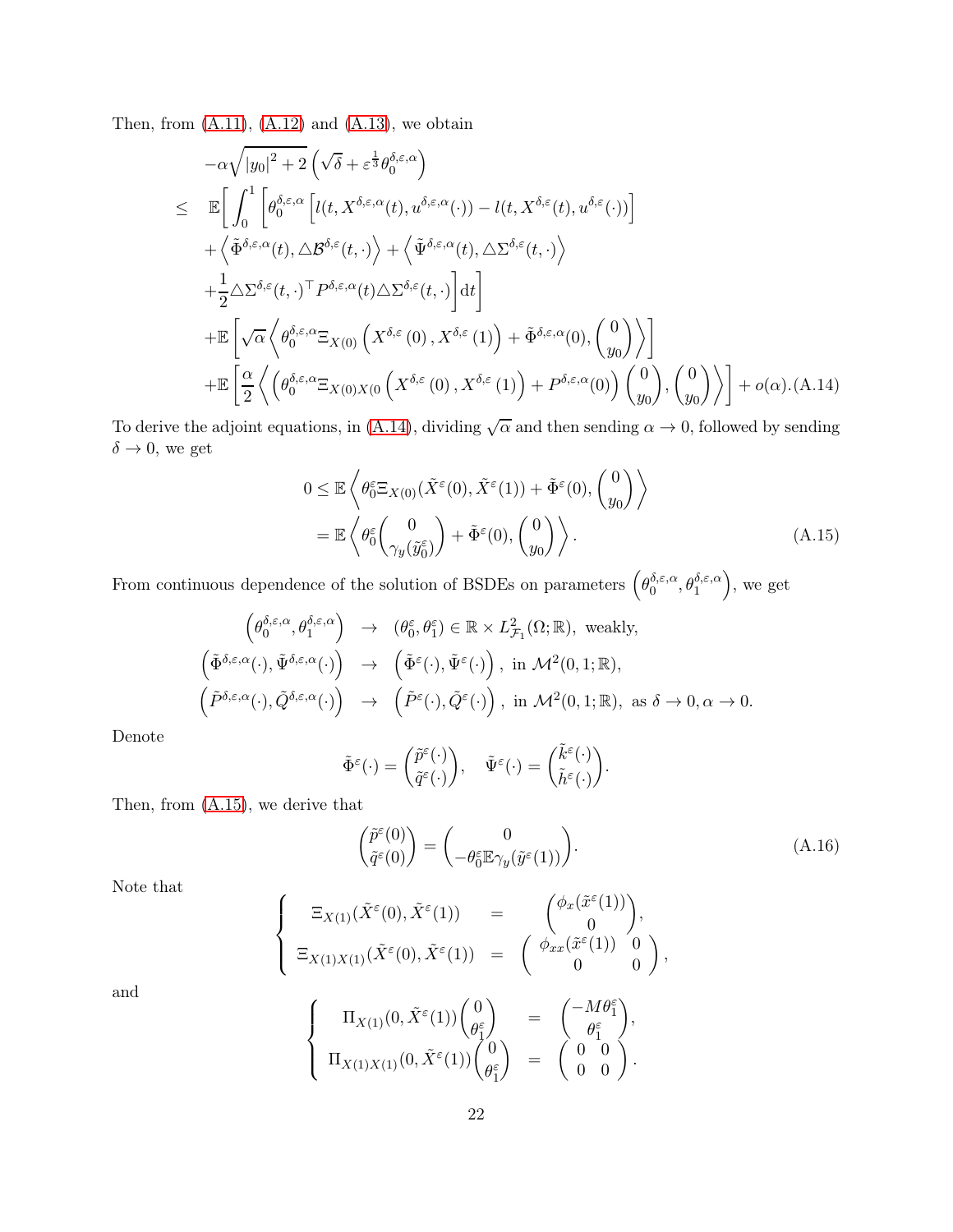Then, from  $(A.11)$ ,  $(A.12)$  and  $(A.13)$ , we obtain

<span id="page-21-0"></span>
$$
-\alpha \sqrt{|y_0|^2 + 2} \left( \sqrt{\delta} + \varepsilon^{\frac{1}{3}} \theta_0^{\delta, \varepsilon, \alpha} \right)
$$
  
\n
$$
\leq \mathbb{E} \bigg[ \int_0^1 \bigg[ \theta_0^{\delta, \varepsilon, \alpha} \Big[ l(t, X^{\delta, \varepsilon, \alpha}(t), u^{\delta, \varepsilon, \alpha}(\cdot)) - l(t, X^{\delta, \varepsilon}(t), u^{\delta, \varepsilon}(\cdot)) \Big] + \bigg\langle \tilde{\Phi}^{\delta, \varepsilon, \alpha}(t), \Delta \mathcal{B}^{\delta, \varepsilon}(t, \cdot) \bigg\rangle + \bigg\langle \tilde{\Psi}^{\delta, \varepsilon, \alpha}(t), \Delta \Sigma^{\delta, \varepsilon}(t, \cdot) \bigg\rangle
$$
  
\n
$$
+ \frac{1}{2} \Delta \Sigma^{\delta, \varepsilon}(t, \cdot)^\top P^{\delta, \varepsilon, \alpha}(t) \Delta \Sigma^{\delta, \varepsilon}(t, \cdot) \bigg] dt \bigg] + \mathbb{E} \bigg[ \sqrt{\alpha} \left\langle \theta_0^{\delta, \varepsilon, \alpha} \Xi_{X(0)} \left( X^{\delta, \varepsilon}(0), X^{\delta, \varepsilon}(1) \right) + \tilde{\Phi}^{\delta, \varepsilon, \alpha}(0), \begin{pmatrix} 0 \\ y_0 \end{pmatrix} \right\rangle \bigg]
$$
  
\n
$$
+ \mathbb{E} \bigg[ \frac{\alpha}{2} \left\langle \left( \theta_0^{\delta, \varepsilon, \alpha} \Xi_{X(0)X(0} \left( X^{\delta, \varepsilon}(0), X^{\delta, \varepsilon}(1) \right) + P^{\delta, \varepsilon, \alpha}(0) \right) \begin{pmatrix} 0 \\ y_0 \end{pmatrix}, \begin{pmatrix} 0 \\ y_0 \end{pmatrix} \right\rangle \bigg] + o(\alpha) \cdot (A \cdot 14)
$$

To derive the adjoint equations, in [\(A.14\)](#page-21-0), dividing  $\sqrt{\alpha}$  and then sending  $\alpha \to 0$ , followed by sending  $\delta \rightarrow 0$ , we get

<span id="page-21-1"></span>
$$
0 \leq \mathbb{E}\left\langle \theta_0^{\varepsilon} \Xi_{X(0)}(\tilde{X}^{\varepsilon}(0), \tilde{X}^{\varepsilon}(1)) + \tilde{\Phi}^{\varepsilon}(0), \begin{pmatrix} 0\\y_0 \end{pmatrix} \right\rangle
$$
  
=  $\mathbb{E}\left\langle \theta_0^{\varepsilon}\begin{pmatrix} 0\\ \gamma_y(\tilde{y}_0^{\varepsilon}) \end{pmatrix} + \tilde{\Phi}^{\varepsilon}(0), \begin{pmatrix} 0\\y_0 \end{pmatrix} \right\rangle.$  (A.15)

From continuous dependence of the solution of BSDEs on parameters  $(\theta_0^{\delta,\varepsilon,\alpha})$  $\left( \begin{matrix} \delta,\varepsilon,\alpha \\ 0 \end{matrix} , \theta_1^{\delta,\varepsilon,\alpha} \right)$ , we get

$$
\begin{array}{rcl}\n\left(\theta_{0}^{\delta,\varepsilon,\alpha},\theta_{1}^{\delta,\varepsilon,\alpha}\right) & \to & (\theta_{0}^{\varepsilon},\theta_{1}^{\varepsilon}) \in \mathbb{R} \times L_{\mathcal{F}_{1}}^{2}(\Omega;\mathbb{R}), \text{ weakly,} \\
\left(\tilde{\Phi}^{\delta,\varepsilon,\alpha}(\cdot),\tilde{\Psi}^{\delta,\varepsilon,\alpha}(\cdot)\right) & \to & \left(\tilde{\Phi}^{\varepsilon}(\cdot),\tilde{\Psi}^{\varepsilon}(\cdot)\right), \text{ in } \mathcal{M}^{2}(0,1;\mathbb{R}), \\
\left(\tilde{P}^{\delta,\varepsilon,\alpha}(\cdot),\tilde{Q}^{\delta,\varepsilon,\alpha}(\cdot)\right) & \to & \left(\tilde{P}^{\varepsilon}(\cdot),\tilde{Q}^{\varepsilon}(\cdot)\right), \text{ in } \mathcal{M}^{2}(0,1;\mathbb{R}), \text{ as } \delta \to 0, \alpha \to 0.\n\end{array}
$$

Denote

$$
\tilde{\Phi}^{\varepsilon}(\cdot)=\binom{\tilde{p}^{\varepsilon}(\cdot)}{\tilde{q}^{\varepsilon}(\cdot)},\quad \tilde{\Psi}^{\varepsilon}(\cdot)=\binom{\tilde{k}^{\varepsilon}(\cdot)}{\tilde{h}^{\varepsilon}(\cdot)}.
$$

Then, from [\(A.15\)](#page-21-1), we derive that

<span id="page-21-2"></span>
$$
\begin{pmatrix} \tilde{p}^{\varepsilon}(0) \\ \tilde{q}^{\varepsilon}(0) \end{pmatrix} = \begin{pmatrix} 0 \\ -\theta_0^{\varepsilon} \mathbb{E}\gamma_y(\tilde{y}^{\varepsilon}(1)) \end{pmatrix}.
$$
\n(A.16)

Note that

$$
\begin{cases}\n\Xi_{X(1)}(\tilde{X}^{\varepsilon}(0), \tilde{X}^{\varepsilon}(1)) &= \begin{pmatrix} \phi_x(\tilde{x}^{\varepsilon}(1)) \\ 0 \end{pmatrix}, \\
\Xi_{X(1)X(1)}(\tilde{X}^{\varepsilon}(0), \tilde{X}^{\varepsilon}(1)) &= \begin{pmatrix} \phi_{xx}(\tilde{x}^{\varepsilon}(1)) & 0 \\ 0 & 0 \end{pmatrix},\n\end{cases}
$$

and

$$
\left\{\begin{array}{ccc} \Pi_{X(1)}(0,\tilde{X}^{\varepsilon}(1))\begin{pmatrix} 0\\ \theta_{1}^{\varepsilon}\\ \end{pmatrix}&=&\begin{pmatrix} -M\theta_{1}^{\varepsilon}\\ \theta_{1}^{\varepsilon}\\ \end{pmatrix},\\ \Pi_{X(1)X(1)}(0,\tilde{X}^{\varepsilon}(1))\begin{pmatrix} 0\\ \theta_{1}^{\varepsilon}\\ \end{pmatrix}&=&\begin{pmatrix} 0&0\\ 0&0\\ 0&0\\ \end{pmatrix}. \end{array}\right.
$$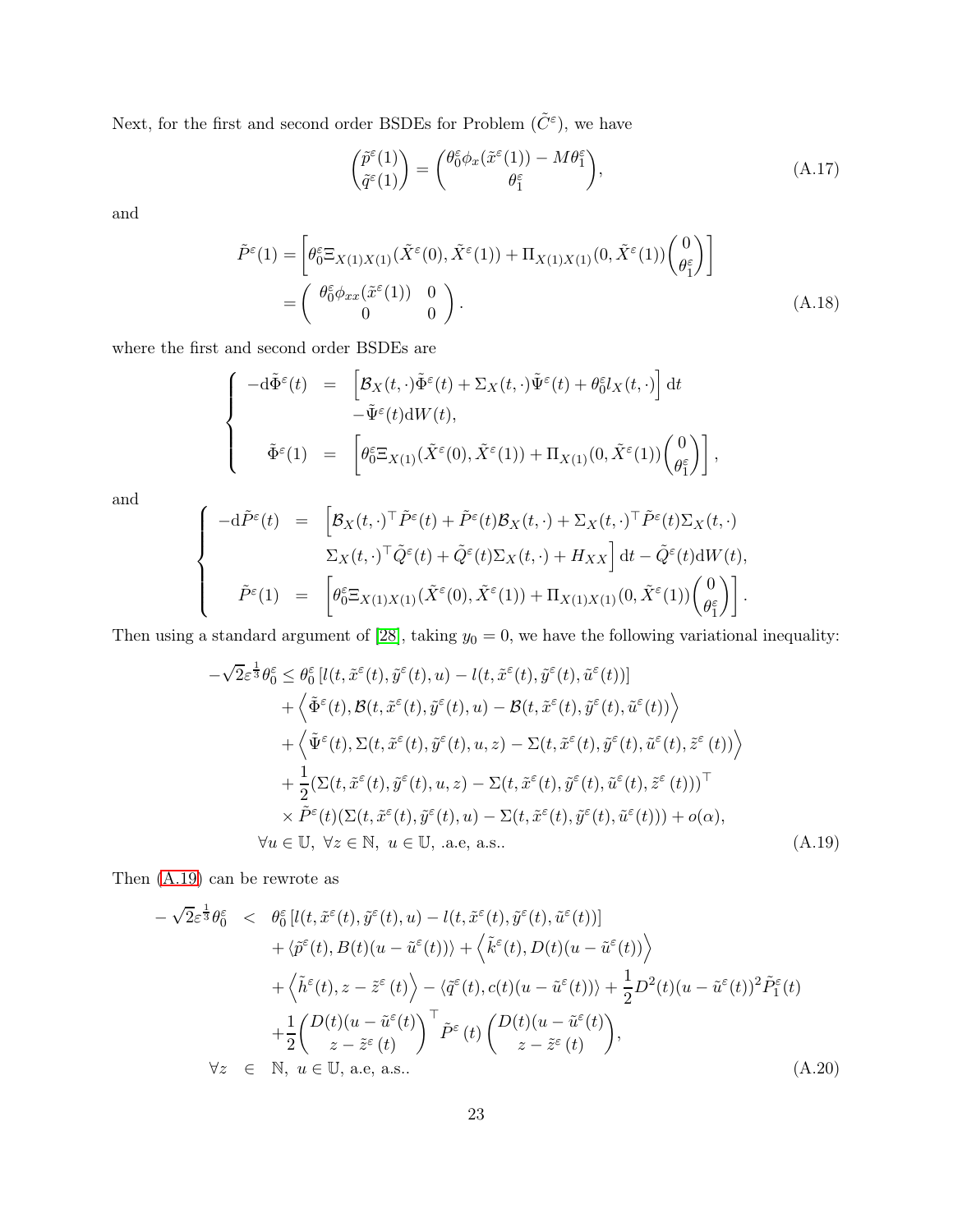Next, for the first and second order BSDEs for Problem  $(\tilde{C}^{\varepsilon})$ , we have

<span id="page-22-1"></span>
$$
\begin{pmatrix} \tilde{p}^{\varepsilon}(1) \\ \tilde{q}^{\varepsilon}(1) \end{pmatrix} = \begin{pmatrix} \theta_0^{\varepsilon} \phi_x(\tilde{x}^{\varepsilon}(1)) - M \theta_1^{\varepsilon} \\ \theta_1^{\varepsilon} \end{pmatrix}, \tag{A.17}
$$

and

$$
\tilde{P}^{\varepsilon}(1) = \begin{bmatrix} \theta_0^{\varepsilon} \Xi_{X(1)X(1)}(\tilde{X}^{\varepsilon}(0), \tilde{X}^{\varepsilon}(1)) + \Pi_{X(1)X(1)}(0, \tilde{X}^{\varepsilon}(1)) \begin{pmatrix} 0\\ \theta_1^{\varepsilon} \end{pmatrix} \end{bmatrix}
$$
\n
$$
= \begin{pmatrix} \theta_0^{\varepsilon} \phi_{xx}(\tilde{x}^{\varepsilon}(1)) & 0\\ 0 & 0 \end{pmatrix}.
$$
\n(A.18)

where the first and second order BSDEs are

$$
\begin{cases}\n-\mathrm{d}\tilde{\Phi}^{\varepsilon}(t) = \left[\mathcal{B}_{X}(t,\cdot)\tilde{\Phi}^{\varepsilon}(t) + \Sigma_{X}(t,\cdot)\tilde{\Psi}^{\varepsilon}(t) + \theta_{0}^{\varepsilon}I_{X}(t,\cdot)\right] \mathrm{d}t \\
-\tilde{\Psi}^{\varepsilon}(t)\mathrm{d}W(t), \\
\tilde{\Phi}^{\varepsilon}(1) = \left[\theta_{0}^{\varepsilon}\Xi_{X(1)}(\tilde{X}^{\varepsilon}(0),\tilde{X}^{\varepsilon}(1)) + \Pi_{X(1)}(0,\tilde{X}^{\varepsilon}(1))\begin{pmatrix}0\\ \theta_{1}^{\varepsilon}\end{pmatrix}\right],\n\end{cases}
$$

and

$$
\begin{cases}\n-\mathrm{d}\tilde{P}^{\varepsilon}(t) = \begin{bmatrix}\n\mathcal{B}_{X}(t,\cdot)^{\top}\tilde{P}^{\varepsilon}(t) + \tilde{P}^{\varepsilon}(t)\mathcal{B}_{X}(t,\cdot) + \Sigma_{X}(t,\cdot)^{\top}\tilde{P}^{\varepsilon}(t)\Sigma_{X}(t,\cdot) \\
\Sigma_{X}(t,\cdot)^{\top}\tilde{Q}^{\varepsilon}(t) + \tilde{Q}^{\varepsilon}(t)\Sigma_{X}(t,\cdot) + H_{XX}\end{bmatrix}\mathrm{d}t - \tilde{Q}^{\varepsilon}(t)\mathrm{d}W(t), \\
\tilde{P}^{\varepsilon}(1) = \begin{bmatrix}\n\theta_{0}^{\varepsilon}\Xi_{X(1)X(1)}(\tilde{X}^{\varepsilon}(0), \tilde{X}^{\varepsilon}(1)) + \Pi_{X(1)X(1)}(0, \tilde{X}^{\varepsilon}(1))\begin{bmatrix}0 \\
\theta_{1}^{\varepsilon}\end{bmatrix}\n\end{cases}.
$$

Then using a standard argument of [\[28\]](#page-27-13), taking  $y_0 = 0$ , we have the following variational inequality:

<span id="page-22-0"></span>
$$
-\sqrt{2}\varepsilon^{\frac{1}{3}}\theta_{0}^{\varepsilon} \leq \theta_{0}^{\varepsilon}\left[l(t,\tilde{x}^{\varepsilon}(t),\tilde{y}^{\varepsilon}(t),u)-l(t,\tilde{x}^{\varepsilon}(t),\tilde{y}^{\varepsilon}(t),\tilde{u}^{\varepsilon}(t))\right] + \left\langle \tilde{\Phi}^{\varepsilon}(t),\mathcal{B}(t,\tilde{x}^{\varepsilon}(t),\tilde{y}^{\varepsilon}(t),u)-\mathcal{B}(t,\tilde{x}^{\varepsilon}(t),\tilde{y}^{\varepsilon}(t),\tilde{u}^{\varepsilon}(t))\right\rangle + \left\langle \tilde{\Psi}^{\varepsilon}(t),\Sigma(t,\tilde{x}^{\varepsilon}(t),\tilde{y}^{\varepsilon}(t),u,z)-\Sigma(t,\tilde{x}^{\varepsilon}(t),\tilde{y}^{\varepsilon}(t),\tilde{u}^{\varepsilon}(t),\tilde{z}^{\varepsilon}(t))\right\rangle + \frac{1}{2}(\Sigma(t,\tilde{x}^{\varepsilon}(t),\tilde{y}^{\varepsilon}(t),u,z)-\Sigma(t,\tilde{x}^{\varepsilon}(t),\tilde{y}^{\varepsilon}(t),\tilde{u}^{\varepsilon}(t),\tilde{z}^{\varepsilon}(t)))^{\top} \times \tilde{P}^{\varepsilon}(t)(\Sigma(t,\tilde{x}^{\varepsilon}(t),\tilde{y}^{\varepsilon}(t),u)-\Sigma(t,\tilde{x}^{\varepsilon}(t),\tilde{y}^{\varepsilon}(t),\tilde{u}^{\varepsilon}(t))) + o(\alpha), \forall u \in \mathbb{U}, \forall z \in \mathbb{N}, u \in \mathbb{U}, \text{ a.e, a.s..} \tag{A.19}
$$

Then [\(A.19\)](#page-22-0) can be rewrote as

<span id="page-22-2"></span>
$$
-\sqrt{2}\varepsilon^{\frac{1}{3}}\theta_{0}^{\varepsilon} \quad < \quad \theta_{0}^{\varepsilon}\left[l(t, \tilde{x}^{\varepsilon}(t), \tilde{y}^{\varepsilon}(t), u) - l(t, \tilde{x}^{\varepsilon}(t), \tilde{y}^{\varepsilon}(t), \tilde{u}^{\varepsilon}(t))\right] \\
+ \langle \tilde{p}^{\varepsilon}(t), B(t)(u - \tilde{u}^{\varepsilon}(t)) \rangle + \langle \tilde{k}^{\varepsilon}(t), D(t)(u - \tilde{u}^{\varepsilon}(t)) \rangle \\
+ \langle \tilde{h}^{\varepsilon}(t), z - \tilde{z}^{\varepsilon}(t) \rangle - \langle \tilde{q}^{\varepsilon}(t), c(t)(u - \tilde{u}^{\varepsilon}(t)) \rangle + \frac{1}{2}D^{2}(t)(u - \tilde{u}^{\varepsilon}(t))^{2}\tilde{P}_{1}^{\varepsilon}(t) \\
+ \frac{1}{2}\left(\frac{D(t)(u - \tilde{u}^{\varepsilon}(t))}{z - \tilde{z}^{\varepsilon}(t)}\right)^{\top} \tilde{P}^{\varepsilon}(t)\left(\frac{D(t)(u - \tilde{u}^{\varepsilon}(t))}{z - \tilde{z}^{\varepsilon}(t)}\right), \\
\forall z \in \mathbb{N}, u \in \mathbb{U}, \text{ a.e, a.s..} \tag{A.20}
$$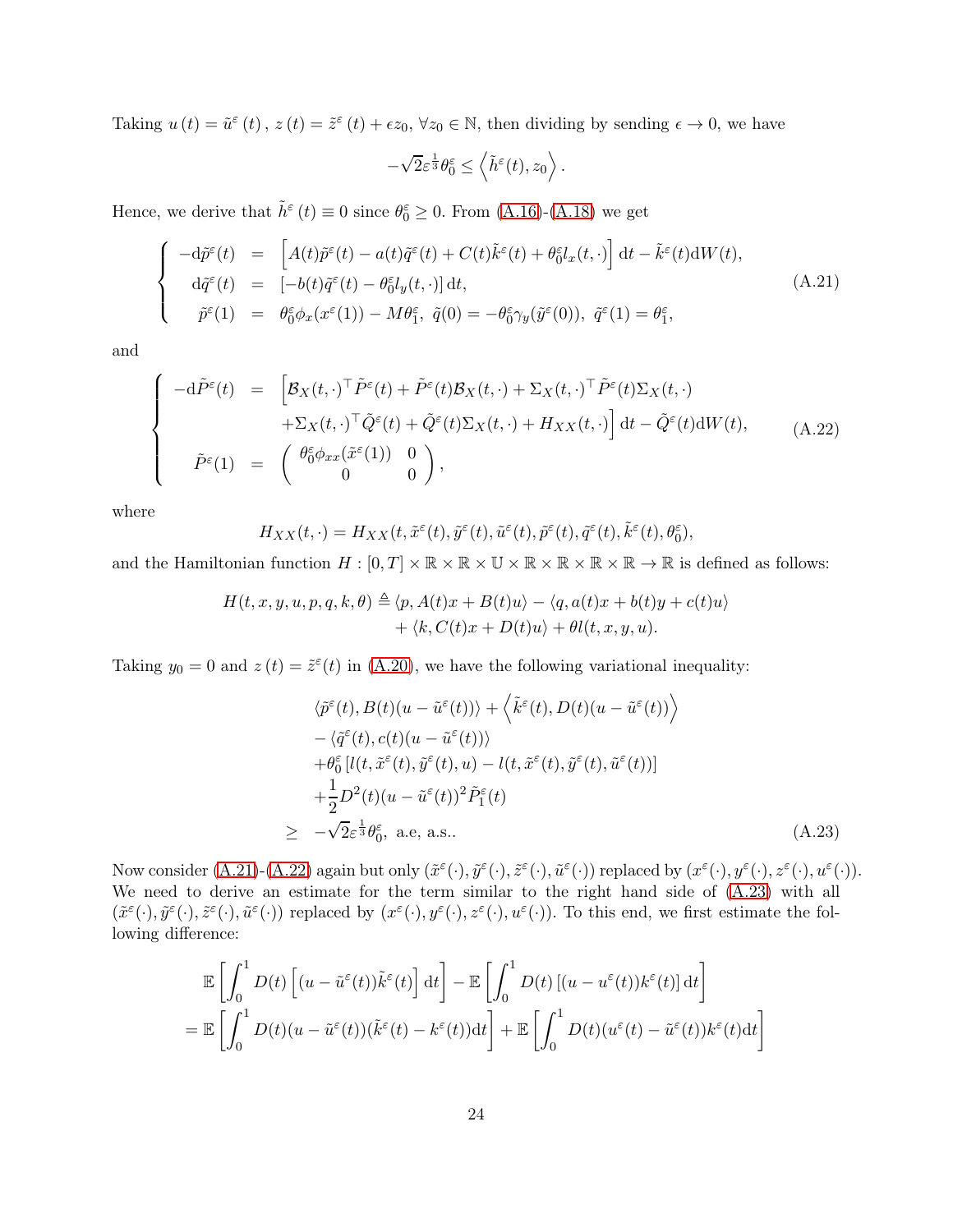Taking  $u(t) = \tilde{u}^{\varepsilon}(t)$ ,  $z(t) = \tilde{z}^{\varepsilon}(t) + \epsilon z_0$ ,  $\forall z_0 \in \mathbb{N}$ , then dividing by sending  $\epsilon \to 0$ , we have

$$
-\sqrt{2}\varepsilon^{\frac{1}{3}}\theta_0^{\varepsilon} \le \left\langle \tilde{h}^{\varepsilon}(t), z_0 \right\rangle.
$$

Hence, we derive that  $\tilde{h}^{\varepsilon}(t) \equiv 0$  since  $\theta_0^{\varepsilon} \ge 0$ . From [\(A.16\)](#page-21-2)-[\(A.18\)](#page-22-1) we get

<span id="page-23-0"></span>
$$
\begin{cases}\n-\mathrm{d}\tilde{p}^{\varepsilon}(t) = \left[A(t)\tilde{p}^{\varepsilon}(t) - a(t)\tilde{q}^{\varepsilon}(t) + C(t)\tilde{k}^{\varepsilon}(t) + \theta_{0}^{\varepsilon}l_{x}(t,\cdot)\right] \mathrm{d}t - \tilde{k}^{\varepsilon}(t)\mathrm{d}W(t), \\
\mathrm{d}\tilde{q}^{\varepsilon}(t) = \left[-b(t)\tilde{q}^{\varepsilon}(t) - \theta_{0}^{\varepsilon}l_{y}(t,\cdot)\right] \mathrm{d}t, \\
\tilde{p}^{\varepsilon}(1) = \theta_{0}^{\varepsilon}\phi_{x}(x^{\varepsilon}(1)) - M\theta_{1}^{\varepsilon}, \ \tilde{q}(0) = -\theta_{0}^{\varepsilon}\gamma_{y}(\tilde{y}^{\varepsilon}(0)), \ \tilde{q}^{\varepsilon}(1) = \theta_{1}^{\varepsilon},\n\end{cases} \tag{A.21}
$$

and

<span id="page-23-1"></span>
$$
\begin{cases}\n-\mathrm{d}\tilde{P}^{\varepsilon}(t) = \left[ \mathcal{B}_{X}(t,\cdot)^{\top}\tilde{P}^{\varepsilon}(t) + \tilde{P}^{\varepsilon}(t)\mathcal{B}_{X}(t,\cdot) + \Sigma_{X}(t,\cdot)^{\top}\tilde{P}^{\varepsilon}(t)\Sigma_{X}(t,\cdot) \right. \\
\left. + \Sigma_{X}(t,\cdot)^{\top}\tilde{Q}^{\varepsilon}(t) + \tilde{Q}^{\varepsilon}(t)\Sigma_{X}(t,\cdot) + H_{XX}(t,\cdot) \right] \mathrm{d}t - \tilde{Q}^{\varepsilon}(t)\mathrm{d}W(t), \\
\tilde{P}^{\varepsilon}(1) = \begin{pmatrix} \theta_{0}^{\varepsilon}\phi_{xx}(\tilde{x}^{\varepsilon}(1)) & 0 \\ 0 & 0 \end{pmatrix},\n\end{cases} \tag{A.22}
$$

where

$$
H_{XX}(t,\cdot) = H_{XX}(t,\tilde{x}^{\varepsilon}(t),\tilde{y}^{\varepsilon}(t),\tilde{u}^{\varepsilon}(t),\tilde{p}^{\varepsilon}(t),\tilde{q}^{\varepsilon}(t),\tilde{k}^{\varepsilon}(t),\theta_0^{\varepsilon}),
$$

and the Hamiltonian function  $H : [0, T] \times \mathbb{R} \times \mathbb{R} \times \mathbb{R} \times \mathbb{R} \times \mathbb{R} \times \mathbb{R} \times \mathbb{R} \times \mathbb{R} \to \mathbb{R}$  is defined as follows:

$$
H(t, x, y, u, p, q, k, \theta) \triangleq \langle p, A(t)x + B(t)u \rangle - \langle q, a(t)x + b(t)y + c(t)u \rangle + \langle k, C(t)x + D(t)u \rangle + \theta l(t, x, y, u).
$$

Taking  $y_0 = 0$  and  $z(t) = \tilde{z}^{\varepsilon}(t)$  in [\(A.20\)](#page-22-2), we have the following variational inequality:

<span id="page-23-2"></span>
$$
\langle \tilde{p}^{\varepsilon}(t), B(t)(u - \tilde{u}^{\varepsilon}(t)) \rangle + \langle \tilde{k}^{\varepsilon}(t), D(t)(u - \tilde{u}^{\varepsilon}(t)) \rangle \n- \langle \tilde{q}^{\varepsilon}(t), c(t)(u - \tilde{u}^{\varepsilon}(t)) \rangle \n+ \theta_{0}^{\varepsilon} [l(t, \tilde{x}^{\varepsilon}(t), \tilde{y}^{\varepsilon}(t), u) - l(t, \tilde{x}^{\varepsilon}(t), \tilde{y}^{\varepsilon}(t), \tilde{u}^{\varepsilon}(t))] \n+ \frac{1}{2} D^{2}(t) (u - \tilde{u}^{\varepsilon}(t))^{2} \tilde{P}_{1}^{\varepsilon}(t) \n\geq -\sqrt{2} \varepsilon^{\frac{1}{3}} \theta_{0}^{\varepsilon}, \text{ a.e, a.s..}
$$
\n(A.23)

Now consider  $(A.21)-(A.22)$  $(A.21)-(A.22)$  again but only  $(\tilde{x}^{\varepsilon}(\cdot), \tilde{y}^{\varepsilon}(\cdot), \tilde{z}^{\varepsilon}(\cdot), \tilde{u}^{\varepsilon}(\cdot))$  replaced by  $(x^{\varepsilon}(\cdot), y^{\varepsilon}(\cdot), z^{\varepsilon}(\cdot), u^{\varepsilon}(\cdot)).$ We need to derive an estimate for the term similar to the right hand side of [\(A.23\)](#page-23-2) with all  $(\tilde{x}^{\varepsilon}(\cdot),\tilde{y}^{\varepsilon}(\cdot),\tilde{z}^{\varepsilon}(\cdot),\tilde{u}^{\varepsilon}(\cdot))$  replaced by  $(x^{\varepsilon}(\cdot),y^{\varepsilon}(\cdot),z^{\varepsilon}(\cdot),u^{\varepsilon}(\cdot))$ . To this end, we first estimate the following difference:

$$
\mathbb{E}\left[\int_0^1 D(t) \left[ (u - \tilde{u}^{\varepsilon}(t))\tilde{k}^{\varepsilon}(t) \right] dt \right] - \mathbb{E}\left[\int_0^1 D(t) \left[ (u - u^{\varepsilon}(t))\kappa^{\varepsilon}(t) \right] dt \right]
$$
\n
$$
= \mathbb{E}\left[\int_0^1 D(t) (u - \tilde{u}^{\varepsilon}(t)) (\tilde{k}^{\varepsilon}(t) - k^{\varepsilon}(t)) dt \right] + \mathbb{E}\left[\int_0^1 D(t) (u^{\varepsilon}(t) - \tilde{u}^{\varepsilon}(t))k^{\varepsilon}(t) dt \right]
$$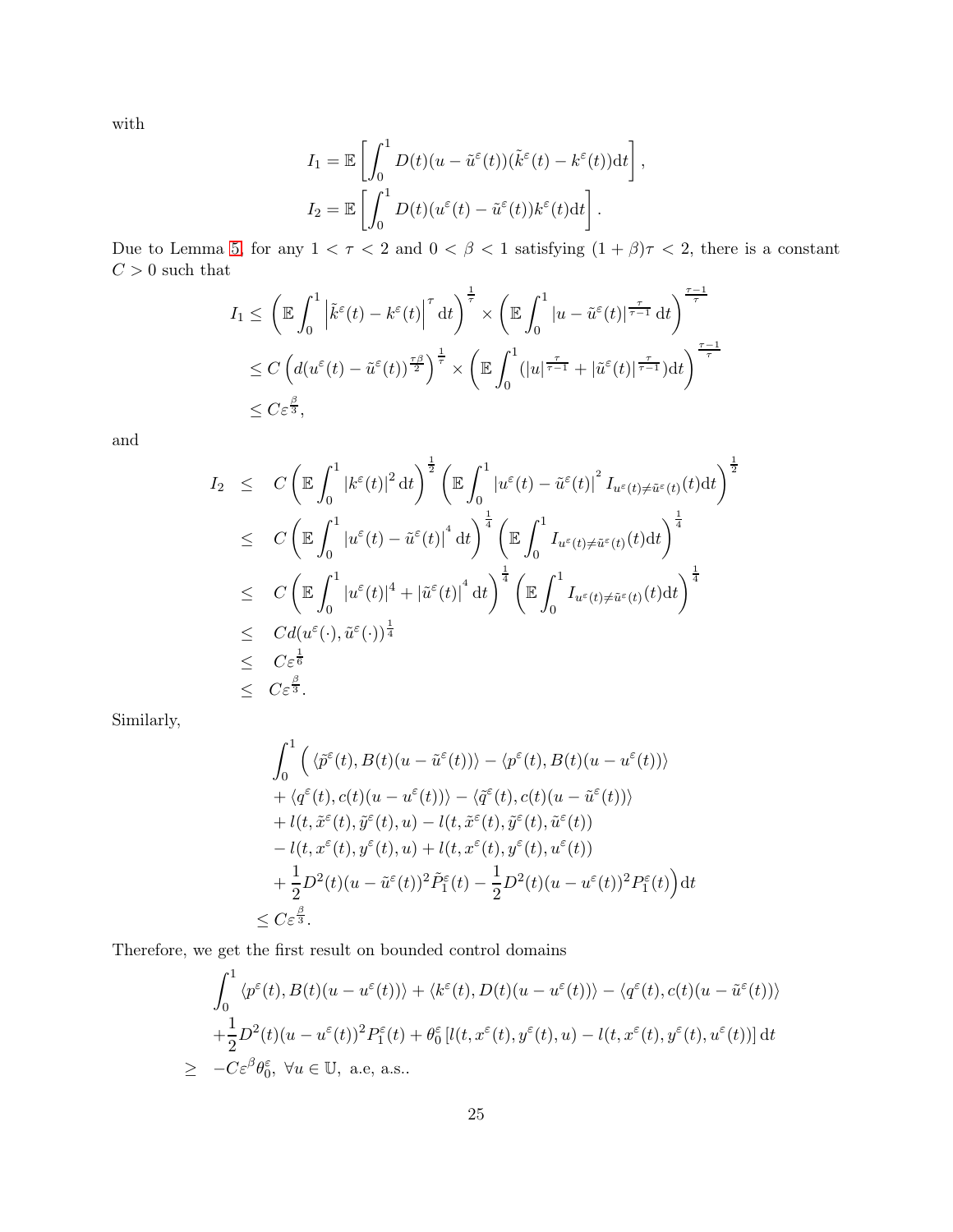with

$$
I_1 = \mathbb{E}\left[\int_0^1 D(t)(u - \tilde{u}^{\varepsilon}(t))(\tilde{k}^{\varepsilon}(t) - k^{\varepsilon}(t))dt\right],
$$
  
\n
$$
I_2 = \mathbb{E}\left[\int_0^1 D(t)(u^{\varepsilon}(t) - \tilde{u}^{\varepsilon}(t))k^{\varepsilon}(t)dt\right].
$$

Due to Lemma [5,](#page-8-2) for any  $1 < \tau < 2$  and  $0 < \beta < 1$  satisfying  $(1 + \beta)\tau < 2$ , there is a constant  ${\cal C}>0$  such that

$$
I_1 \leq \left(\mathbb{E} \int_0^1 \left| \tilde{k}^{\varepsilon}(t) - k^{\varepsilon}(t) \right|^{\tau} dt \right)^{\frac{1}{\tau}} \times \left(\mathbb{E} \int_0^1 |u - \tilde{u}^{\varepsilon}(t)|^{\frac{\tau}{\tau-1}} dt \right)^{\frac{\tau-1}{\tau}}
$$
  

$$
\leq C \left( d(u^{\varepsilon}(t) - \tilde{u}^{\varepsilon}(t))^{\frac{\tau\beta}{2}} \right)^{\frac{1}{\tau}} \times \left(\mathbb{E} \int_0^1 (|u|^{\frac{\tau}{\tau-1}} + |\tilde{u}^{\varepsilon}(t)|^{\frac{\tau}{\tau-1}}) dt \right)^{\frac{\tau-1}{\tau}}
$$
  

$$
\leq C \varepsilon^{\frac{\beta}{3}},
$$

and

$$
I_2 \leq C \left( \mathbb{E} \int_0^1 |k^{\varepsilon}(t)|^2 dt \right)^{\frac{1}{2}} \left( \mathbb{E} \int_0^1 |u^{\varepsilon}(t) - \tilde{u}^{\varepsilon}(t)|^2 I_{u^{\varepsilon}(t) \neq \tilde{u}^{\varepsilon}(t)}(t) dt \right)^{\frac{1}{2}}
$$
  
\n
$$
\leq C \left( \mathbb{E} \int_0^1 |u^{\varepsilon}(t) - \tilde{u}^{\varepsilon}(t)|^4 dt \right)^{\frac{1}{4}} \left( \mathbb{E} \int_0^1 I_{u^{\varepsilon}(t) \neq \tilde{u}^{\varepsilon}(t)}(t) dt \right)^{\frac{1}{4}}
$$
  
\n
$$
\leq C \left( \mathbb{E} \int_0^1 |u^{\varepsilon}(t)|^4 + |\tilde{u}^{\varepsilon}(t)|^4 dt \right)^{\frac{1}{4}} \left( \mathbb{E} \int_0^1 I_{u^{\varepsilon}(t) \neq \tilde{u}^{\varepsilon}(t)}(t) dt \right)^{\frac{1}{4}}
$$
  
\n
$$
\leq C d(u^{\varepsilon}(\cdot), \tilde{u}^{\varepsilon}(\cdot))^{\frac{1}{4}}
$$
  
\n
$$
\leq C \varepsilon^{\frac{1}{6}}
$$
  
\n
$$
\leq C \varepsilon^{\frac{\beta}{3}}.
$$

Similarly,

$$
\int_0^1 \left( \langle \tilde{p}^{\varepsilon}(t), B(t)(u - \tilde{u}^{\varepsilon}(t)) \rangle - \langle p^{\varepsilon}(t), B(t)(u - u^{\varepsilon}(t)) \rangle \right. \left. + \langle q^{\varepsilon}(t), c(t)(u - u^{\varepsilon}(t)) \rangle - \langle \tilde{q}^{\varepsilon}(t), c(t)(u - \tilde{u}^{\varepsilon}(t)) \rangle \right. \left. + l(t, \tilde{x}^{\varepsilon}(t), \tilde{y}^{\varepsilon}(t), u) - l(t, \tilde{x}^{\varepsilon}(t), \tilde{y}^{\varepsilon}(t), \tilde{u}^{\varepsilon}(t)) \right. \left. - l(t, x^{\varepsilon}(t), y^{\varepsilon}(t), u) + l(t, x^{\varepsilon}(t), y^{\varepsilon}(t), u^{\varepsilon}(t)) \right. \left. + \frac{1}{2} D^2(t) (u - \tilde{u}^{\varepsilon}(t))^2 \tilde{P}_1^{\varepsilon}(t) - \frac{1}{2} D^2(t) (u - u^{\varepsilon}(t))^2 P_1^{\varepsilon}(t) \right) dt \right. \leq C \varepsilon^{\frac{\beta}{3}}.
$$

Therefore, we get the first result on bounded control domains

$$
\int_0^1 \langle p^{\varepsilon}(t), B(t)(u - u^{\varepsilon}(t)) \rangle + \langle k^{\varepsilon}(t), D(t)(u - u^{\varepsilon}(t)) \rangle - \langle q^{\varepsilon}(t), c(t)(u - \tilde{u}^{\varepsilon}(t)) \rangle \n+ \frac{1}{2} D^2(t) (u - u^{\varepsilon}(t))^2 P_1^{\varepsilon}(t) + \theta_0^{\varepsilon} [l(t, x^{\varepsilon}(t), y^{\varepsilon}(t), u) - l(t, x^{\varepsilon}(t), y^{\varepsilon}(t), u^{\varepsilon}(t))] dt \n\geq -C \varepsilon^{\beta} \theta_0^{\varepsilon}, \forall u \in \mathbb{U}, \text{ a.e. a.s..}
$$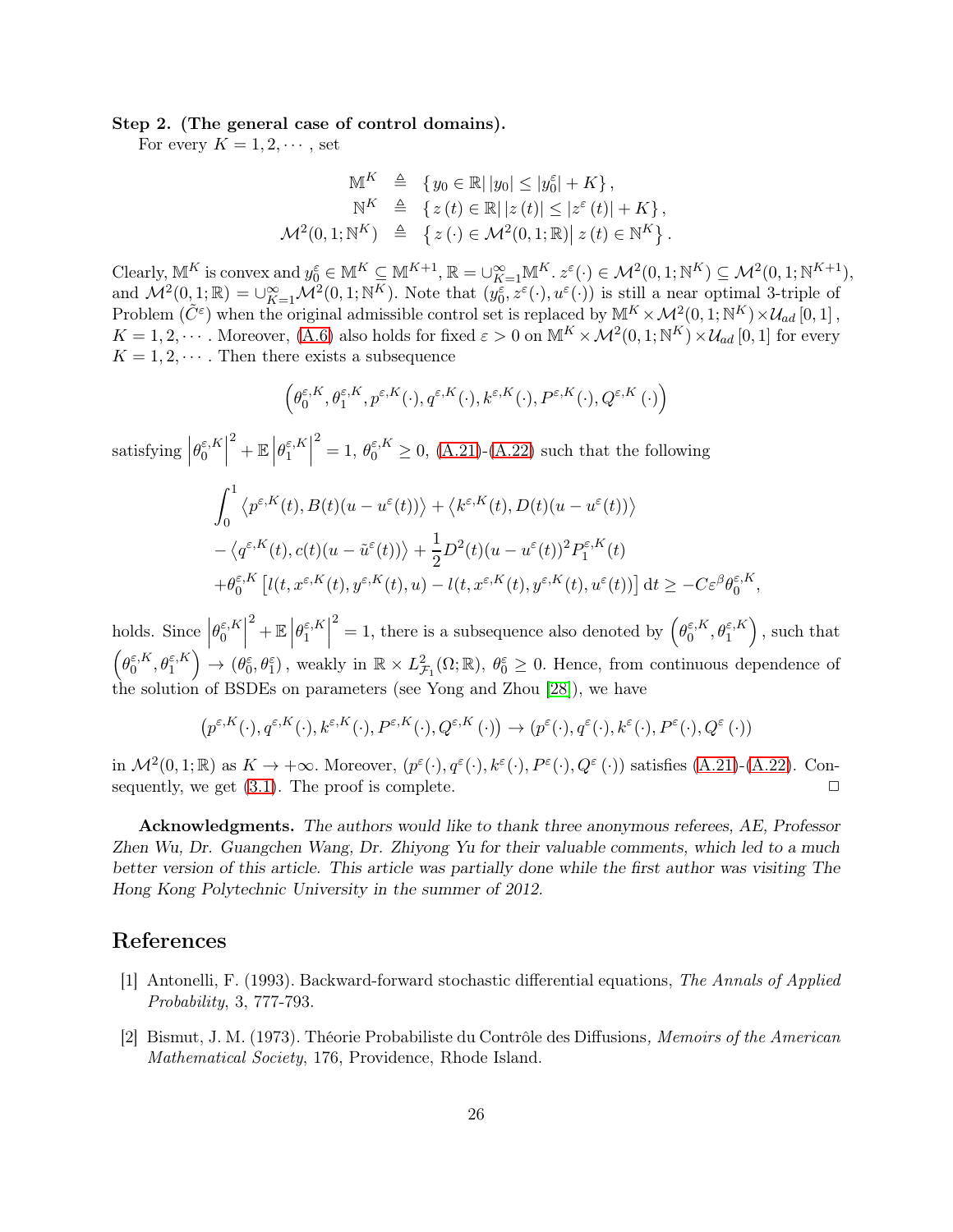### Step 2. (The general case of control domains).

For every  $K = 1, 2, \cdots$ , set

$$
\mathbb{M}^K \triangleq \{ y_0 \in \mathbb{R} \mid |y_0| \le |y_0^{\varepsilon}| + K \},
$$
  
\n
$$
\mathbb{N}^K \triangleq \{ z(t) \in \mathbb{R} \mid |z(t)| \le |z^{\varepsilon}(t)| + K \},
$$
  
\n
$$
\mathcal{M}^2(0, 1; \mathbb{N}^K) \triangleq \{ z(\cdot) \in \mathcal{M}^2(0, 1; \mathbb{R}) \mid z(t) \in \mathbb{N}^K \}.
$$

Clearly,  $\mathbb{M}^K$  is convex and  $y_0^{\varepsilon} \in \mathbb{M}^K \subseteq \mathbb{M}^{K+1}$ ,  $\mathbb{R} = \bigcup_{K=1}^{\infty} \mathbb{M}^K$ .  $z^{\varepsilon}(\cdot) \in \mathcal{M}^2(0,1;\mathbb{N}^K) \subseteq \mathcal{M}^2(0,1;\mathbb{N}^{K+1})$ , and  $\mathcal{M}^2(0,1;\mathbb{R}) = \bigcup_{K=1}^{\infty} \mathcal{M}^2(0,1;\mathbb{N}^K)$ . Note that  $(y_0^{\varepsilon}, z^{\varepsilon}(\cdot), u^{\varepsilon}(\cdot))$  is still a near optimal 3-triple of Problem  $(\tilde{C}^{\varepsilon})$  when the original admissible control set is replaced by  $\mathbb{M}^{K} \times \mathcal{M}^{2}(0,1;\mathbb{N}^{K}) \times \mathcal{U}_{ad}[0,1]$ ,  $K = 1, 2, \cdots$  . Moreover, [\(A.6\)](#page-11-1) also holds for fixed  $\varepsilon > 0$  on  $\mathbb{M}^K \times \mathcal{M}^2(0, 1; \mathbb{N}^K) \times \mathcal{U}_{ad} [0, 1]$  for every  $K = 1, 2, \dots$ . Then there exists a subsequence

$$
\Big(\theta_0^{\varepsilon,K}, \theta_1^{\varepsilon,K}, p^{\varepsilon,K}(\cdot), q^{\varepsilon,K}(\cdot), k^{\varepsilon,K}(\cdot), P^{\varepsilon,K}(\cdot), Q^{\varepsilon,K}(\cdot)\Big)
$$

satisfying |  $\theta_0^{\varepsilon,K}$  $\begin{bmatrix} \varepsilon,K \ 0 \end{bmatrix}$  $2 + \mathbb{E}$  $\theta_1^{\varepsilon,K}$  $\begin{bmatrix} \varepsilon,K \ 1 \end{bmatrix}$  $2^2 = 1, \theta_0^{\varepsilon,K} \ge 0$ , [\(A.21\)](#page-23-0)-[\(A.22\)](#page-23-1) such that the following

$$
\int_0^1 \left\langle p^{\varepsilon,K}(t), B(t)(u - u^{\varepsilon}(t)) \right\rangle + \left\langle k^{\varepsilon,K}(t), D(t)(u - u^{\varepsilon}(t)) \right\rangle
$$
  
 
$$
- \left\langle q^{\varepsilon,K}(t), c(t)(u - \tilde{u}^{\varepsilon}(t)) \right\rangle + \frac{1}{2} D^2(t) (u - u^{\varepsilon}(t))^2 P_1^{\varepsilon,K}(t)
$$
  
 
$$
+ \theta_0^{\varepsilon,K} \left[ l(t, x^{\varepsilon,K}(t), y^{\varepsilon,K}(t), u) - l(t, x^{\varepsilon,K}(t), y^{\varepsilon,K}(t), u^{\varepsilon}(t)) \right] dt \ge -C\varepsilon^{\beta} \theta_0^{\varepsilon,K}
$$

,

holds. Since  $\Big|$  $\theta_0^{\varepsilon,K}$  $\begin{bmatrix} \varepsilon,K \ 0 \end{bmatrix}$ <sup>2</sup> +  $\mathbb{E}\left| \right.$  $\theta_1^{\varepsilon,K}$  $\begin{bmatrix} \varepsilon,K \ 1 \end{bmatrix}$ <sup>2</sup> = 1, there is a subsequence also denoted by  $(\theta_0^{\varepsilon,K})$  $\binom{\varepsilon, K}{0}, \theta_1^{\varepsilon, K}$ , such that  $\left(\theta_0^{\varepsilon,K}\right)$  $\left(\begin{smallmatrix} \varepsilon,K\0\end{smallmatrix}\right) \rightarrow \left(\begin{smallmatrix} \theta_0^{\varepsilon},\theta_1^{\varepsilon} \end{smallmatrix}\right)$ , weakly in  $\mathbb{R} \times L^2_{\mathcal{J}}$  $_{\mathcal{F}_1}^2(\Omega;\mathbb{R}), \theta_0^{\varepsilon} \geq 0$ . Hence, from continuous dependence of the solution of BSDEs on parameters (see Yong and Zhou [\[28\]](#page-27-13)), we have

$$
\left(p^{\varepsilon,K}(\cdot),q^{\varepsilon,K}(\cdot),k^{\varepsilon,K}(\cdot),P^{\varepsilon,K}(\cdot),Q^{\varepsilon,K}(\cdot)\right)\rightarrow \left(p^{\varepsilon}(\cdot),q^{\varepsilon}(\cdot),k^{\varepsilon}(\cdot),P^{\varepsilon}(\cdot),Q^{\varepsilon}(\cdot)\right)
$$

in  $\mathcal{M}^2(0,1;\mathbb{R})$  as  $K \to +\infty$ . Moreover,  $(p^{\varepsilon}(\cdot), q^{\varepsilon}(\cdot), k^{\varepsilon}(\cdot), P^{\varepsilon}(\cdot), Q^{\varepsilon}(\cdot))$  satisfies [\(A.21\)](#page-23-0)-[\(A.22\)](#page-23-1). Consequently, we get  $(3.1)$ . The proof is complete.  $\Box$ 

Acknowledgments. The authors would like to thank three anonymous referees, AE, Professor Zhen Wu, Dr. Guangchen Wang, Dr. Zhiyong Yu for their valuable comments, which led to a much better version of this article. This article was partially done while the first author was visiting The Hong Kong Polytechnic University in the summer of 2012.

### <span id="page-25-1"></span>References

- [1] Antonelli, F. (1993). Backward-forward stochastic differential equations, The Annals of Applied Probability, 3, 777-793.
- <span id="page-25-0"></span>[2] Bismut, J. M. (1973). Théorie Probabiliste du Contrôle des Diffusions, Memoirs of the American Mathematical Society, 176, Providence, Rhode Island.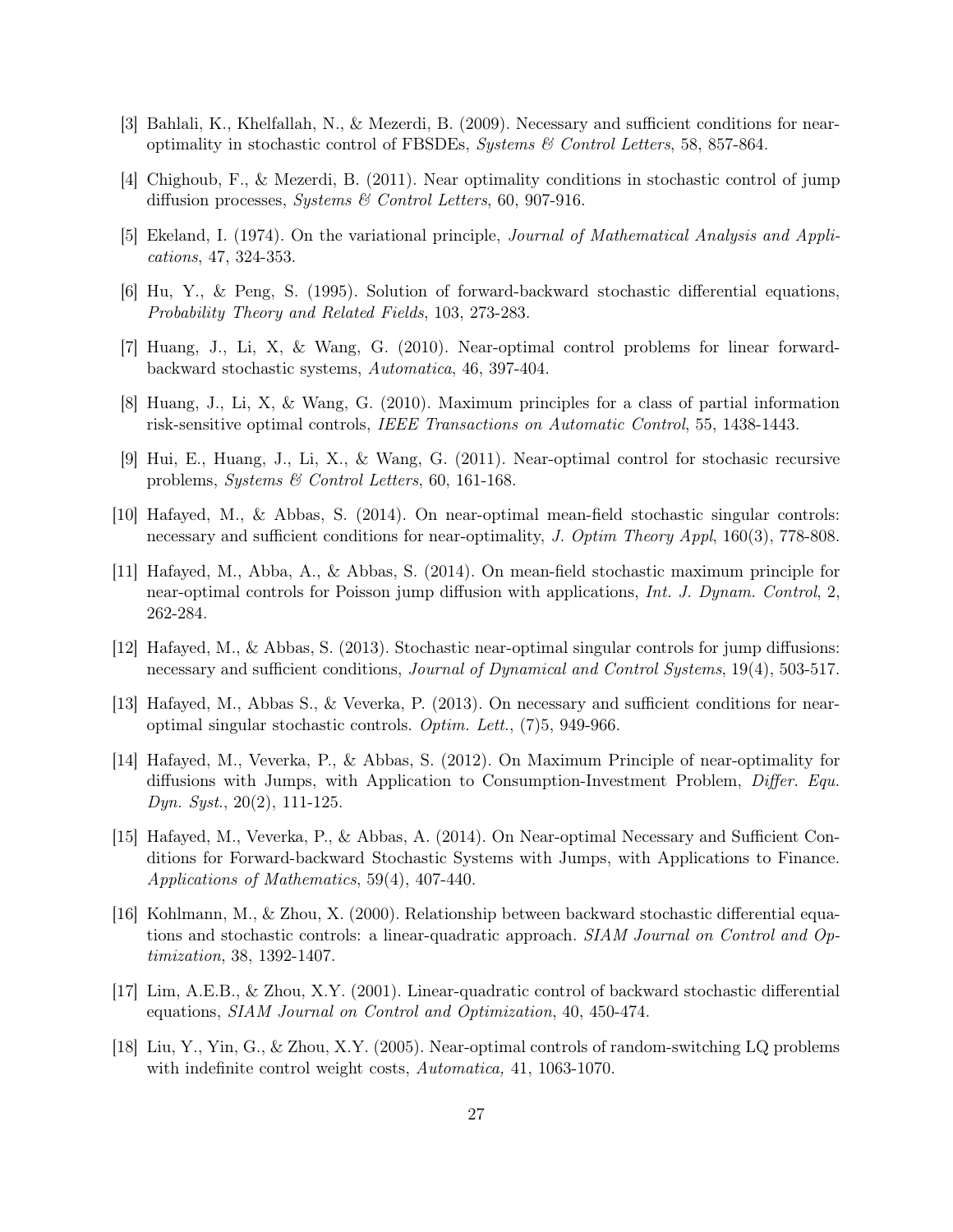- <span id="page-26-5"></span><span id="page-26-4"></span>[3] Bahlali, K., Khelfallah, N., & Mezerdi, B. (2009). Necessary and sufficient conditions for nearoptimality in stochastic control of FBSDEs, Systems & Control Letters, 58, 857-864.
- <span id="page-26-13"></span>[4] Chighoub, F., & Mezerdi, B. (2011). Near optimality conditions in stochastic control of jump diffusion processes, Systems & Control Letters, 60, 907-916.
- <span id="page-26-0"></span>[5] Ekeland, I. (1974). On the variational principle, Journal of Mathematical Analysis and Applications, 47, 324-353.
- <span id="page-26-1"></span>[6] Hu, Y., & Peng, S. (1995). Solution of forward-backward stochastic differential equations, Probability Theory and Related Fields, 103, 273-283.
- <span id="page-26-2"></span>[7] Huang, J., Li, X, & Wang, G. (2010). Near-optimal control problems for linear forwardbackward stochastic systems, Automatica, 46, 397-404.
- <span id="page-26-12"></span>[8] Huang, J., Li, X, & Wang, G. (2010). Maximum principles for a class of partial information risk-sensitive optimal controls, IEEE Transactions on Automatic Control, 55, 1438-1443.
- <span id="page-26-6"></span>[9] Hui, E., Huang, J., Li, X., & Wang, G. (2011). Near-optimal control for stochasic recursive problems, Systems & Control Letters, 60, 161-168.
- [10] Hafayed, M., & Abbas, S. (2014). On near-optimal mean-field stochastic singular controls: necessary and sufficient conditions for near-optimality, J. Optim Theory Appl, 160(3), 778-808.
- <span id="page-26-7"></span>[11] Hafayed, M., Abba, A., & Abbas, S. (2014). On mean-field stochastic maximum principle for near-optimal controls for Poisson jump diffusion with applications, Int. J. Dynam. Control, 2, 262-284.
- <span id="page-26-8"></span>[12] Hafayed, M., & Abbas, S. (2013). Stochastic near-optimal singular controls for jump diffusions: necessary and sufficient conditions, Journal of Dynamical and Control Systems, 19(4), 503-517.
- <span id="page-26-9"></span>[13] Hafayed, M., Abbas S., & Veverka, P. (2013). On necessary and sufficient conditions for nearoptimal singular stochastic controls. Optim. Lett., (7)5, 949-966.
- <span id="page-26-10"></span>[14] Hafayed, M., Veverka, P., & Abbas, S. (2012). On Maximum Principle of near-optimality for diffusions with Jumps, with Application to Consumption-Investment Problem, Differ. Equ. Dyn. Syst., 20(2), 111-125.
- <span id="page-26-11"></span>[15] Hafayed, M., Veverka, P., & Abbas, A. (2014). On Near-optimal Necessary and Sufficient Conditions for Forward-backward Stochastic Systems with Jumps, with Applications to Finance. Applications of Mathematics, 59(4), 407-440.
- [16] Kohlmann, M., & Zhou, X. (2000). Relationship between backward stochastic differential equations and stochastic controls: a linear-quadratic approach. SIAM Journal on Control and Optimization, 38, 1392-1407.
- <span id="page-26-3"></span>[17] Lim, A.E.B., & Zhou, X.Y. (2001). Linear-quadratic control of backward stochastic differential equations, SIAM Journal on Control and Optimization, 40, 450-474.
- [18] Liu, Y., Yin, G., & Zhou, X.Y. (2005). Near-optimal controls of random-switching LQ problems with indefinite control weight costs, Automatica, 41, 1063-1070.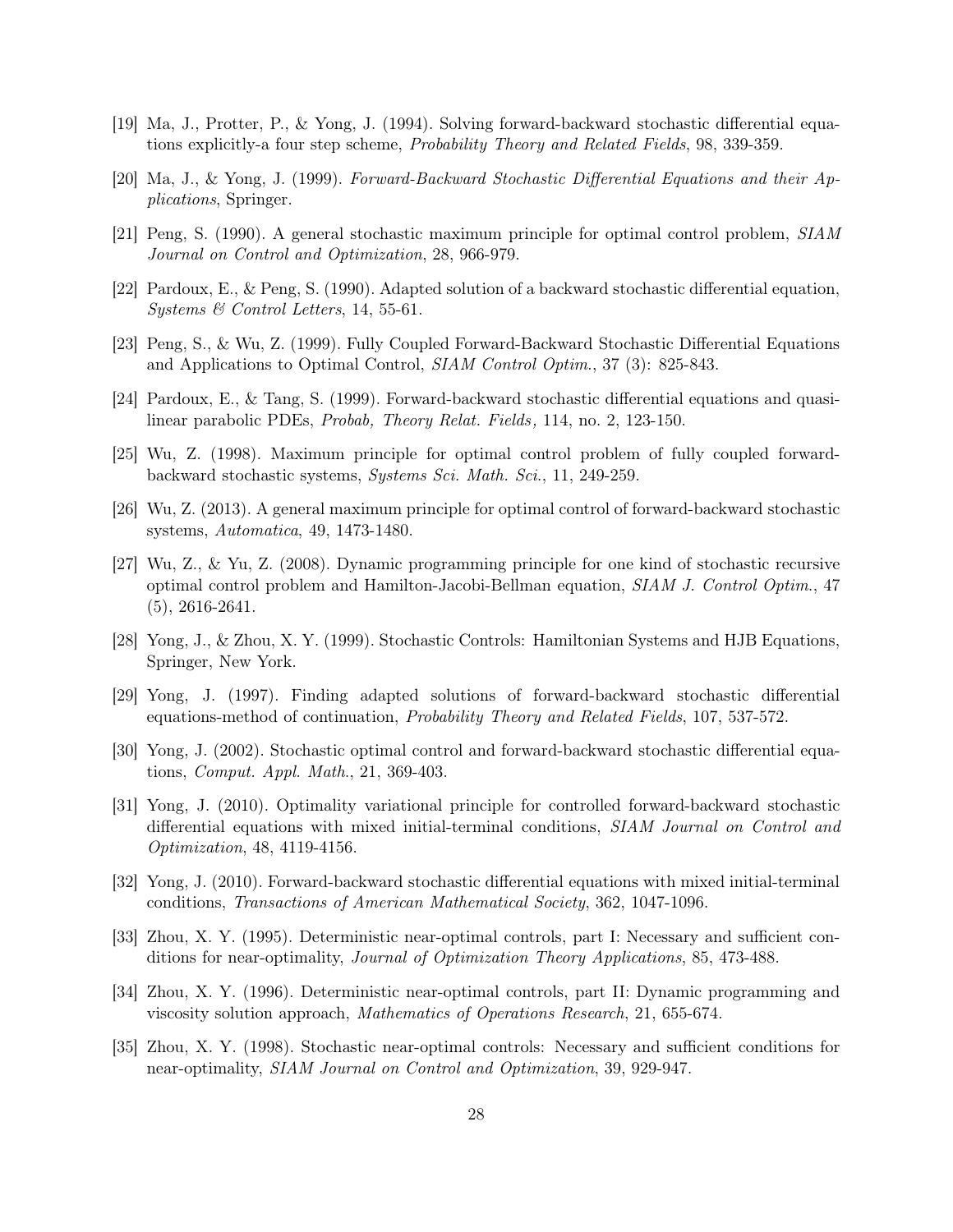- <span id="page-27-1"></span>[19] Ma, J., Protter, P., & Yong, J. (1994). Solving forward-backward stochastic differential equations explicitly-a four step scheme, Probability Theory and Related Fields, 98, 339-359.
- [20] Ma, J., & Yong, J. (1999). Forward-Backward Stochastic Differential Equations and their Applications, Springer.
- <span id="page-27-0"></span>[21] Peng, S. (1990). A general stochastic maximum principle for optimal control problem, SIAM Journal on Control and Optimization, 28, 966-979.
- <span id="page-27-3"></span>[22] Pardoux, E., & Peng, S. (1990). Adapted solution of a backward stochastic differential equation, Systems & Control Letters, 14, 55-61.
- <span id="page-27-2"></span>[23] Peng, S., & Wu, Z. (1999). Fully Coupled Forward-Backward Stochastic Differential Equations and Applications to Optimal Control, SIAM Control Optim., 37 (3): 825-843.
- <span id="page-27-8"></span>[24] Pardoux, E., & Tang, S. (1999). Forward-backward stochastic differential equations and quasilinear parabolic PDEs, Probab, Theory Relat. Fields, 114, no. 2, 123-150.
- <span id="page-27-7"></span>[25] Wu, Z. (1998). Maximum principle for optimal control problem of fully coupled forwardbackward stochastic systems, Systems Sci. Math. Sci., 11, 249-259.
- <span id="page-27-9"></span>[26] Wu, Z. (2013). A general maximum principle for optimal control of forward-backward stochastic systems, Automatica, 49, 1473-1480.
- [27] Wu, Z., & Yu, Z. (2008). Dynamic programming principle for one kind of stochastic recursive optimal control problem and Hamilton-Jacobi-Bellman equation, SIAM J. Control Optim., 47 (5), 2616-2641.
- <span id="page-27-13"></span><span id="page-27-4"></span>[28] Yong, J., & Zhou, X. Y. (1999). Stochastic Controls: Hamiltonian Systems and HJB Equations, Springer, New York.
- [29] Yong, J. (1997). Finding adapted solutions of forward-backward stochastic differential equations-method of continuation, Probability Theory and Related Fields, 107, 537-572.
- <span id="page-27-5"></span>[30] Yong, J. (2002). Stochastic optimal control and forward-backward stochastic differential equations, Comput. Appl. Math., 21, 369-403.
- [31] Yong, J. (2010). Optimality variational principle for controlled forward-backward stochastic differential equations with mixed initial-terminal conditions, SIAM Journal on Control and Optimization, 48, 4119-4156.
- <span id="page-27-6"></span>[32] Yong, J. (2010). Forward-backward stochastic differential equations with mixed initial-terminal conditions, Transactions of American Mathematical Society, 362, 1047-1096.
- <span id="page-27-11"></span><span id="page-27-10"></span>[33] Zhou, X. Y. (1995). Deterministic near-optimal controls, part I: Necessary and sufficient conditions for near-optimality, Journal of Optimization Theory Applications, 85, 473-488.
- [34] Zhou, X. Y. (1996). Deterministic near-optimal controls, part II: Dynamic programming and viscosity solution approach, Mathematics of Operations Research, 21, 655-674.
- <span id="page-27-12"></span>[35] Zhou, X. Y. (1998). Stochastic near-optimal controls: Necessary and sufficient conditions for near-optimality, SIAM Journal on Control and Optimization, 39, 929-947.